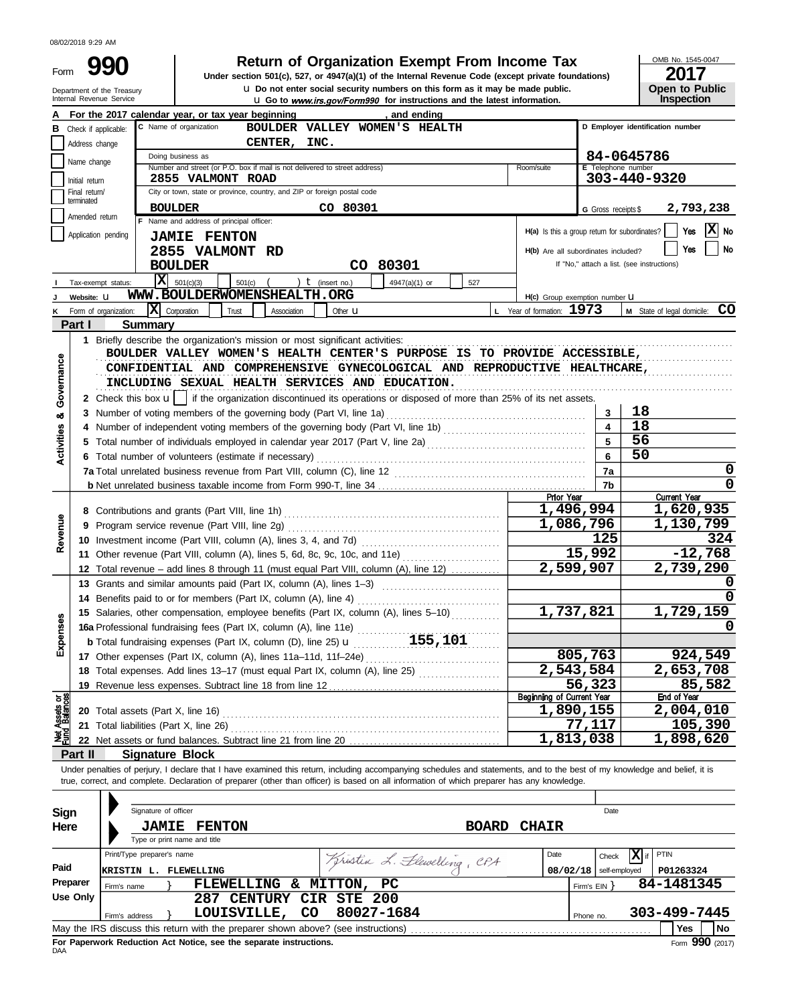| Form                           | Department of the Treasury<br>Internal Revenue Service | <b>Return of Organization Exempt From Income Tax</b><br>Under section 501(c), 527, or 4947(a)(1) of the Internal Revenue Code (except private foundations)<br>U Do not enter social security numbers on this form as it may be made public.<br><b>U.</b> Go to www.irs.gov/Form990 for instructions and the latest information. |                                                              |                              | OMB No. 1545-0047<br>2017<br><b>Open to Public</b><br>Inspection |  |  |
|--------------------------------|--------------------------------------------------------|---------------------------------------------------------------------------------------------------------------------------------------------------------------------------------------------------------------------------------------------------------------------------------------------------------------------------------|--------------------------------------------------------------|------------------------------|------------------------------------------------------------------|--|--|
|                                |                                                        | For the 2017 calendar year, or tax year beginning<br>, and ending                                                                                                                                                                                                                                                               |                                                              |                              |                                                                  |  |  |
| в                              | Check if applicable:                                   | C Name of organization<br>BOULDER VALLEY WOMEN'S HEALTH                                                                                                                                                                                                                                                                         |                                                              |                              | D Employer identification number                                 |  |  |
|                                | Address change                                         | CENTER,<br>INC.                                                                                                                                                                                                                                                                                                                 |                                                              |                              |                                                                  |  |  |
|                                | Name change                                            | Doing business as<br>Number and street (or P.O. box if mail is not delivered to street address)                                                                                                                                                                                                                                 |                                                              |                              | 84-0645786                                                       |  |  |
|                                | Initial return                                         | Room/suite                                                                                                                                                                                                                                                                                                                      | E Telephone number                                           | 303-440-9320                 |                                                                  |  |  |
|                                | Final return/                                          | <b>2855 VALMONT ROAD</b><br>City or town, state or province, country, and ZIP or foreign postal code                                                                                                                                                                                                                            |                                                              |                              |                                                                  |  |  |
|                                | terminated                                             | CO 80301<br><b>BOULDER</b>                                                                                                                                                                                                                                                                                                      |                                                              |                              | 2,793,238                                                        |  |  |
|                                | Amended return                                         | F Name and address of principal officer:                                                                                                                                                                                                                                                                                        |                                                              | G Gross receipts \$          |                                                                  |  |  |
|                                | Application pending                                    | <b>JAMIE FENTON</b>                                                                                                                                                                                                                                                                                                             | H(a) Is this a group return for subordinates?                |                              | Yes<br>No                                                        |  |  |
|                                |                                                        | 2855 VALMONT RD                                                                                                                                                                                                                                                                                                                 | H(b) Are all subordinates included?                          |                              | <b>No</b><br>Yes                                                 |  |  |
|                                |                                                        | CO 80301<br><b>BOULDER</b>                                                                                                                                                                                                                                                                                                      |                                                              |                              | If "No," attach a list. (see instructions)                       |  |  |
|                                |                                                        | $ \mathbf{x} $<br>501(c)                                                                                                                                                                                                                                                                                                        |                                                              |                              |                                                                  |  |  |
|                                | Tax-exempt status:<br>Website: U                       | 501(c)(3)<br>$t$ (insert no.)<br>4947(a)(1) or<br>527<br>WWW.BOULDERWOMENSHEALTH.ORG                                                                                                                                                                                                                                            |                                                              |                              |                                                                  |  |  |
|                                | Form of organization:                                  | x <br>Corporation<br>Trust<br>Association                                                                                                                                                                                                                                                                                       | H(c) Group exemption number U<br>L Year of formation: $1973$ |                              | CO<br>M State of legal domicile:                                 |  |  |
| Κ                              | Part I                                                 | Other $\mathbf u$<br>Summary                                                                                                                                                                                                                                                                                                    |                                                              |                              |                                                                  |  |  |
|                                |                                                        |                                                                                                                                                                                                                                                                                                                                 |                                                              |                              |                                                                  |  |  |
| Governance                     |                                                        | BOULDER VALLEY WOMEN'S HEALTH CENTER'S PURPOSE IS TO PROVIDE ACCESSIBLE,<br>CONFIDENTIAL AND COMPREHENSIVE GYNECOLOGICAL AND REPRODUCTIVE HEALTHCARE,<br>INCLUDING SEXUAL HEALTH SERVICES AND EDUCATION.                                                                                                                        |                                                              |                              |                                                                  |  |  |
|                                |                                                        | 2 Check this box $\mathbf{u}$   if the organization discontinued its operations or disposed of more than 25% of its net assets.                                                                                                                                                                                                 |                                                              |                              | 18                                                               |  |  |
| oð                             |                                                        |                                                                                                                                                                                                                                                                                                                                 |                                                              | 3<br>$\overline{\mathbf{4}}$ | 18                                                               |  |  |
| Activities                     |                                                        |                                                                                                                                                                                                                                                                                                                                 |                                                              | 5                            | 56                                                               |  |  |
|                                |                                                        |                                                                                                                                                                                                                                                                                                                                 |                                                              | 6                            | 50                                                               |  |  |
|                                |                                                        | 6 Total number of volunteers (estimate if necessary)                                                                                                                                                                                                                                                                            |                                                              |                              | 0                                                                |  |  |
|                                |                                                        |                                                                                                                                                                                                                                                                                                                                 |                                                              | 7a                           | 0                                                                |  |  |
|                                |                                                        |                                                                                                                                                                                                                                                                                                                                 | Prior Year                                                   | 7b                           | <b>Current Year</b>                                              |  |  |
|                                |                                                        |                                                                                                                                                                                                                                                                                                                                 |                                                              | 1,496,994                    | 1,620,935                                                        |  |  |
|                                | 9                                                      |                                                                                                                                                                                                                                                                                                                                 |                                                              | 1,086,796                    | 1,130,799                                                        |  |  |
| Revenue                        |                                                        |                                                                                                                                                                                                                                                                                                                                 |                                                              | 125                          | 324                                                              |  |  |
|                                |                                                        | 11 Other revenue (Part VIII, column (A), lines 5, 6d, 8c, 9c, 10c, and 11e)                                                                                                                                                                                                                                                     |                                                              | 15,992                       | $-12,768$                                                        |  |  |
|                                |                                                        | 12 Total revenue - add lines 8 through 11 (must equal Part VIII, column (A), line 12)                                                                                                                                                                                                                                           |                                                              | 2,599,907                    | 2,739,290                                                        |  |  |
|                                |                                                        | 13 Grants and similar amounts paid (Part IX, column (A), lines 1-3)                                                                                                                                                                                                                                                             |                                                              |                              |                                                                  |  |  |
|                                |                                                        | 14 Benefits paid to or for members (Part IX, column (A), line 4)                                                                                                                                                                                                                                                                |                                                              |                              | 0                                                                |  |  |
|                                |                                                        | 15 Salaries, other compensation, employee benefits (Part IX, column (A), lines 5-10)                                                                                                                                                                                                                                            |                                                              | 1,737,821                    | 1,729,159                                                        |  |  |
|                                |                                                        |                                                                                                                                                                                                                                                                                                                                 |                                                              |                              | 0                                                                |  |  |
| Expenses                       |                                                        | 16a Professional fundraising fees (Part IX, column (A), line 11e)<br>b Total fundraising expenses (Part IX, column (D), line 25) <b>u</b> 155, 101                                                                                                                                                                              |                                                              |                              |                                                                  |  |  |
|                                |                                                        | 17 Other expenses (Part IX, column (A), lines 11a-11d, 11f-24e)                                                                                                                                                                                                                                                                 |                                                              | 805,763                      | 924,549                                                          |  |  |
|                                |                                                        | 18 Total expenses. Add lines 13-17 (must equal Part IX, column (A), line 25) [                                                                                                                                                                                                                                                  |                                                              | 2,543,584                    | 2,653,708                                                        |  |  |
|                                |                                                        |                                                                                                                                                                                                                                                                                                                                 | 56,323                                                       | 85,582                       |                                                                  |  |  |
|                                |                                                        |                                                                                                                                                                                                                                                                                                                                 | <b>Beginning of Current Year</b>                             |                              | <b>End of Year</b>                                               |  |  |
| Net Assets or<br>Fund Balances |                                                        | 20 Total assets (Part X, line 16)                                                                                                                                                                                                                                                                                               |                                                              | 1,890,155                    | 2,004,010                                                        |  |  |
|                                |                                                        | 21 Total liabilities (Part X, line 26)                                                                                                                                                                                                                                                                                          |                                                              | 77,117                       | $\overline{1}05,390$                                             |  |  |
|                                |                                                        | 22 Net assets or fund balances. Subtract line 21 from line 20                                                                                                                                                                                                                                                                   |                                                              | 1,813,038                    | 1,898,620                                                        |  |  |
|                                | Part II                                                | <b>Signature Block</b>                                                                                                                                                                                                                                                                                                          |                                                              |                              |                                                                  |  |  |
|                                |                                                        | Under penalties of perjury, I declare that I have examined this return, including accompanying schedules and statements, and to the best of my knowledge and belief, it is<br>true, correct, and complete. Declaration of preparer (other than officer) is based on all information of which preparer has any knowledge.        |                                                              |                              |                                                                  |  |  |
|                                |                                                        |                                                                                                                                                                                                                                                                                                                                 |                                                              |                              |                                                                  |  |  |
| <b>Cian</b>                    |                                                        | Signature of officer                                                                                                                                                                                                                                                                                                            |                                                              | Date                         |                                                                  |  |  |

| Sign     |                                                                                                | Signature of officer         |  |                    |     |                            |                            |              |      |                   | Date          |                   |              |  |
|----------|------------------------------------------------------------------------------------------------|------------------------------|--|--------------------|-----|----------------------------|----------------------------|--------------|------|-------------------|---------------|-------------------|--------------|--|
| Here     |                                                                                                | <b>JAMIE</b>                 |  | <b>FENTON</b>      |     |                            | <b>BOARD</b>               | <b>CHAIR</b> |      |                   |               |                   |              |  |
|          |                                                                                                | Type or print name and title |  |                    |     |                            |                            |              |      |                   |               |                   |              |  |
|          |                                                                                                | Print/Type preparer's name   |  |                    |     |                            | Kristin L. Flewelling, CPA |              | Date |                   | Check         | $ \mathbf{X} $ if | PTIN         |  |
| Paid     | <b>KRISTIN</b>                                                                                 | . L.                         |  | FLEWELLING         |     |                            |                            |              |      | 08/02/18          | self-employed |                   | P01263324    |  |
| Preparer | Firm's name                                                                                    |                              |  | FLEWELLING &       |     | MITTON, PC                 |                            |              |      | Firm's $EIN$ $\}$ |               |                   | 84-1481345   |  |
| Use Only |                                                                                                |                              |  | 287                |     | <b>CENTURY CIR STE 200</b> |                            |              |      |                   |               |                   |              |  |
|          |                                                                                                | Firm's address               |  | <b>LOUISVILLE,</b> | CO. | 80027-1684                 |                            |              |      | Phone no.         |               |                   | 303-499-7445 |  |
|          | May the IRS discuss this return with the preparer shown above? (see instructions)<br>No<br>Yes |                              |  |                    |     |                            |                            |              |      |                   |               |                   |              |  |
|          | $F_{\text{O}}$ 990 (2017)<br>For Paperwork Reduction Act Notice, see the separate instructions |                              |  |                    |     |                            |                            |              |      |                   |               |                   |              |  |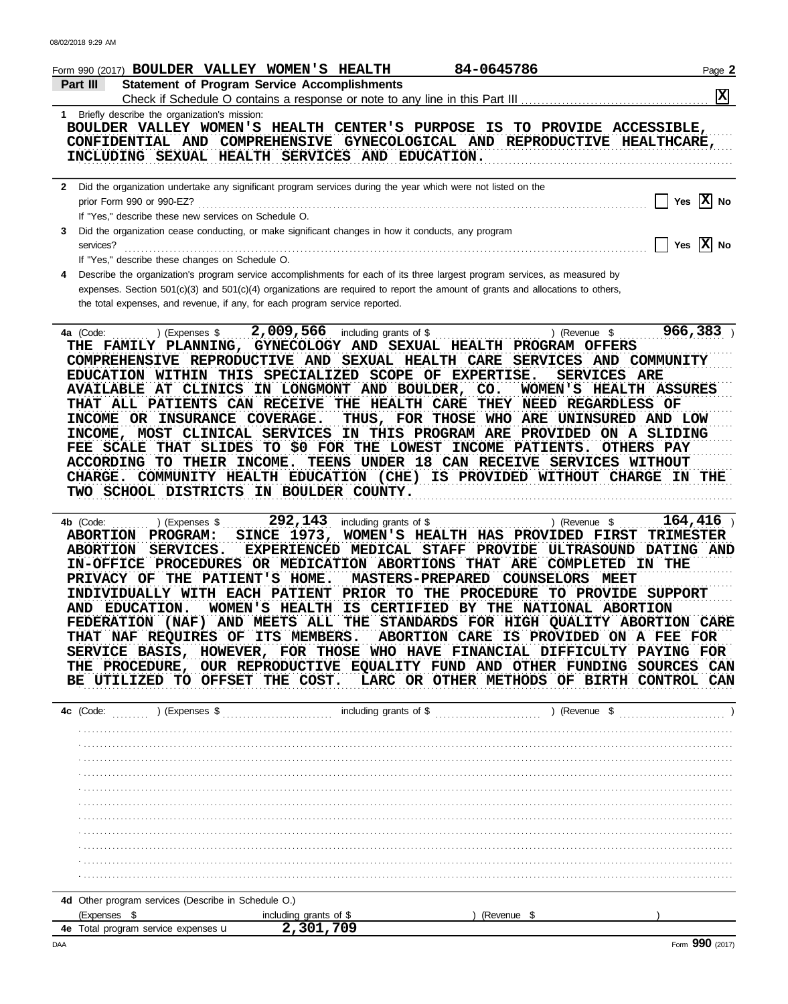| Form 990 (2017) <b>BOULDER VALLEY WOMEN'S HEALTH</b>                                                                                                      |                                                                                                                                                                                                                                                                                                                                                                                                                                                                                                                                                                                                              |                                                                           | 84-0645786                                            |                                                                                                                                                                           | Page 2                                              |
|-----------------------------------------------------------------------------------------------------------------------------------------------------------|--------------------------------------------------------------------------------------------------------------------------------------------------------------------------------------------------------------------------------------------------------------------------------------------------------------------------------------------------------------------------------------------------------------------------------------------------------------------------------------------------------------------------------------------------------------------------------------------------------------|---------------------------------------------------------------------------|-------------------------------------------------------|---------------------------------------------------------------------------------------------------------------------------------------------------------------------------|-----------------------------------------------------|
| Part III                                                                                                                                                  | <b>Statement of Program Service Accomplishments</b>                                                                                                                                                                                                                                                                                                                                                                                                                                                                                                                                                          |                                                                           |                                                       |                                                                                                                                                                           | 区                                                   |
|                                                                                                                                                           |                                                                                                                                                                                                                                                                                                                                                                                                                                                                                                                                                                                                              |                                                                           |                                                       |                                                                                                                                                                           |                                                     |
| 1 Briefly describe the organization's mission:                                                                                                            | BOULDER VALLEY WOMEN'S HEALTH CENTER'S PURPOSE IS TO PROVIDE ACCESSIBLE,<br>CONFIDENTIAL AND COMPREHENSIVE GYNECOLOGICAL AND REPRODUCTIVE HEALTHCARE,<br>INCLUDING SEXUAL HEALTH SERVICES AND EDUCATION.                                                                                                                                                                                                                                                                                                                                                                                                     |                                                                           |                                                       |                                                                                                                                                                           |                                                     |
| 2 Did the organization undertake any significant program services during the year which were not listed on the<br>prior Form 990 or 990-EZ?               | If "Yes," describe these new services on Schedule O.                                                                                                                                                                                                                                                                                                                                                                                                                                                                                                                                                         |                                                                           |                                                       |                                                                                                                                                                           | Yes $ X $ No                                        |
| 3.<br>services?<br>If "Yes," describe these changes on Schedule O.                                                                                        | Did the organization cease conducting, or make significant changes in how it conducts, any program                                                                                                                                                                                                                                                                                                                                                                                                                                                                                                           |                                                                           |                                                       |                                                                                                                                                                           | Yes $\overline{X}$ No                               |
|                                                                                                                                                           | Describe the organization's program service accomplishments for each of its three largest program services, as measured by                                                                                                                                                                                                                                                                                                                                                                                                                                                                                   |                                                                           |                                                       |                                                                                                                                                                           |                                                     |
|                                                                                                                                                           | expenses. Section 501(c)(3) and 501(c)(4) organizations are required to report the amount of grants and allocations to others,<br>the total expenses, and revenue, if any, for each program service reported.                                                                                                                                                                                                                                                                                                                                                                                                |                                                                           |                                                       |                                                                                                                                                                           |                                                     |
| ) (Expenses \$<br>4a (Code:<br>ACCORDING TO THEIR INCOME.                                                                                                 | 2,009,566<br>THE FAMILY PLANNING, GYNECOLOGY AND SEXUAL HEALTH PROGRAM OFFERS<br>COMPREHENSIVE REPRODUCTIVE AND SEXUAL HEALTH CARE SERVICES AND COMMUNITY<br>EDUCATION WITHIN THIS SPECIALIZED SCOPE OF EXPERTISE.<br>AVAILABLE AT CLINICS IN LONGMONT AND BOULDER, CO.<br>THAT ALL PATIENTS CAN RECEIVE THE HEALTH CARE THEY NEED REGARDLESS OF<br>INCOME OR INSURANCE COVERAGE.<br>INCOME, MOST CLINICAL SERVICES<br>FEE SCALE THAT SLIDES TO \$0 FOR THE LOWEST INCOME PATIENTS.<br>CHARGE. COMMUNITY HEALTH EDUCATION (CHE) IS PROVIDED WITHOUT CHARGE IN THE<br>TWO SCHOOL DISTRICTS IN BOULDER COUNTY. | including grants of \$                                                    | IN THIS PROGRAM ARE PROVIDED                          | ) (Revenue \$<br><b>SERVICES ARE</b><br>WOMEN'S HEALTH ASSURES<br>THUS, FOR THOSE WHO ARE UNINSURED AND LOW<br>TEENS UNDER 18 CAN RECEIVE SERVICES WITHOUT                | 966,383<br>ON A SLIDING<br>OTHERS PAY               |
| 4b (Code:<br>) (Expenses \$<br><b>PROGRAM:</b><br><b>ABORTION</b><br>SERVICES.<br><b>ABORTION</b><br>IN-OFFICE PROCEDURES<br>PRIVACY OF<br>AND EDUCATION. | 292,143<br><b>SINCE 1973,</b><br><b>EXPERIENCED</b><br>THE PATIENT'S HOME.<br>INDIVIDUALLY WITH EACH PATIENT PRIOR TO THE PROCEDURE TO PROVIDE SUPPORT<br>FEDERATION (NAF) AND MEETS ALL THE STANDARDS FOR HIGH QUALITY ABORTION CARE<br>THAT NAF REQUIRES OF ITS MEMBERS. ABORTION CARE IS PROVIDED ON A FEE FOR<br>SERVICE BASIS, HOWEVER, FOR THOSE WHO HAVE FINANCIAL DIFFICULTY PAYING FOR<br>THE PROCEDURE, OUR REPRODUCTIVE EQUALITY FUND AND OTHER FUNDING SOURCES CAN<br>BE UTILIZED TO OFFSET THE COST. LARC OR OTHER METHODS OF BIRTH CONTROL CAN                                                 | including grants of \$<br><b>MEDICAL STAFF</b><br>OR MEDICATION ABORTIONS | <b>PROVIDE</b><br>THAT ARE<br><b>MASTERS-PREPARED</b> | ) (Revenue \$<br>WOMEN'S HEALTH HAS PROVIDED FIRST<br>ULTRASOUND<br><b>COMPLETED</b><br>COUNSELORS<br><b>MEET</b><br>WOMEN'S HEALTH IS CERTIFIED BY THE NATIONAL ABORTION | 164,416<br><b>TRIMESTER</b><br>DATING AND<br>IN THE |
|                                                                                                                                                           |                                                                                                                                                                                                                                                                                                                                                                                                                                                                                                                                                                                                              |                                                                           |                                                       |                                                                                                                                                                           |                                                     |
|                                                                                                                                                           |                                                                                                                                                                                                                                                                                                                                                                                                                                                                                                                                                                                                              |                                                                           |                                                       |                                                                                                                                                                           |                                                     |
|                                                                                                                                                           |                                                                                                                                                                                                                                                                                                                                                                                                                                                                                                                                                                                                              |                                                                           |                                                       |                                                                                                                                                                           |                                                     |
|                                                                                                                                                           |                                                                                                                                                                                                                                                                                                                                                                                                                                                                                                                                                                                                              |                                                                           |                                                       |                                                                                                                                                                           |                                                     |
|                                                                                                                                                           |                                                                                                                                                                                                                                                                                                                                                                                                                                                                                                                                                                                                              |                                                                           |                                                       |                                                                                                                                                                           |                                                     |
|                                                                                                                                                           |                                                                                                                                                                                                                                                                                                                                                                                                                                                                                                                                                                                                              |                                                                           |                                                       |                                                                                                                                                                           |                                                     |
|                                                                                                                                                           |                                                                                                                                                                                                                                                                                                                                                                                                                                                                                                                                                                                                              |                                                                           |                                                       |                                                                                                                                                                           |                                                     |
|                                                                                                                                                           |                                                                                                                                                                                                                                                                                                                                                                                                                                                                                                                                                                                                              |                                                                           |                                                       |                                                                                                                                                                           |                                                     |
|                                                                                                                                                           |                                                                                                                                                                                                                                                                                                                                                                                                                                                                                                                                                                                                              |                                                                           |                                                       |                                                                                                                                                                           |                                                     |
|                                                                                                                                                           |                                                                                                                                                                                                                                                                                                                                                                                                                                                                                                                                                                                                              |                                                                           |                                                       |                                                                                                                                                                           |                                                     |
| 4d Other program services (Describe in Schedule O.)                                                                                                       |                                                                                                                                                                                                                                                                                                                                                                                                                                                                                                                                                                                                              |                                                                           |                                                       |                                                                                                                                                                           |                                                     |
| (Expenses \$                                                                                                                                              | including grants of \$                                                                                                                                                                                                                                                                                                                                                                                                                                                                                                                                                                                       |                                                                           | (Revenue \$                                           |                                                                                                                                                                           |                                                     |
| 4e Total program service expenses <b>u</b>                                                                                                                | 2,301,709                                                                                                                                                                                                                                                                                                                                                                                                                                                                                                                                                                                                    |                                                                           |                                                       |                                                                                                                                                                           |                                                     |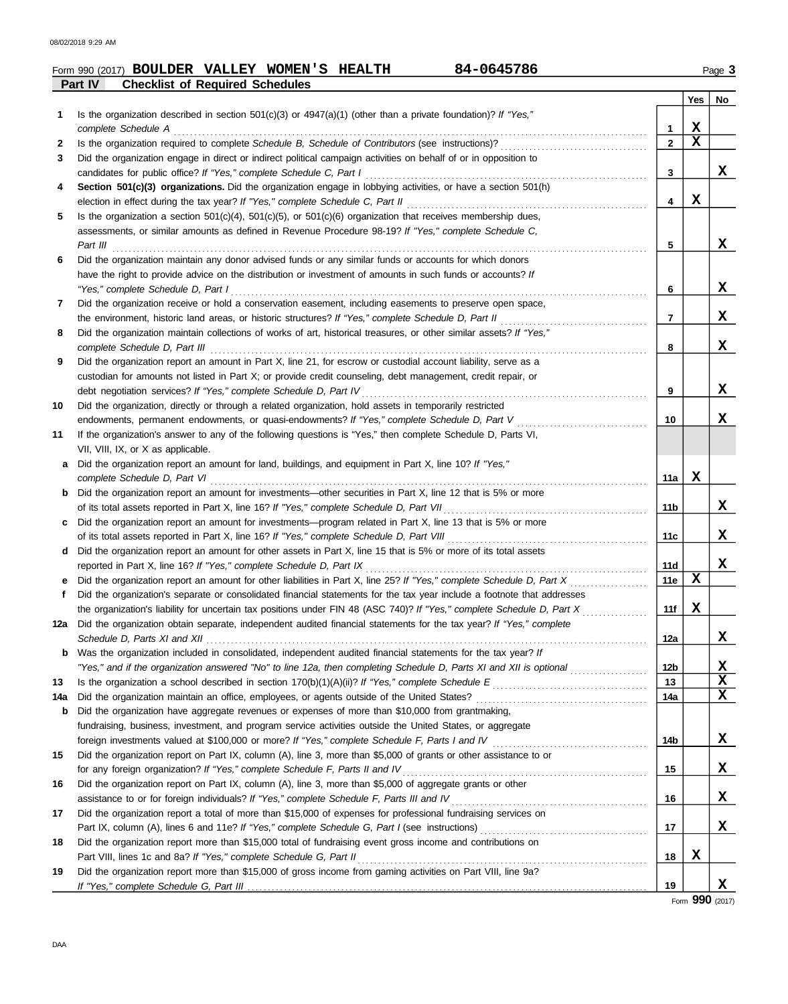|     | 84-0645786<br>Form 990 (2017) <b>BOULDER VALLEY WOMEN'S HEALTH</b>                                                                                                                                                          |                |             | Page 3 |
|-----|-----------------------------------------------------------------------------------------------------------------------------------------------------------------------------------------------------------------------------|----------------|-------------|--------|
|     | Part IV<br><b>Checklist of Required Schedules</b>                                                                                                                                                                           |                |             |        |
|     |                                                                                                                                                                                                                             |                | Yes         | No     |
| 1   | Is the organization described in section 501(c)(3) or 4947(a)(1) (other than a private foundation)? If "Yes,"                                                                                                               |                |             |        |
|     | complete Schedule A                                                                                                                                                                                                         | 1              | X           |        |
| 2   | Is the organization required to complete Schedule B, Schedule of Contributors (see instructions)?                                                                                                                           | $\overline{2}$ | $\mathbf x$ |        |
| 3   | Did the organization engage in direct or indirect political campaign activities on behalf of or in opposition to                                                                                                            |                |             |        |
|     | candidates for public office? If "Yes," complete Schedule C, Part I                                                                                                                                                         | 3              |             | x      |
| 4   | Section 501(c)(3) organizations. Did the organization engage in lobbying activities, or have a section 501(h)                                                                                                               |                | х           |        |
|     | election in effect during the tax year? If "Yes," complete Schedule C, Part II                                                                                                                                              | 4              |             |        |
| 5   | Is the organization a section $501(c)(4)$ , $501(c)(5)$ , or $501(c)(6)$ organization that receives membership dues,                                                                                                        |                |             |        |
|     | assessments, or similar amounts as defined in Revenue Procedure 98-19? If "Yes," complete Schedule C,                                                                                                                       | 5              |             | x      |
| 6   | Part III<br>Did the organization maintain any donor advised funds or any similar funds or accounts for which donors                                                                                                         |                |             |        |
|     |                                                                                                                                                                                                                             |                |             |        |
|     | have the right to provide advice on the distribution or investment of amounts in such funds or accounts? If                                                                                                                 | 6              |             | X      |
|     | "Yes," complete Schedule D, Part I                                                                                                                                                                                          |                |             |        |
| 7   | Did the organization receive or hold a conservation easement, including easements to preserve open space,                                                                                                                   | 7              |             | X      |
|     | the environment, historic land areas, or historic structures? If "Yes," complete Schedule D, Part II<br>Did the organization maintain collections of works of art, historical treasures, or other similar assets? If "Yes," |                |             |        |
| 8   |                                                                                                                                                                                                                             | 8              |             | X      |
| 9   | complete Schedule D, Part III<br>Did the organization report an amount in Part X, line 21, for escrow or custodial account liability, serve as a                                                                            |                |             |        |
|     | custodian for amounts not listed in Part X; or provide credit counseling, debt management, credit repair, or                                                                                                                |                |             |        |
|     | debt negotiation services? If "Yes," complete Schedule D, Part IV                                                                                                                                                           | 9              |             | X      |
| 10  | Did the organization, directly or through a related organization, hold assets in temporarily restricted                                                                                                                     |                |             |        |
|     | endowments, permanent endowments, or quasi-endowments? If "Yes," complete Schedule D, Part V                                                                                                                                | 10             |             | x      |
| 11  | If the organization's answer to any of the following questions is "Yes," then complete Schedule D, Parts VI,                                                                                                                |                |             |        |
|     | VII, VIII, IX, or X as applicable.                                                                                                                                                                                          |                |             |        |
| a   | Did the organization report an amount for land, buildings, and equipment in Part X, line 10? If "Yes,"                                                                                                                      |                |             |        |
|     | complete Schedule D, Part VI                                                                                                                                                                                                | 11a            | x           |        |
| b   | Did the organization report an amount for investments—other securities in Part X, line 12 that is 5% or more                                                                                                                |                |             |        |
|     | of its total assets reported in Part X, line 16? If "Yes," complete Schedule D, Part VII                                                                                                                                    | 11b            |             | x      |
| C   | Did the organization report an amount for investments—program related in Part X, line 13 that is 5% or more                                                                                                                 |                |             |        |
|     | of its total assets reported in Part X, line 16? If "Yes," complete Schedule D, Part VIII                                                                                                                                   | 11c            |             | x      |
| d   | Did the organization report an amount for other assets in Part X, line 15 that is 5% or more of its total assets                                                                                                            |                |             |        |
|     | reported in Part X, line 16? If "Yes," complete Schedule D, Part IX                                                                                                                                                         | 11d            |             | x      |
|     | Did the organization report an amount for other liabilities in Part X, line 25? If "Yes," complete Schedule D, Part X                                                                                                       | 11e            | X           |        |
| f   | Did the organization's separate or consolidated financial statements for the tax year include a footnote that addresses                                                                                                     |                |             |        |
|     | the organization's liability for uncertain tax positions under FIN 48 (ASC 740)? If "Yes," complete Schedule D, Part X                                                                                                      | 11f            | X           |        |
|     | 12a Did the organization obtain separate, independent audited financial statements for the tax year? If "Yes," complete                                                                                                     |                |             |        |
|     |                                                                                                                                                                                                                             | 12a            |             | X      |
|     | <b>b</b> Was the organization included in consolidated, independent audited financial statements for the tax year? If                                                                                                       |                |             |        |
|     | "Yes," and if the organization answered "No" to line 12a, then completing Schedule D, Parts XI and XII is optional                                                                                                          | 12b            |             | X      |
| 13  |                                                                                                                                                                                                                             | 13             |             | X      |
| 14a | Did the organization maintain an office, employees, or agents outside of the United States?                                                                                                                                 | 14a            |             | X      |
| b   | Did the organization have aggregate revenues or expenses of more than \$10,000 from grantmaking,                                                                                                                            |                |             |        |
|     | fundraising, business, investment, and program service activities outside the United States, or aggregate                                                                                                                   |                |             |        |
|     |                                                                                                                                                                                                                             | 14b            |             | X      |
| 15  | Did the organization report on Part IX, column (A), line 3, more than \$5,000 of grants or other assistance to or                                                                                                           |                |             |        |
|     | for any foreign organization? If "Yes," complete Schedule F, Parts II and IV                                                                                                                                                | 15             |             | X      |
| 16  | Did the organization report on Part IX, column (A), line 3, more than \$5,000 of aggregate grants or other                                                                                                                  |                |             |        |
|     | assistance to or for foreign individuals? If "Yes," complete Schedule F, Parts III and IV                                                                                                                                   | 16             |             | X      |
| 17  | Did the organization report a total of more than \$15,000 of expenses for professional fundraising services on                                                                                                              |                |             |        |
|     |                                                                                                                                                                                                                             | 17             |             | X      |
| 18  | Did the organization report more than \$15,000 total of fundraising event gross income and contributions on                                                                                                                 |                |             |        |
|     | Part VIII, lines 1c and 8a? If "Yes," complete Schedule G, Part II                                                                                                                                                          | 18             | X           |        |
| 19  | Did the organization report more than \$15,000 of gross income from gaming activities on Part VIII, line 9a?                                                                                                                |                |             |        |
|     |                                                                                                                                                                                                                             | 19             |             | X      |

Form **990** (2017)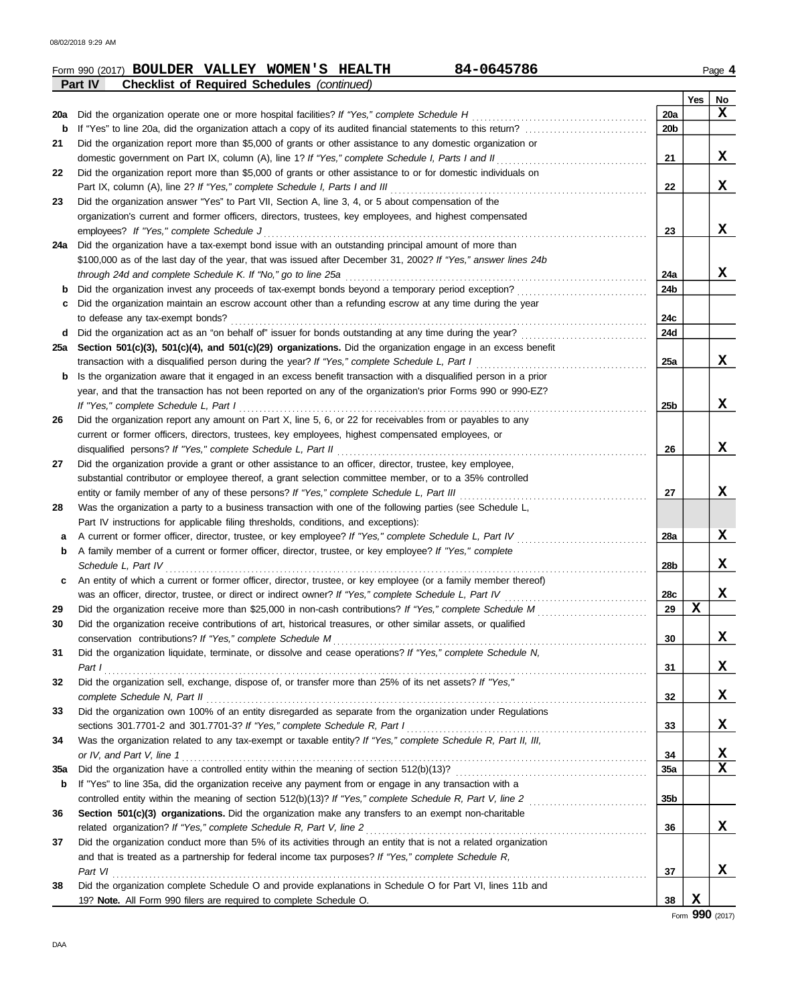DAA

08/02/2018 9:29 AM

|     | 84-0645786<br>Form 990 (2017) <b>BOULDER VALLEY WOMEN'S HEALTH</b>                                                                                                                                                       |                 |     | Page 4            |
|-----|--------------------------------------------------------------------------------------------------------------------------------------------------------------------------------------------------------------------------|-----------------|-----|-------------------|
|     | Part IV<br><b>Checklist of Required Schedules (continued)</b>                                                                                                                                                            |                 |     |                   |
|     |                                                                                                                                                                                                                          |                 | Yes | No                |
| 20a | Did the organization operate one or more hospital facilities? If "Yes," complete Schedule H                                                                                                                              | 20a             |     | X                 |
| b   | If "Yes" to line 20a, did the organization attach a copy of its audited financial statements to this return?                                                                                                             | 20b             |     |                   |
| 21  | Did the organization report more than \$5,000 of grants or other assistance to any domestic organization or                                                                                                              |                 |     |                   |
|     | domestic government on Part IX, column (A), line 1? If "Yes," complete Schedule I, Parts I and II                                                                                                                        | 21              |     | X                 |
| 22  | Did the organization report more than \$5,000 of grants or other assistance to or for domestic individuals on                                                                                                            |                 |     | X                 |
|     | Part IX, column (A), line 2? If "Yes," complete Schedule I, Parts I and III<br>Did the organization answer "Yes" to Part VII, Section A, line 3, 4, or 5 about compensation of the                                       | 22              |     |                   |
| 23  |                                                                                                                                                                                                                          |                 |     |                   |
|     | organization's current and former officers, directors, trustees, key employees, and highest compensated<br>employees? If "Yes," complete Schedule J                                                                      | 23              |     | x                 |
| 24a | Did the organization have a tax-exempt bond issue with an outstanding principal amount of more than                                                                                                                      |                 |     |                   |
|     | \$100,000 as of the last day of the year, that was issued after December 31, 2002? If "Yes," answer lines 24b                                                                                                            |                 |     |                   |
|     | through 24d and complete Schedule K. If "No," go to line 25a                                                                                                                                                             | 24a             |     | x                 |
| b   | Did the organization invest any proceeds of tax-exempt bonds beyond a temporary period exception?                                                                                                                        | 24b             |     |                   |
|     | Did the organization maintain an escrow account other than a refunding escrow at any time during the year                                                                                                                |                 |     |                   |
|     | to defease any tax-exempt bonds?                                                                                                                                                                                         | 24c             |     |                   |
| d   | Did the organization act as an "on behalf of" issuer for bonds outstanding at any time during the year?                                                                                                                  | 24d             |     |                   |
| 25a | Section 501(c)(3), 501(c)(4), and 501(c)(29) organizations. Did the organization engage in an excess benefit                                                                                                             |                 |     |                   |
|     | transaction with a disqualified person during the year? If "Yes," complete Schedule L, Part I                                                                                                                            | 25a             |     | x                 |
| b   | Is the organization aware that it engaged in an excess benefit transaction with a disqualified person in a prior                                                                                                         |                 |     |                   |
|     | year, and that the transaction has not been reported on any of the organization's prior Forms 990 or 990-EZ?                                                                                                             |                 |     |                   |
|     | If "Yes," complete Schedule L, Part I                                                                                                                                                                                    | 25 <sub>b</sub> |     | x                 |
| 26  | Did the organization report any amount on Part X, line 5, 6, or 22 for receivables from or payables to any                                                                                                               |                 |     |                   |
|     | current or former officers, directors, trustees, key employees, highest compensated employees, or                                                                                                                        |                 |     |                   |
|     | disqualified persons? If "Yes," complete Schedule L, Part II                                                                                                                                                             | 26              |     | X                 |
| 27  | Did the organization provide a grant or other assistance to an officer, director, trustee, key employee,                                                                                                                 |                 |     |                   |
|     | substantial contributor or employee thereof, a grant selection committee member, or to a 35% controlled                                                                                                                  |                 |     |                   |
|     | entity or family member of any of these persons? If "Yes," complete Schedule L, Part III                                                                                                                                 | 27              |     | x                 |
| 28  | Was the organization a party to a business transaction with one of the following parties (see Schedule L,                                                                                                                |                 |     |                   |
|     | Part IV instructions for applicable filing thresholds, conditions, and exceptions):                                                                                                                                      |                 |     |                   |
| a   | A current or former officer, director, trustee, or key employee? If "Yes," complete Schedule L, Part IV                                                                                                                  | 28a             |     | X                 |
| b   | A family member of a current or former officer, director, trustee, or key employee? If "Yes," complete                                                                                                                   |                 |     |                   |
|     | Schedule L, Part IV                                                                                                                                                                                                      | 28 <sub>b</sub> |     | x                 |
| c   | An entity of which a current or former officer, director, trustee, or key employee (or a family member thereof)                                                                                                          |                 |     |                   |
|     | was an officer, director, trustee, or direct or indirect owner? If "Yes," complete Schedule L, Part IV                                                                                                                   | 28c             |     | x                 |
| 29  | Did the organization receive more than \$25,000 in non-cash contributions? If "Yes," complete Schedule M                                                                                                                 | 29              | Y   |                   |
| 30  | Did the organization receive contributions of art, historical treasures, or other similar assets, or qualified                                                                                                           |                 |     |                   |
|     | conservation contributions? If "Yes," complete Schedule M                                                                                                                                                                | 30              |     | x                 |
| 31  | Did the organization liquidate, terminate, or dissolve and cease operations? If "Yes," complete Schedule N,                                                                                                              |                 |     |                   |
|     | Part 1                                                                                                                                                                                                                   | 31              |     | X                 |
| 32  | Did the organization sell, exchange, dispose of, or transfer more than 25% of its net assets? If "Yes,"                                                                                                                  |                 |     |                   |
|     |                                                                                                                                                                                                                          | 32              |     | X                 |
| 33  | Did the organization own 100% of an entity disregarded as separate from the organization under Regulations                                                                                                               |                 |     |                   |
|     | sections 301.7701-2 and 301.7701-3? If "Yes," complete Schedule R, Part I                                                                                                                                                | 33              |     | X                 |
| 34  | Was the organization related to any tax-exempt or taxable entity? If "Yes," complete Schedule R, Part II, III,                                                                                                           |                 |     |                   |
|     | or IV, and Part V, line 1                                                                                                                                                                                                | 34              |     | X,<br>$\mathbf x$ |
| 35a |                                                                                                                                                                                                                          | 35a             |     |                   |
| b   | If "Yes" to line 35a, did the organization receive any payment from or engage in any transaction with a                                                                                                                  |                 |     |                   |
|     |                                                                                                                                                                                                                          | 35 <sub>b</sub> |     |                   |
| 36  | Section 501(c)(3) organizations. Did the organization make any transfers to an exempt non-charitable                                                                                                                     | 36              |     | x                 |
| 37  | related organization? If "Yes," complete Schedule R, Part V, line 2                                                                                                                                                      |                 |     |                   |
|     | Did the organization conduct more than 5% of its activities through an entity that is not a related organization<br>and that is treated as a partnership for federal income tax purposes? If "Yes," complete Schedule R, |                 |     |                   |
|     | Part VI                                                                                                                                                                                                                  | 37              |     | x                 |
| 38  | Did the organization complete Schedule O and provide explanations in Schedule O for Part VI, lines 11b and                                                                                                               |                 |     |                   |
|     | 19? Note. All Form 990 filers are required to complete Schedule O.                                                                                                                                                       | 38              | X   |                   |
|     |                                                                                                                                                                                                                          |                 |     | Form 990 (2017)   |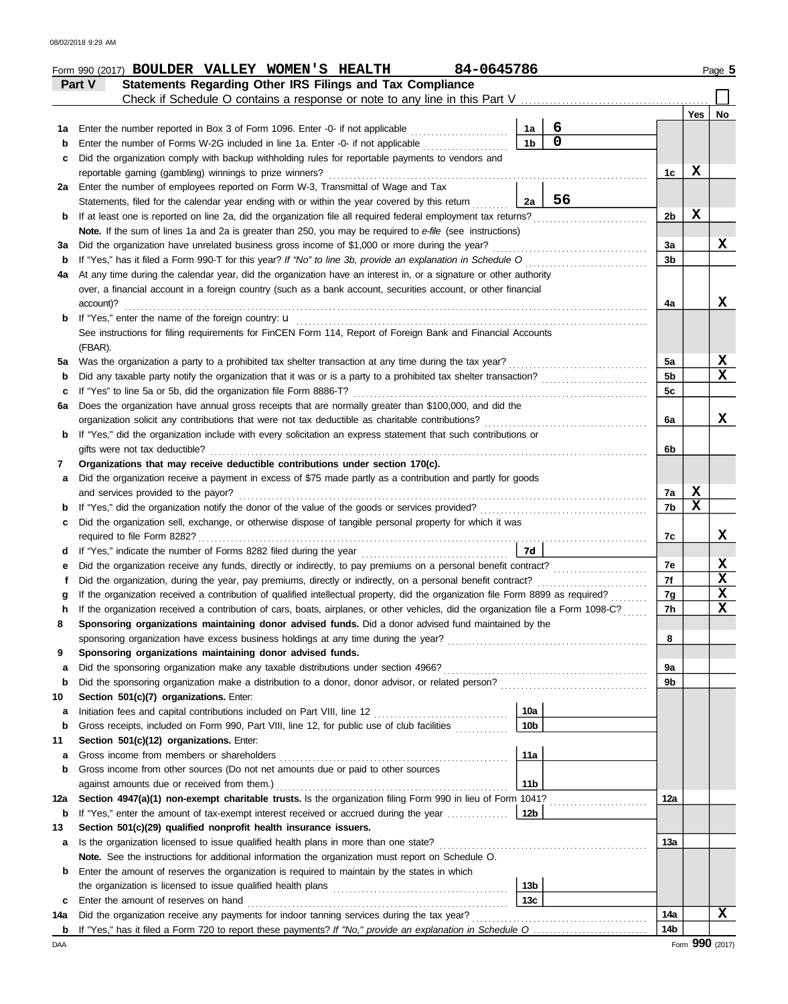|        | 84-0645786<br>Form 990 (2017) BOULDER VALLEY WOMEN'S HEALTH                                                                                                                                                                      |                        |             |                |             | Page 5      |
|--------|----------------------------------------------------------------------------------------------------------------------------------------------------------------------------------------------------------------------------------|------------------------|-------------|----------------|-------------|-------------|
|        | Statements Regarding Other IRS Filings and Tax Compliance<br>Part V                                                                                                                                                              |                        |             |                |             |             |
|        | Check if Schedule O contains a response or note to any line in this Part V                                                                                                                                                       |                        |             |                |             |             |
|        |                                                                                                                                                                                                                                  |                        |             |                | Yes         | No          |
| 1а     | Enter the number reported in Box 3 of Form 1096. Enter -0- if not applicable                                                                                                                                                     | 1a                     | 6           |                |             |             |
|        | Enter the number of Forms W-2G included in line 1a. Enter -0- if not applicable                                                                                                                                                  | 1 <sub>b</sub>         | $\mathbf 0$ |                |             |             |
| c      | Did the organization comply with backup withholding rules for reportable payments to vendors and                                                                                                                                 |                        |             |                |             |             |
|        | reportable gaming (gambling) winnings to prize winners?                                                                                                                                                                          |                        |             | 1c             | X           |             |
| 2a     | Enter the number of employees reported on Form W-3, Transmittal of Wage and Tax                                                                                                                                                  |                        | 56          |                |             |             |
|        | Statements, filed for the calendar year ending with or within the year covered by this return                                                                                                                                    | 2a                     |             |                | X           |             |
| b      | If at least one is reported on line 2a, did the organization file all required federal employment tax returns?                                                                                                                   |                        |             | 2b             |             |             |
|        | <b>Note.</b> If the sum of lines 1a and 2a is greater than 250, you may be required to e-file (see instructions)                                                                                                                 |                        |             |                |             | х           |
| за     | Did the organization have unrelated business gross income of \$1,000 or more during the year?                                                                                                                                    |                        |             | 3a<br>3b       |             |             |
| b      | If "Yes," has it filed a Form 990-T for this year? If "No" to line 3b, provide an explanation in Schedule O<br>At any time during the calendar year, did the organization have an interest in, or a signature or other authority |                        |             |                |             |             |
| 4a     | over, a financial account in a foreign country (such as a bank account, securities account, or other financial                                                                                                                   |                        |             |                |             |             |
|        | account)?                                                                                                                                                                                                                        |                        |             | 4a             |             | x           |
| b      | If "Yes," enter the name of the foreign country: u                                                                                                                                                                               |                        |             |                |             |             |
|        | See instructions for filing requirements for FinCEN Form 114, Report of Foreign Bank and Financial Accounts                                                                                                                      |                        |             |                |             |             |
|        | (FBAR).                                                                                                                                                                                                                          |                        |             |                |             |             |
| 5a     | Was the organization a party to a prohibited tax shelter transaction at any time during the tax year?                                                                                                                            |                        |             | 5a             |             | X           |
| b      | Did any taxable party notify the organization that it was or is a party to a prohibited tax shelter transaction?                                                                                                                 |                        |             | 5 <sub>b</sub> |             | x           |
| c      | If "Yes" to line 5a or 5b, did the organization file Form 8886-T?                                                                                                                                                                |                        |             | 5c             |             |             |
| 6а     | Does the organization have annual gross receipts that are normally greater than \$100,000, and did the                                                                                                                           |                        |             |                |             |             |
|        | organization solicit any contributions that were not tax deductible as charitable contributions?                                                                                                                                 |                        |             | 6a             |             | x           |
| b      | If "Yes," did the organization include with every solicitation an express statement that such contributions or                                                                                                                   |                        |             |                |             |             |
|        | gifts were not tax deductible?                                                                                                                                                                                                   |                        |             | 6b             |             |             |
| 7      | Organizations that may receive deductible contributions under section 170(c).                                                                                                                                                    |                        |             |                |             |             |
| a      | Did the organization receive a payment in excess of \$75 made partly as a contribution and partly for goods                                                                                                                      |                        |             |                |             |             |
|        | and services provided to the payor?                                                                                                                                                                                              |                        |             | 7a             | $\mathbf x$ |             |
| b      | If "Yes," did the organization notify the donor of the value of the goods or services provided?                                                                                                                                  |                        |             | 7b             | X           |             |
| c      | Did the organization sell, exchange, or otherwise dispose of tangible personal property for which it was                                                                                                                         |                        |             |                |             |             |
|        | required to file Form 8282?                                                                                                                                                                                                      |                        |             | 7c             |             | X           |
| d      | If "Yes," indicate the number of Forms 8282 filed during the year                                                                                                                                                                | 7d                     |             |                |             |             |
|        | Did the organization receive any funds, directly or indirectly, to pay premiums on a personal benefit contract?                                                                                                                  |                        |             | 7е             |             | X           |
|        | Did the organization, during the year, pay premiums, directly or indirectly, on a personal benefit contract?                                                                                                                     |                        |             | 7f             |             | X           |
|        | If the organization received a contribution of qualified intellectual property, did the organization file Form 8899 as required?                                                                                                 |                        |             | 7g             |             | $\mathbf x$ |
|        | If the organization received a contribution of cars, boats, airplanes, or other vehicles, did the organization file a Form 1098-C?                                                                                               |                        |             | 7h             |             | $\mathbf x$ |
| 8      | Sponsoring organizations maintaining donor advised funds. Did a donor advised fund maintained by the                                                                                                                             |                        |             |                |             |             |
|        |                                                                                                                                                                                                                                  |                        |             | 8              |             |             |
| 9      | Sponsoring organizations maintaining donor advised funds.                                                                                                                                                                        |                        |             |                |             |             |
| a      |                                                                                                                                                                                                                                  |                        |             | 9a             |             |             |
| b      |                                                                                                                                                                                                                                  |                        |             | 9b             |             |             |
| 10     | Section 501(c)(7) organizations. Enter:                                                                                                                                                                                          |                        |             |                |             |             |
| а      | Initiation fees and capital contributions included on Part VIII, line 12 [11] [11] [12] [11] [12] [11] [12] [1                                                                                                                   | 10a<br>10 <sub>b</sub> |             |                |             |             |
| b      | Gross receipts, included on Form 990, Part VIII, line 12, for public use of club facilities<br>Section 501(c)(12) organizations. Enter:                                                                                          |                        |             |                |             |             |
| 11     | Gross income from members or shareholders                                                                                                                                                                                        | 11a                    |             |                |             |             |
| а<br>b | Gross income from other sources (Do not net amounts due or paid to other sources                                                                                                                                                 |                        |             |                |             |             |
|        |                                                                                                                                                                                                                                  | 11 <sub>b</sub>        |             |                |             |             |
| 12a    | Section 4947(a)(1) non-exempt charitable trusts. Is the organization filing Form 990 in lieu of Form 1041?                                                                                                                       |                        |             | 12a            |             |             |
| b      | If "Yes," enter the amount of tax-exempt interest received or accrued during the year <i>minimizion</i> .                                                                                                                        | 12b                    |             |                |             |             |
| 13     | Section 501(c)(29) qualified nonprofit health insurance issuers.                                                                                                                                                                 |                        |             |                |             |             |
| a      | Is the organization licensed to issue qualified health plans in more than one state?                                                                                                                                             |                        |             | 13а            |             |             |
|        | Note. See the instructions for additional information the organization must report on Schedule O.                                                                                                                                |                        |             |                |             |             |
| b      | Enter the amount of reserves the organization is required to maintain by the states in which                                                                                                                                     |                        |             |                |             |             |
|        |                                                                                                                                                                                                                                  | 13 <sub>b</sub>        |             |                |             |             |
| c      | Enter the amount of reserves on hand                                                                                                                                                                                             | 13 <sub>c</sub>        |             |                |             |             |
| 14a    | Did the organization receive any payments for indoor tanning services during the tax year?                                                                                                                                       |                        |             | 14a            |             | x           |
|        |                                                                                                                                                                                                                                  |                        |             | 14b            |             |             |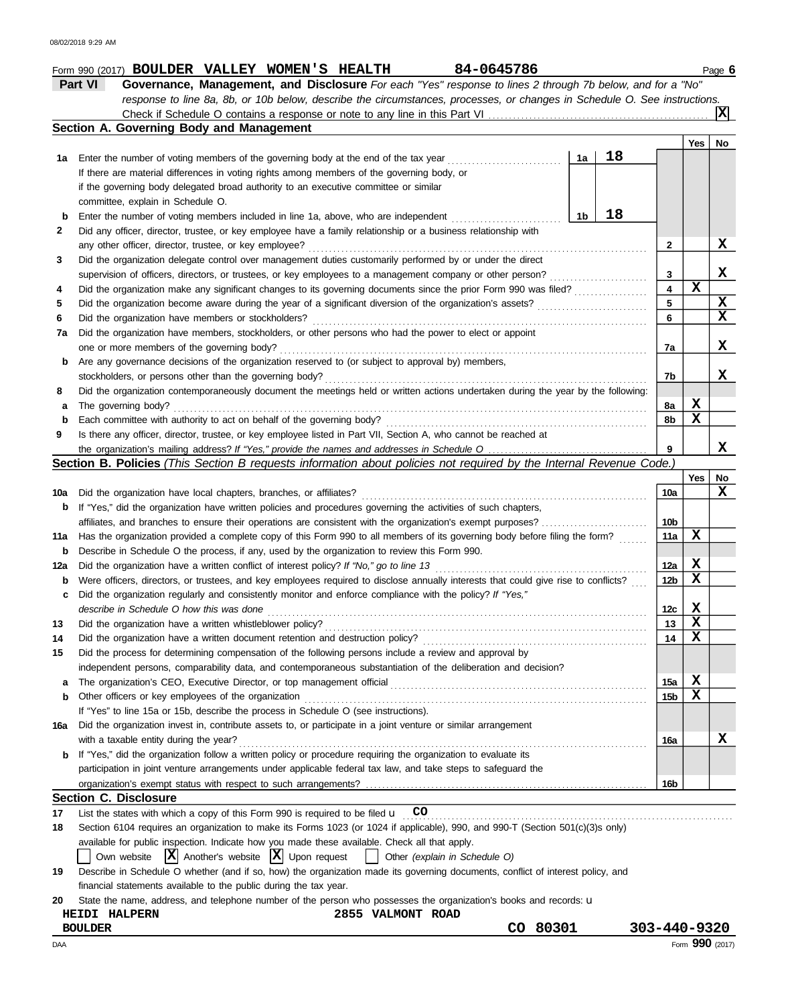# **Form 990 (2017) BOULDER VALLEY WOMEN'S HEALTH 84-0645786 Band 12011 12036 6** Page 6

| Part VI                                  | Governance, Management, and Disclosure For each "Yes" response to lines 2 through 7b below, and for a "No"                |  |  |  |  |  |  |  |  |
|------------------------------------------|---------------------------------------------------------------------------------------------------------------------------|--|--|--|--|--|--|--|--|
|                                          | response to line 8a, 8b, or 10b below, describe the circumstances, processes, or changes in Schedule O. See instructions. |  |  |  |  |  |  |  |  |
|                                          |                                                                                                                           |  |  |  |  |  |  |  |  |
| Section A. Governing Body and Management |                                                                                                                           |  |  |  |  |  |  |  |  |

|          | bechon A. Obverning Douy and management                                                                                                                                                              |    |    |                 |             |             |  |  |  |  |
|----------|------------------------------------------------------------------------------------------------------------------------------------------------------------------------------------------------------|----|----|-----------------|-------------|-------------|--|--|--|--|
|          | 1a Enter the number of voting members of the governing body at the end of the tax year                                                                                                               | 1a | 18 |                 | Yes         | No          |  |  |  |  |
|          | If there are material differences in voting rights among members of the governing body, or                                                                                                           |    |    |                 |             |             |  |  |  |  |
|          | if the governing body delegated broad authority to an executive committee or similar                                                                                                                 |    |    |                 |             |             |  |  |  |  |
|          | committee, explain in Schedule O.                                                                                                                                                                    |    |    |                 |             |             |  |  |  |  |
| b        | Enter the number of voting members included in line 1a, above, who are independent                                                                                                                   | 1b | 18 |                 |             |             |  |  |  |  |
| 2        | Did any officer, director, trustee, or key employee have a family relationship or a business relationship with                                                                                       |    |    |                 |             |             |  |  |  |  |
|          | any other officer, director, trustee, or key employee?                                                                                                                                               |    |    | 2               |             | х           |  |  |  |  |
| 3        | Did the organization delegate control over management duties customarily performed by or under the direct                                                                                            |    |    |                 |             |             |  |  |  |  |
|          | supervision of officers, directors, or trustees, or key employees to a management company or other person?                                                                                           |    |    |                 |             |             |  |  |  |  |
| 4        | Did the organization make any significant changes to its governing documents since the prior Form 990 was filed?                                                                                     |    |    |                 |             |             |  |  |  |  |
| 5        | Did the organization become aware during the year of a significant diversion of the organization's assets?                                                                                           |    |    | 5               | $\mathbf x$ | X           |  |  |  |  |
| 6        | Did the organization have members or stockholders?                                                                                                                                                   |    |    | 6               |             | $\mathbf x$ |  |  |  |  |
| 7a       | Did the organization have members, stockholders, or other persons who had the power to elect or appoint                                                                                              |    |    |                 |             |             |  |  |  |  |
|          | one or more members of the governing body?                                                                                                                                                           |    |    | 7a              |             | х           |  |  |  |  |
| b        | Are any governance decisions of the organization reserved to (or subject to approval by) members,                                                                                                    |    |    |                 |             |             |  |  |  |  |
|          | stockholders, or persons other than the governing body?                                                                                                                                              |    |    | 7b              |             | x           |  |  |  |  |
| 8        | Did the organization contemporaneously document the meetings held or written actions undertaken during the year by the following:                                                                    |    |    |                 |             |             |  |  |  |  |
| a        | The governing body?                                                                                                                                                                                  |    |    | 8а              | х           |             |  |  |  |  |
| b        | Each committee with authority to act on behalf of the governing body?                                                                                                                                |    |    | 8b              | X           |             |  |  |  |  |
| 9        | Is there any officer, director, trustee, or key employee listed in Part VII, Section A, who cannot be reached at                                                                                     |    |    |                 |             |             |  |  |  |  |
|          |                                                                                                                                                                                                      |    |    | 9               |             | x           |  |  |  |  |
|          | Section B. Policies (This Section B requests information about policies not required by the Internal Revenue Code.)                                                                                  |    |    |                 |             |             |  |  |  |  |
|          |                                                                                                                                                                                                      |    |    |                 | Yes         | No          |  |  |  |  |
| 10a      | Did the organization have local chapters, branches, or affiliates?                                                                                                                                   |    |    | 10a             |             | X           |  |  |  |  |
|          | If "Yes," did the organization have written policies and procedures governing the activities of such chapters,<br>b                                                                                  |    |    |                 |             |             |  |  |  |  |
|          | affiliates, and branches to ensure their operations are consistent with the organization's exempt purposes?                                                                                          |    |    |                 |             |             |  |  |  |  |
| 11a      | Has the organization provided a complete copy of this Form 990 to all members of its governing body before filing the form?                                                                          |    |    |                 |             |             |  |  |  |  |
| b        | Describe in Schedule O the process, if any, used by the organization to review this Form 990.<br>Did the organization have a written conflict of interest policy? If "No," go to line 13             |    |    | 12a             | х           |             |  |  |  |  |
| 12a<br>b | Were officers, directors, or trustees, and key employees required to disclose annually interests that could give rise to conflicts?                                                                  |    |    | 12 <sub>b</sub> | X           |             |  |  |  |  |
| c        | Did the organization regularly and consistently monitor and enforce compliance with the policy? If "Yes,"                                                                                            |    |    |                 |             |             |  |  |  |  |
|          | describe in Schedule O how this was done                                                                                                                                                             |    |    | 12c             | x           |             |  |  |  |  |
| 13       | Did the organization have a written whistleblower policy?                                                                                                                                            |    |    | 13              | х           |             |  |  |  |  |
| 14       | Did the organization have a written document retention and destruction policy?                                                                                                                       |    |    | 14              | х           |             |  |  |  |  |
| 15       | Did the process for determining compensation of the following persons include a review and approval by                                                                                               |    |    |                 |             |             |  |  |  |  |
|          | independent persons, comparability data, and contemporaneous substantiation of the deliberation and decision?                                                                                        |    |    |                 |             |             |  |  |  |  |
| a        |                                                                                                                                                                                                      |    |    | 15a             | x           |             |  |  |  |  |
| b        | Other officers or key employees of the organization                                                                                                                                                  |    |    | 15b             | х           |             |  |  |  |  |
|          | If "Yes" to line 15a or 15b, describe the process in Schedule O (see instructions).                                                                                                                  |    |    |                 |             |             |  |  |  |  |
| 16a      | Did the organization invest in, contribute assets to, or participate in a joint venture or similar arrangement                                                                                       |    |    |                 |             |             |  |  |  |  |
|          | with a taxable entity during the year?                                                                                                                                                               |    |    | 16a             |             | х           |  |  |  |  |
| b        | If "Yes," did the organization follow a written policy or procedure requiring the organization to evaluate its                                                                                       |    |    |                 |             |             |  |  |  |  |
|          | participation in joint venture arrangements under applicable federal tax law, and take steps to safeguard the                                                                                        |    |    |                 |             |             |  |  |  |  |
|          |                                                                                                                                                                                                      |    |    | 16b             |             |             |  |  |  |  |
|          | <b>Section C. Disclosure</b>                                                                                                                                                                         |    |    |                 |             |             |  |  |  |  |
| 17       | List the states with which a copy of this Form 990 is required to be filed $\mathbf u$ CO                                                                                                            |    |    |                 |             |             |  |  |  |  |
| 18       | Section 6104 requires an organization to make its Forms 1023 (or 1024 if applicable), 990, and 990-T (Section 501(c)(3)s only)                                                                       |    |    |                 |             |             |  |  |  |  |
|          | available for public inspection. Indicate how you made these available. Check all that apply.                                                                                                        |    |    |                 |             |             |  |  |  |  |
|          | $ \mathbf{X} $ Another's website $ \mathbf{X} $ Upon request<br>Other (explain in Schedule O)<br>Own website                                                                                         |    |    |                 |             |             |  |  |  |  |
| 19       | Describe in Schedule O whether (and if so, how) the organization made its governing documents, conflict of interest policy, and<br>financial statements available to the public during the tax year. |    |    |                 |             |             |  |  |  |  |
|          |                                                                                                                                                                                                      |    |    |                 |             |             |  |  |  |  |

| 20 State the name, address, and telephone number of the person who possesses the organization's books and records: <b>u</b> |  |  |  |
|-----------------------------------------------------------------------------------------------------------------------------|--|--|--|
|                                                                                                                             |  |  |  |

| CO. | 80301 |
|-----|-------|
|-----|-------|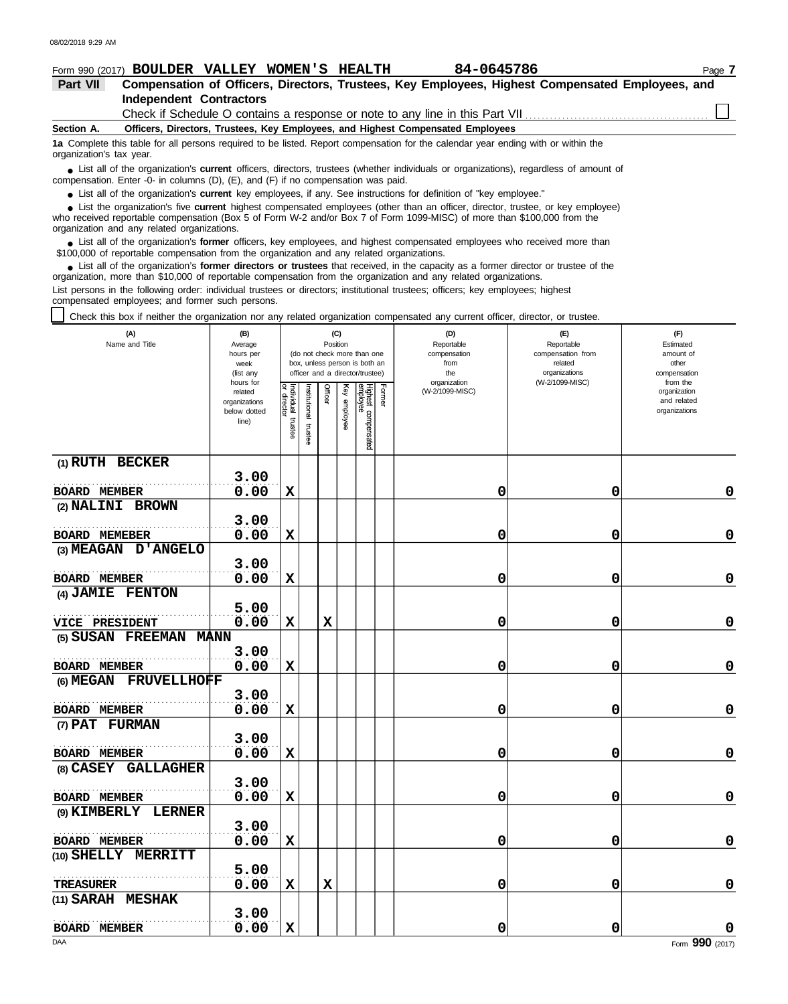**(9) KIMBERLY LERNER**

**BOARD MEMBER** 0.00

**3.00**

**5.00**

**3.00**

. . . . . . . . . . . . . . . . . . . . . . . . . . . . . . . . . . . . . . . . . . . . . . . . . . . . . . .

. . . . . . . . . . . . . . . . . . . . . . . . . . . . . . . . . . . . . . . . . . . . . . . . . . . . . . .

**(10) SHELLY MERRITT**

**(11) SARAH MESHAK**

**TREASURER**

**BOARD MEMBER**

### **Form 990 (2017) BOULDER VALLEY WOMEN'S HEALTH 84-0645786 Page 7 Part VII Compensation of Officers, Directors, Trustees, Key Employees, Highest Compensated Employees, and Independent Contractors** Check if Schedule O contains a response or note to any line in this Part VII. **Officers, Directors, Trustees, Key Employees, and Highest Compensated Employees Section A. 1a** Complete this table for all persons required to be listed. Report compensation for the calendar year ending with or within the organization's tax year. ■ List all of the organization's **current** officers, directors, trustees (whether individuals or organizations), regardless of amount of annount of the companies of amount of the companies in columns (D) (E) and (E) if no compensation. Enter -0- in columns (D), (E), and (F) if no compensation was paid. ● List all of the organization's **current** key employees, if any. See instructions for definition of "key employee." ■ List the organization's five **current** highest compensated employees (other than an officer, director, trustee, or key employee)<br> **•** Preceived reportable compensation (Box 5 of Form W.2 and/or Box 7 of Form 1000 MISC) who received reportable compensation (Box 5 of Form W-2 and/or Box 7 of Form 1099-MISC) of more than \$100,000 from the organization and any related organizations. ● List all of the organization's **former** officers, key employees, and highest compensated employees who received more than<br> **•** 00,000 of reportable compensation from the ergonization and any related ergonizations \$100,000 of reportable compensation from the organization and any related organizations. ■ List all of the organization's **former directors or trustees** that received, in the capacity as a former director or trustee of the properties and any related organizations organization, more than \$10,000 of reportable compensation from the organization and any related organizations. List persons in the following order: individual trustees or directors; institutional trustees; officers; key employees; highest compensated employees; and former such persons. Check this box if neither the organization nor any related organization compensated any current officer, director, or trustee. **(A) (B) (C) (D) (E) (F)** Reportable Reportable **Estimated** Name and Title **Position Position** Average hours per (do not check more than one compensation<br>from compensation from amount of week box, unless person is both an related from ended related and other (list any officer and a director/trustee) the organizations compensation organization (W-2/1099-MISC) from the hours for related Í (W-2/1099-MISC) organization **THICET** lghest orme stitutional organizations vidual and related employee below dotted organizations compensatec line) mstee trustee **(1) RUTH BECKER 3.00** . . . . . . . . . . . . . . . . . . . . . . . . . . . . . . . . . . . . . . . . . . . . . . . . . . . . . . . **BOARD MEMBER 0.00 X 0 0 0 (2) NALINI BROWN 3.00** . . . . . . . . . . . . . . . . . . . . . . . . . . . . . . . . . . . . . . . . . . . . . . . . . . . . . . . **BOARD MEMEBER 0.00 X 0 0 0 (3) MEAGAN D'ANGELO 3.00** . . . . . . . . . . . . . . . . . . . . . . . . . . . . . . . . . . . . . . . . . . . . . . . . . . . . . . . **BOARD MEMBER 0.00 X 0 0 0 (4) JAMIE FENTON 5.00** . . . . . . . . . . . . . . . . . . . . . . . . . . . . . . . . . . . . . . . . . . . . . . . . . . . . . . . **VICE PRESIDENT 0.00 X X 0 0 0 (5) SUSAN FREEMAN MANN 3.00** . . . . . . . . . . . . . . . . . . . . . . . . . . . . . . . . . . . . . . . . . . . . . . . . . . . . . . . **BOARD MEMBER 0.00 X 0 0 0 (6) MEGAN FRUVELLHOFF 3.00** . . . . . . . . . . . . . . . . . . . . . . . . . . . . . . . . . . . . . . . . . . . . . . . . . . . . . . . **0.00 X 0 0 0 BOARD MEMBER (7) PAT FURMAN 3.00** . . . . . . . . . . . . . . . . . . . . . . . . . . . . . . . . . . . . . . . . . . . . . . . . . . . . . . . **BOARD MEMBER 0.00 X 0 0 0 (8) CASEY GALLAGHER 3.00** . . . . . . . . . . . . . . . . . . . . . . . . . . . . . . . . . . . . . . . . . . . . . . . . . . . . . . . **0.00 X 0 0 0 BOARD MEMBER**

**0.00 X 0 0 0**

**0.00 X X 0 0 0**

**0.00 X 0 0 0**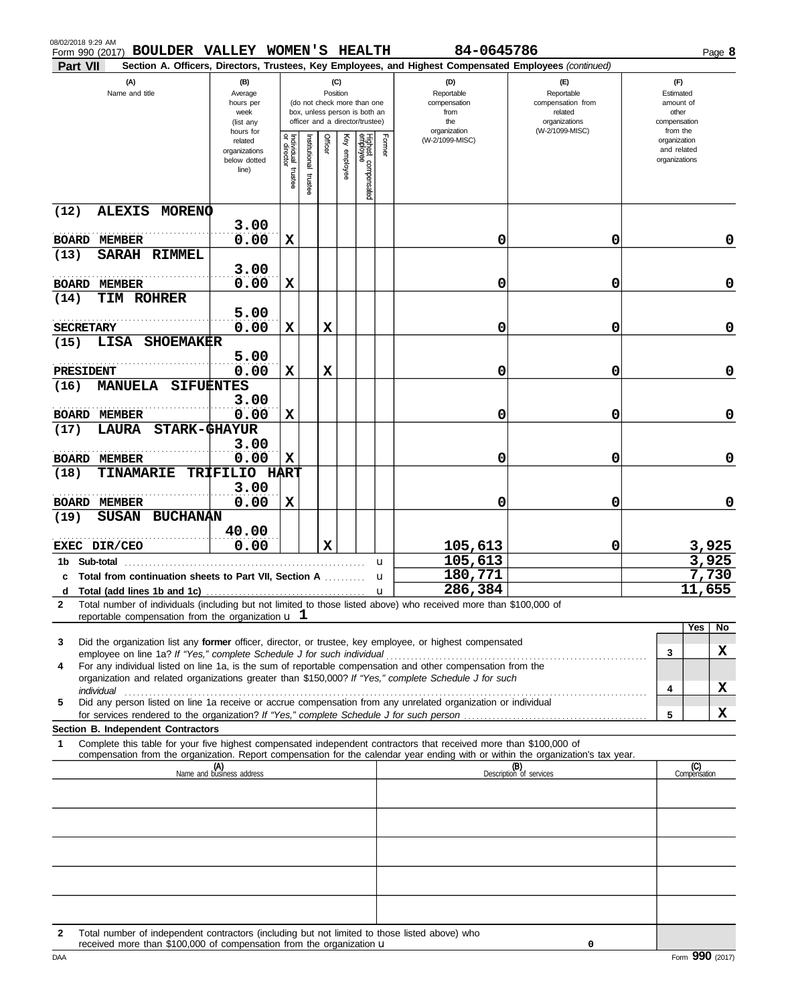| (A)<br>Name and title                                                       |                                  | (B)<br>Average<br>hours per<br>week<br>(list any               |                                      |                         | (C)<br>Position |                 | (do not check more than one<br>box, unless person is both an<br>officer and a director/trustee) |             | (D)<br>Reportable<br>compensation<br>from<br>the                                                                                 | $(\mathsf{F})$<br>Reportable<br>compensation from<br>related<br>organizations | (F)<br>Estimated<br>amount of<br>other<br>compensation |                                                          |                |  |
|-----------------------------------------------------------------------------|----------------------------------|----------------------------------------------------------------|--------------------------------------|-------------------------|-----------------|-----------------|-------------------------------------------------------------------------------------------------|-------------|----------------------------------------------------------------------------------------------------------------------------------|-------------------------------------------------------------------------------|--------------------------------------------------------|----------------------------------------------------------|----------------|--|
|                                                                             |                                  | hours for<br>related<br>organizations<br>below dotted<br>line) | Individual<br>or director<br>trustee | nstitutional<br>trustee | Officer         | Ķey<br>employee | Highest compensated<br>employee                                                                 | Former      | organization<br>(W-2/1099-MISC)                                                                                                  | (W-2/1099-MISC)                                                               |                                                        | from the<br>organization<br>and related<br>organizations |                |  |
| <b>ALEXIS</b><br>(12)                                                       | <b>MORENO</b>                    | 3.00                                                           |                                      |                         |                 |                 |                                                                                                 |             |                                                                                                                                  |                                                                               |                                                        |                                                          |                |  |
| <b>BOARD</b><br>MEMBER                                                      |                                  | 0.00                                                           | X                                    |                         |                 |                 |                                                                                                 |             | 0                                                                                                                                | 0                                                                             |                                                        |                                                          | 0              |  |
| <b>SARAH</b><br>(13)                                                        | <b>RIMMEL</b>                    |                                                                |                                      |                         |                 |                 |                                                                                                 |             |                                                                                                                                  |                                                                               |                                                        |                                                          |                |  |
| <b>BOARD</b><br><b>MEMBER</b>                                               |                                  | 3.00<br>0.00                                                   | X                                    |                         |                 |                 |                                                                                                 |             | 0                                                                                                                                | 0                                                                             |                                                        |                                                          | 0              |  |
| <b>TIM ROHRER</b><br>(14)                                                   |                                  |                                                                |                                      |                         |                 |                 |                                                                                                 |             |                                                                                                                                  |                                                                               |                                                        |                                                          |                |  |
|                                                                             |                                  | 5.00                                                           |                                      |                         |                 |                 |                                                                                                 |             |                                                                                                                                  |                                                                               |                                                        |                                                          |                |  |
| <b>SECRETARY</b>                                                            |                                  | 0.00                                                           | X                                    |                         | $\mathbf x$     |                 |                                                                                                 |             | 0                                                                                                                                | 0                                                                             |                                                        |                                                          | 0              |  |
| LISA<br>(15)                                                                | <b>SHOEMAKER</b>                 | 5.00                                                           |                                      |                         |                 |                 |                                                                                                 |             |                                                                                                                                  |                                                                               |                                                        |                                                          |                |  |
| PRESIDENT                                                                   |                                  | 0.00                                                           | X                                    |                         | X               |                 |                                                                                                 |             | 0                                                                                                                                | 0                                                                             |                                                        |                                                          | 0              |  |
| <b>MANUELA</b><br>(16)                                                      | <b>SIFUENTES</b>                 |                                                                |                                      |                         |                 |                 |                                                                                                 |             |                                                                                                                                  |                                                                               |                                                        |                                                          |                |  |
|                                                                             |                                  | 3.00<br>0.00                                                   | X                                    |                         |                 |                 |                                                                                                 |             | 0                                                                                                                                | 0                                                                             |                                                        |                                                          | 0              |  |
| <b>BOARD</b><br><b>MEMBER</b><br>LAURA<br>(17)                              | <b>STARK-GHAYUR</b>              |                                                                |                                      |                         |                 |                 |                                                                                                 |             |                                                                                                                                  |                                                                               |                                                        |                                                          |                |  |
|                                                                             |                                  | 3.00                                                           |                                      |                         |                 |                 |                                                                                                 |             |                                                                                                                                  |                                                                               |                                                        |                                                          |                |  |
| <b>BOARD</b><br><b>MEMBER</b>                                               |                                  | 0.00                                                           | X                                    |                         |                 |                 |                                                                                                 |             | 0                                                                                                                                | 0                                                                             |                                                        |                                                          | 0              |  |
| <b>TINAMARIE</b><br>(18)                                                    | <b>TRIFILIO HART</b>             | 3.00                                                           |                                      |                         |                 |                 |                                                                                                 |             |                                                                                                                                  |                                                                               |                                                        |                                                          |                |  |
| <b>BOARD</b><br><b>MEMBER</b>                                               |                                  | 0.00                                                           | X                                    |                         |                 |                 |                                                                                                 |             | 0                                                                                                                                | 0                                                                             |                                                        |                                                          | 0              |  |
| <b>SUSAN</b><br>(19)                                                        | <b>BUCHANAN</b>                  |                                                                |                                      |                         |                 |                 |                                                                                                 |             |                                                                                                                                  |                                                                               |                                                        |                                                          |                |  |
|                                                                             |                                  | 40.00                                                          |                                      |                         |                 |                 |                                                                                                 |             |                                                                                                                                  |                                                                               |                                                        |                                                          |                |  |
| EXEC DIR/CEO<br>1b Sub-total                                                |                                  | 0.00                                                           |                                      |                         | X               |                 |                                                                                                 |             | 105,613<br>105,613                                                                                                               | 0                                                                             |                                                        |                                                          | 3,925<br>3,925 |  |
| Total from continuation sheets to Part VII, Section A<br>С                  |                                  |                                                                |                                      |                         |                 |                 |                                                                                                 | u<br>u      | 180,771                                                                                                                          |                                                                               |                                                        |                                                          | 7,730          |  |
| d                                                                           |                                  |                                                                |                                      |                         |                 |                 |                                                                                                 | $\mathbf u$ | 286,384                                                                                                                          |                                                                               |                                                        |                                                          | 11,655         |  |
| 2<br>reportable compensation from the organization $\bf{u}$ 1               |                                  |                                                                |                                      |                         |                 |                 |                                                                                                 |             | Total number of individuals (including but not limited to those listed above) who received more than \$100,000 of                |                                                                               |                                                        |                                                          |                |  |
|                                                                             |                                  |                                                                |                                      |                         |                 |                 |                                                                                                 |             |                                                                                                                                  |                                                                               |                                                        | Yes                                                      | No             |  |
| 3                                                                           |                                  |                                                                |                                      |                         |                 |                 |                                                                                                 |             | Did the organization list any former officer, director, or trustee, key employee, or highest compensated                         |                                                                               |                                                        | 3                                                        | x              |  |
| employee on line 1a? If "Yes," complete Schedule J for such individual<br>4 |                                  |                                                                |                                      |                         |                 |                 |                                                                                                 |             | For any individual listed on line 1a, is the sum of reportable compensation and other compensation from the                      |                                                                               |                                                        |                                                          |                |  |
|                                                                             |                                  |                                                                |                                      |                         |                 |                 |                                                                                                 |             | organization and related organizations greater than \$150,000? If "Yes," complete Schedule J for such                            |                                                                               |                                                        |                                                          | X              |  |
| individual<br>5                                                             |                                  |                                                                |                                      |                         |                 |                 |                                                                                                 |             | Did any person listed on line 1a receive or accrue compensation from any unrelated organization or individual                    |                                                                               |                                                        | 4                                                        |                |  |
|                                                                             |                                  |                                                                |                                      |                         |                 |                 |                                                                                                 |             |                                                                                                                                  |                                                                               |                                                        | 5                                                        | X              |  |
| <b>Section B. Independent Contractors</b>                                   |                                  |                                                                |                                      |                         |                 |                 |                                                                                                 |             | Complete this table for your five highest compensated independent contractors that received more than \$100,000 of               |                                                                               |                                                        |                                                          |                |  |
| 1                                                                           |                                  |                                                                |                                      |                         |                 |                 |                                                                                                 |             | compensation from the organization. Report compensation for the calendar year ending with or within the organization's tax year. |                                                                               |                                                        |                                                          |                |  |
|                                                                             | (A)<br>Name and business address |                                                                |                                      |                         |                 |                 |                                                                                                 |             |                                                                                                                                  | (B)<br>Description of services                                                |                                                        | (C)<br>Compensation                                      |                |  |
|                                                                             |                                  |                                                                |                                      |                         |                 |                 |                                                                                                 |             |                                                                                                                                  |                                                                               |                                                        |                                                          |                |  |
|                                                                             |                                  |                                                                |                                      |                         |                 |                 |                                                                                                 |             |                                                                                                                                  |                                                                               |                                                        |                                                          |                |  |
|                                                                             |                                  |                                                                |                                      |                         |                 |                 |                                                                                                 |             |                                                                                                                                  |                                                                               |                                                        |                                                          |                |  |
|                                                                             |                                  |                                                                |                                      |                         |                 |                 |                                                                                                 |             |                                                                                                                                  |                                                                               |                                                        |                                                          |                |  |
|                                                                             |                                  |                                                                |                                      |                         |                 |                 |                                                                                                 |             |                                                                                                                                  |                                                                               |                                                        |                                                          |                |  |
|                                                                             |                                  |                                                                |                                      |                         |                 |                 |                                                                                                 |             |                                                                                                                                  |                                                                               |                                                        |                                                          |                |  |
|                                                                             |                                  |                                                                |                                      |                         |                 |                 |                                                                                                 |             |                                                                                                                                  |                                                                               |                                                        |                                                          |                |  |
|                                                                             |                                  |                                                                |                                      |                         |                 |                 |                                                                                                 |             |                                                                                                                                  |                                                                               |                                                        |                                                          |                |  |

**Form 990 (2017) BOULDER VALLEY WOMEN'S HEALTH 84-0645786 BOULDER Page 8** 

**Part VII Section A. Officers, Directors, Trustees, Key Employees, and Highest Compensated Employees** *(continued)*

**2** Total number of independent contractors (including but not limited to those listed above) who received more than  $$100,000$  of compensation from the organization  $$ 

**0**

08/02/2018 9:29 AM<br>Form 990 (2017)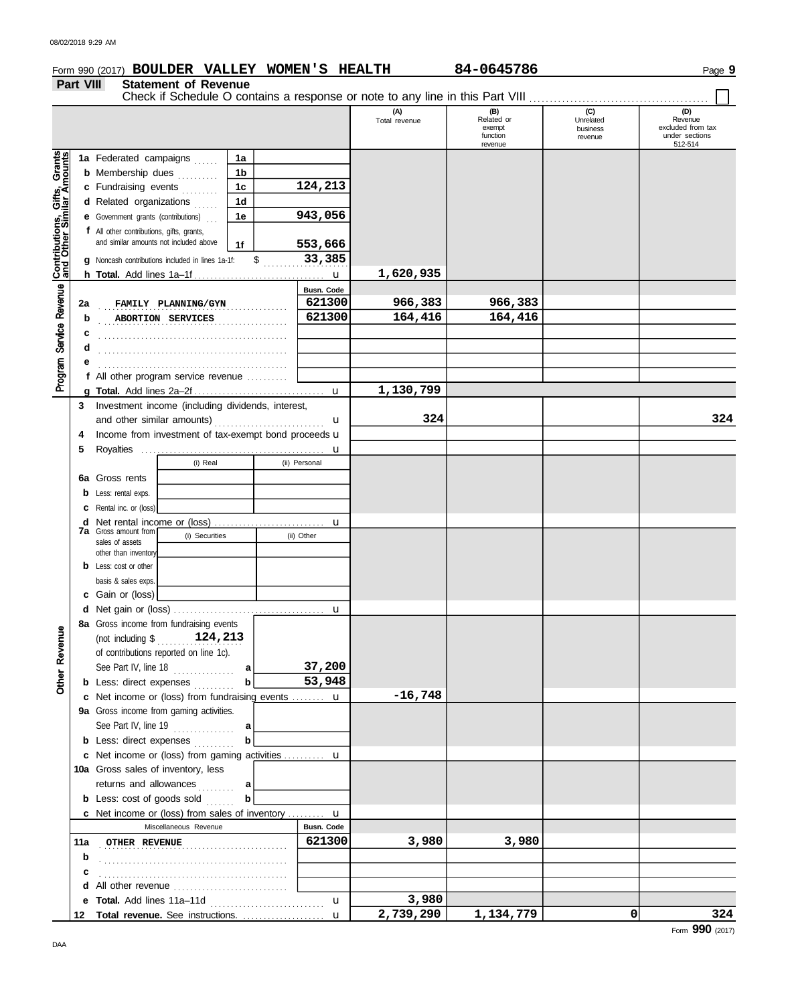### **Form 990 (2017) BOULDER VALLEY WOMEN'S HEALTH 84-0645786 Band 12011 1203 9** Page 9 **Part VIII Statement of Revenue** Check if Schedule O contains a response or note to any line in this Part VIII ................................ (A)<br>Total revenue **(B) (C) (D) Related** or **Unrelated Revenue** exempt excluded from tax business function under sections revenue 512-514 revenue Grants **1a 1a** Federated campaigns ...... **1b b** Membership dues *........*... **124,213 1c** Gifts,<br>liar Ar **c** Fundraising events . . . . . . . . **1d d** Related organizations ...... **943,056 1e** Contributions,<br>and Other Sim **e** Government grants (contributions) . . . **f** All other contributions, gifts, grants, and similar amounts not included above **1f 553,666** \$ . . . . . . . . . . . . . . . . . . . . . **33,385 g** Noncash contributions included in lines 1a-1f: **1,620,935** u **h Total.** Add lines 1a–1f . . . . . . . . . . . . . . . . . . . . . . . . . . . . . . . . Revenue **Busn. Code** . . . . . . . . . . . . . . . . . . . . . . . . . . . . . . . . . . . . . . . . . . . . . . **2a FAMILY PLANNING/GYN 621300 966,383 966,383** . . . . . . . . . . . . . . . . . . . . . . . . . . . . . . . . . . . . . . . . . . . . . . **b ABORTION SERVICES 621300 164,416 164,416** Program Service . . . . . . . . . . . . . . . . . . . . . . . . . . . . . . . . . . . . . . . . . . . . . . **c** . . . . . . . . . . . . . . . . . . . . . . . . . . . . . . . . . . . . . . . . . . . . . . **d e** . . . . . . . . . . . . . . . . . . . . . . . . . . . . . . . . . . . . . . . . . . . . . . **f** All other program service revenue . . . . . . . . . . **1,130,799 g Total.** Add lines 2a–2f . . . . . . . . . . . . . . . . . . . . . . . . . . . . . . . . u **3** Investment income (including dividends, interest, and other similar amounts) . . . . . . . . . . . . . . . . . . . . . . . . . . . u **324 324** 4 Income from investment of tax-exempt bond proceeds **u 5** Royalties . . . . . . . . . . . . . . . . . . . . . . . . . . . . . . . . . . . . . . . . . . . . . u (i) Real (ii) Personal **6a** Gross rents **b** Less: rental exps. **c** Rental inc. or (loss) **d** Net rental income or (loss) ............................. u **7a** Gross amount from (i) Securities (ii) Other sales of assets other than inventor **b** Less: cost or other basis & sales exps. **c** Gain or (loss) **d** u Net gain or (loss) . . . . . . . . . . . . . . . . . . . . . . . . . . . . . . . . . . . . . **8a** Gross income from fundraising events Revenue (not including \$ . . . . . . . . . . . . . . . . . . . . . **124,213** of contributions reported on line 1c). **37,200 a** See Part IV, line 18 . . . . . . . . . . . . . **a** Other **53,948 b** Less: direct expenses . . . . . . . . **b -16,748 c** Net income or (loss) from fundraising events ........ **u 9a** Gross income from gaming activities. See Part IV, line 19 . . . . . . . . . . . . . . . **a b b** Less: direct expenses **........**.. Net income or (loss) from gaming activities . . . . . . . . . . **c** u 10a Gross sales of inventory, less returns and allowances ......... **a b** Less: cost of goods sold ....... **b** u Net income or (loss) from sales of inventory . . . . . . . . . **c** Miscellaneous Revenue **Busn. Code 11a** . . . . . . . . . . . . . . . . . . . . . . . . . . . . . . . . . . . . . . . . . . . . . . **OTHER REVENUE 621300 3,980 3,980 b c** . . . . . . . . . . . . . . . . . . . . . . . . . . . . . . . . . . . . . . . . . . . . . . **d** All other revenue ..............................

**e Total.** Add lines 11a–11d . . . . . . . . . . . . . . . . . . . . . . . . . . . . **Total revenue.** See instructions. . . . . . . . . . . . . . . . . . . . . **12** u u **3,980**

**2,739,290 1,134,779 0 324**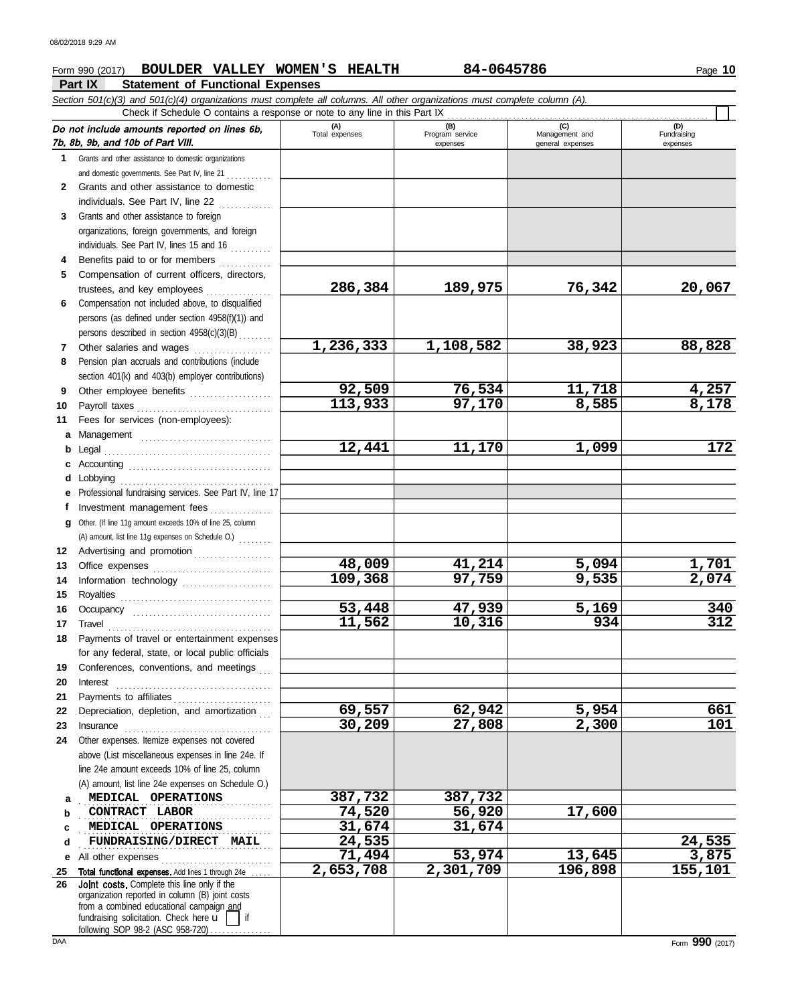# **Form 990 (2017) BOULDER VALLEY WOMEN'S HEALTH 84-0645786 Bullet 84-0645786**

**Part IX Statement of Functional Expenses**

|              | Section 501(c)(3) and 501(c)(4) organizations must complete all columns. All other organizations must complete column (A).<br>Check if Schedule O contains a response or note to any line in this Part IX                                 |                       |                                    |                                           |                                |
|--------------|-------------------------------------------------------------------------------------------------------------------------------------------------------------------------------------------------------------------------------------------|-----------------------|------------------------------------|-------------------------------------------|--------------------------------|
|              | Do not include amounts reported on lines 6b,<br>7b, 8b, 9b, and 10b of Part VIII.                                                                                                                                                         | (A)<br>Total expenses | (B)<br>Program service<br>expenses | (C)<br>Management and<br>general expenses | (D)<br>Fundraising<br>expenses |
|              | 1 Grants and other assistance to domestic organizations                                                                                                                                                                                   |                       |                                    |                                           |                                |
|              | and domestic governments. See Part IV, line 21                                                                                                                                                                                            |                       |                                    |                                           |                                |
| $\mathbf{2}$ | Grants and other assistance to domestic                                                                                                                                                                                                   |                       |                                    |                                           |                                |
|              | individuals. See Part IV, line 22                                                                                                                                                                                                         |                       |                                    |                                           |                                |
| 3            | Grants and other assistance to foreign                                                                                                                                                                                                    |                       |                                    |                                           |                                |
|              | organizations, foreign governments, and foreign                                                                                                                                                                                           |                       |                                    |                                           |                                |
|              | individuals. See Part IV, lines 15 and 16                                                                                                                                                                                                 |                       |                                    |                                           |                                |
| 4            | Benefits paid to or for members                                                                                                                                                                                                           |                       |                                    |                                           |                                |
| 5.           | Compensation of current officers, directors,                                                                                                                                                                                              |                       |                                    |                                           |                                |
|              | trustees, and key employees                                                                                                                                                                                                               | 286,384               | 189,975                            | 76,342                                    | 20,067                         |
| 6            | Compensation not included above, to disqualified                                                                                                                                                                                          |                       |                                    |                                           |                                |
|              | persons (as defined under section 4958(f)(1)) and                                                                                                                                                                                         |                       |                                    |                                           |                                |
|              | persons described in section 4958(c)(3)(B)                                                                                                                                                                                                |                       |                                    |                                           |                                |
| 7            | Other salaries and wages<br>.                                                                                                                                                                                                             | 1,236,333             | 1,108,582                          | 38,923                                    | 88,828                         |
| 8            | Pension plan accruals and contributions (include                                                                                                                                                                                          |                       |                                    |                                           |                                |
|              | section 401(k) and 403(b) employer contributions)                                                                                                                                                                                         |                       |                                    |                                           |                                |
| 9            | Other employee benefits                                                                                                                                                                                                                   | 92,509                | 76,534                             | <u>11,718</u>                             |                                |
| 10           |                                                                                                                                                                                                                                           | 113,933               | 97,170                             | 8,585                                     | $\frac{4,257}{8,178}$          |
| 11           | Fees for services (non-employees):                                                                                                                                                                                                        |                       |                                    |                                           |                                |
| a            |                                                                                                                                                                                                                                           |                       |                                    |                                           |                                |
| b            |                                                                                                                                                                                                                                           | 12,441                | 11,170                             | 1,099                                     | 172                            |
| c            |                                                                                                                                                                                                                                           |                       |                                    |                                           |                                |
|              | Lobbying                                                                                                                                                                                                                                  |                       |                                    |                                           |                                |
|              | Professional fundraising services. See Part IV, line 17                                                                                                                                                                                   |                       |                                    |                                           |                                |
|              | Investment management fees                                                                                                                                                                                                                |                       |                                    |                                           |                                |
| q            | Other. (If line 11g amount exceeds 10% of line 25, column                                                                                                                                                                                 |                       |                                    |                                           |                                |
|              | (A) amount, list line 11g expenses on Schedule O.)                                                                                                                                                                                        |                       |                                    |                                           |                                |
| 12           | Advertising and promotion                                                                                                                                                                                                                 |                       |                                    |                                           |                                |
| 13           |                                                                                                                                                                                                                                           | 48,009                | 41,214                             | 5,094                                     | 1,701                          |
| 14           | Information technology                                                                                                                                                                                                                    | 109,368               | 97,759                             | 9,535                                     | $\overline{2,074}$             |
| 15           |                                                                                                                                                                                                                                           |                       |                                    |                                           |                                |
| 16           | Occupancy                                                                                                                                                                                                                                 | 53,448                | 47,939                             | 5,169                                     | 340                            |
| 17           | $\begin{minipage}{0.5\textwidth} \centering \begin{tabular}{@{}c@{}} \textbf{True} & \textbf{True} \\ \textbf{True} & \textbf{True} \\ \textbf{True} & \textbf{True} \\ \end{tabular} \end{minipage}$                                     | 11, 562               | 10,316                             | 934                                       | 312                            |
| 18           | Payments of travel or entertainment expenses                                                                                                                                                                                              |                       |                                    |                                           |                                |
|              | for any federal, state, or local public officials                                                                                                                                                                                         |                       |                                    |                                           |                                |
| 19           | Conferences, conventions, and meetings                                                                                                                                                                                                    |                       |                                    |                                           |                                |
| 20           | Interest                                                                                                                                                                                                                                  |                       |                                    |                                           |                                |
| 21           |                                                                                                                                                                                                                                           |                       |                                    |                                           |                                |
| 22           | Depreciation, depletion, and amortization                                                                                                                                                                                                 | 69,557                | 62,942                             | 5,954                                     | 661                            |
| 23           |                                                                                                                                                                                                                                           | 30,209                | 27,808                             | 2,300                                     | 101                            |
| 24           | Other expenses. Itemize expenses not covered                                                                                                                                                                                              |                       |                                    |                                           |                                |
|              | above (List miscellaneous expenses in line 24e. If                                                                                                                                                                                        |                       |                                    |                                           |                                |
|              | line 24e amount exceeds 10% of line 25, column                                                                                                                                                                                            |                       |                                    |                                           |                                |
|              | (A) amount, list line 24e expenses on Schedule O.)                                                                                                                                                                                        | 387,732               |                                    |                                           |                                |
| a            | MEDICAL OPERATIONS<br>CONTRACT LABOR                                                                                                                                                                                                      | 74,520                | 387,732<br>56,920                  | 17,600                                    |                                |
| b            | MEDICAL OPERATIONS                                                                                                                                                                                                                        | 31,674                | 31,674                             |                                           |                                |
| c<br>d       | FUNDRAISING/DIRECT MAIL                                                                                                                                                                                                                   | 24,535                |                                    |                                           | 24,535                         |
| е            | All other expenses                                                                                                                                                                                                                        | 71,494                | 53,974                             | 13,645                                    | 3,875                          |
| 25           | Total functional expenses. Add lines 1 through 24e                                                                                                                                                                                        | 2,653,708             | $\overline{2,301,709}$             | 196,898                                   | 155,101                        |
| 26           | Joint costs. Complete this line only if the<br>organization reported in column (B) joint costs<br>from a combined educational campaign and<br>fundraising solicitation. Check here $\mathbf{u}$<br>if<br>following SOP 98-2 (ASC 958-720) |                       |                                    |                                           |                                |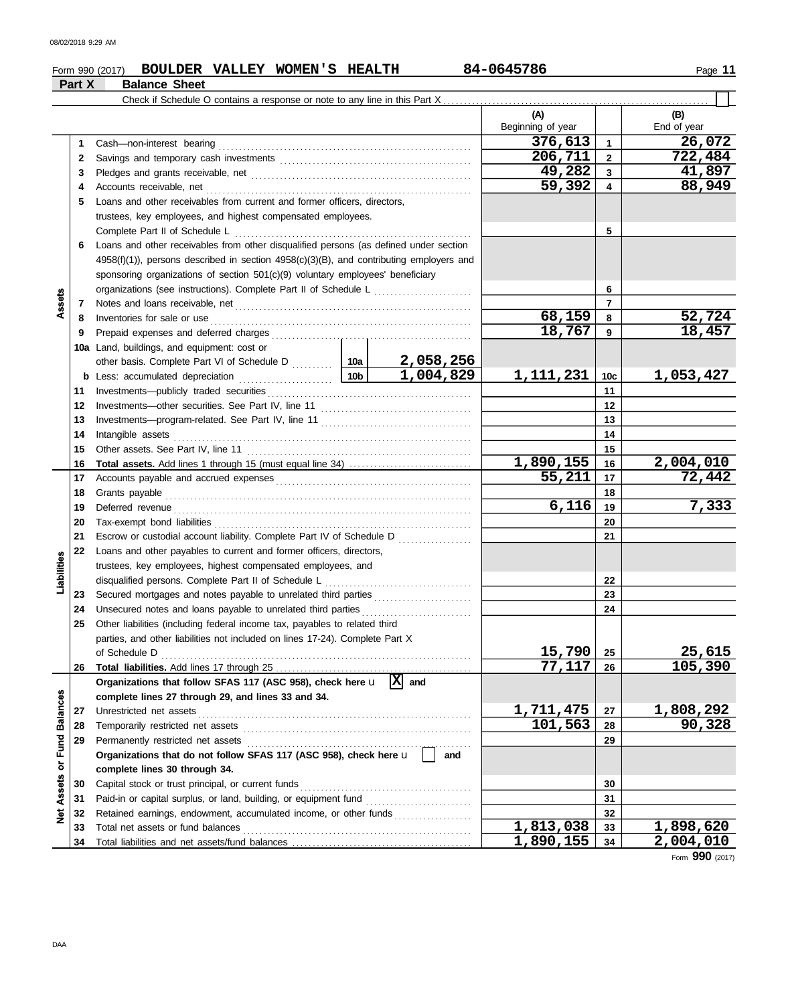|                             |        | BOULDER VALLEY WOMEN'S HEALTH<br>Form 990 (2017)                                                       |                 |           | 84-0645786               |                         | Page 11                    |
|-----------------------------|--------|--------------------------------------------------------------------------------------------------------|-----------------|-----------|--------------------------|-------------------------|----------------------------|
|                             | Part X | <b>Balance Sheet</b>                                                                                   |                 |           |                          |                         |                            |
|                             |        |                                                                                                        |                 |           |                          |                         |                            |
|                             |        |                                                                                                        |                 |           | (A)<br>Beginning of year |                         | (B)<br>End of year         |
|                             | 1      | Cash-non-interest bearing                                                                              |                 |           | 376,613                  | $\mathbf{1}$            | 26,072                     |
|                             | 2      |                                                                                                        |                 |           | 206,711                  | $\mathbf{2}$            | $\overline{722}$ , 484     |
|                             | 3      |                                                                                                        |                 |           | 49,282                   | $\mathbf{3}$            | 41,897                     |
|                             | 4      |                                                                                                        |                 |           | 59,392                   | $\overline{\mathbf{4}}$ | 88,949                     |
|                             | 5      | Loans and other receivables from current and former officers, directors.                               |                 |           |                          |                         |                            |
|                             |        | trustees, key employees, and highest compensated employees.                                            |                 |           |                          |                         |                            |
|                             |        | Complete Part II of Schedule L                                                                         |                 |           |                          | 5                       |                            |
|                             | 6      | Loans and other receivables from other disqualified persons (as defined under section                  |                 |           |                          |                         |                            |
|                             |        | $4958(f)(1)$ ), persons described in section $4958(c)(3)(B)$ , and contributing employers and          |                 |           |                          |                         |                            |
|                             |        | sponsoring organizations of section 501(c)(9) voluntary employees' beneficiary                         |                 |           |                          |                         |                            |
|                             |        |                                                                                                        | 6               |           |                          |                         |                            |
| Assets                      | 7      |                                                                                                        |                 |           |                          | $\overline{7}$          |                            |
|                             | 8      | Inventories for sale or use                                                                            |                 |           | 68,159                   | 8                       | 52,724                     |
|                             | 9      |                                                                                                        |                 |           | 18,767                   | 9                       | 18,457                     |
|                             |        |                                                                                                        |                 |           |                          |                         |                            |
|                             |        | 10a Land, buildings, and equipment: cost or                                                            |                 | 2,058,256 |                          |                         |                            |
|                             |        | other basis. Complete Part VI of Schedule D  10a                                                       | 10 <sub>b</sub> | 1,004,829 | 1,111,231                | 10 <sub>c</sub>         | 1,053,427                  |
|                             |        |                                                                                                        |                 |           |                          | 11                      |                            |
|                             | 11     |                                                                                                        |                 |           |                          | 12                      |                            |
|                             | 12     |                                                                                                        |                 |           |                          | 13                      |                            |
|                             | 13     |                                                                                                        |                 |           |                          | 14                      |                            |
|                             | 14     | Intangible assets                                                                                      |                 |           |                          |                         |                            |
|                             | 15     | Other assets. See Part IV, line 11                                                                     |                 |           | 1,890,155                | 15                      |                            |
|                             | 16     |                                                                                                        |                 |           | $\overline{55}$ , 211    | 16<br>17                | 2,004,010<br>72,442        |
|                             | 17     |                                                                                                        |                 |           |                          |                         |                            |
|                             | 18     | Grants payable                                                                                         | 6,116           | 18        | 7,333                    |                         |                            |
|                             | 19     | Deferred revenue                                                                                       |                 | 19        |                          |                         |                            |
|                             | 20     | Tax-exempt bond liabilities                                                                            |                 |           |                          | 20                      |                            |
|                             | 21     | Escrow or custodial account liability. Complete Part IV of Schedule D                                  |                 |           |                          | 21                      |                            |
|                             | 22     | Loans and other payables to current and former officers, directors,                                    |                 |           |                          |                         |                            |
|                             |        | trustees, key employees, highest compensated employees, and                                            |                 |           |                          |                         |                            |
| Liabilities                 |        | disqualified persons. Complete Part II of Schedule L                                                   |                 |           |                          | 22                      |                            |
|                             |        | 23 Secured mortgages and notes payable to unrelated third parties                                      |                 |           |                          | 23                      |                            |
|                             |        | 24 Unsecured notes and loans payable to unrelated third parties                                        |                 |           |                          | 24                      |                            |
|                             | 25     | Other liabilities (including federal income tax, payables to related third                             |                 |           |                          |                         |                            |
|                             |        | parties, and other liabilities not included on lines 17-24). Complete Part X                           |                 |           | 15,790                   |                         |                            |
|                             |        |                                                                                                        |                 |           | 77,117                   | 25<br>26                | 25,615<br>105,390          |
|                             | 26     | Organizations that follow SFAS 117 (ASC 958), check here $\mathbf{u}$ $\overline{X}$ and               |                 |           |                          |                         |                            |
|                             |        |                                                                                                        |                 |           |                          |                         |                            |
|                             |        | complete lines 27 through 29, and lines 33 and 34.<br>Unrestricted net assets                          |                 |           | 1,711,475                |                         |                            |
|                             | 27     |                                                                                                        |                 |           | 101,563                  | 27                      | <u>1,808,292</u><br>90,328 |
|                             | 28     | Temporarily restricted net assets                                                                      |                 |           |                          | 28                      |                            |
|                             | 29     | Permanently restricted net assets<br>Organizations that do not follow SFAS 117 (ASC 958), check here u |                 | and       |                          | 29                      |                            |
|                             |        |                                                                                                        |                 |           |                          |                         |                            |
|                             |        | complete lines 30 through 34.                                                                          |                 |           |                          |                         |                            |
| Net Assets or Fund Balances | 30     | Capital stock or trust principal, or current funds                                                     |                 |           |                          | 30                      |                            |
|                             | 31     | Paid-in or capital surplus, or land, building, or equipment fund [                                     |                 |           |                          | 31                      |                            |
|                             | 32     | Retained earnings, endowment, accumulated income, or other funds                                       |                 |           |                          | 32                      |                            |

Capital stock or trust principal, or current funds . . . . . . . . . . . . . . . . . . . . . . . . . . . . . . . . . . . . . . . . . . Paid-in or capital surplus, or land, building, or equipment fund . . . . . . . . . . . . . . . . . . . . . . . . . . Retained earnings, endowment, accumulated income, or other funds . . . . . . . . . . . . . . . . . . .

Total net assets or fund balances . . . . . . . . . . . . . . . . . . . . . . . . . . . . . . . . . . . . . . . . . . . . . . . . . . . . . . . .

Form **990** (2017) **1,890,155 2,004,010**

**1,813,038 1,898,620**

Total liabilities and net assets/fund balances .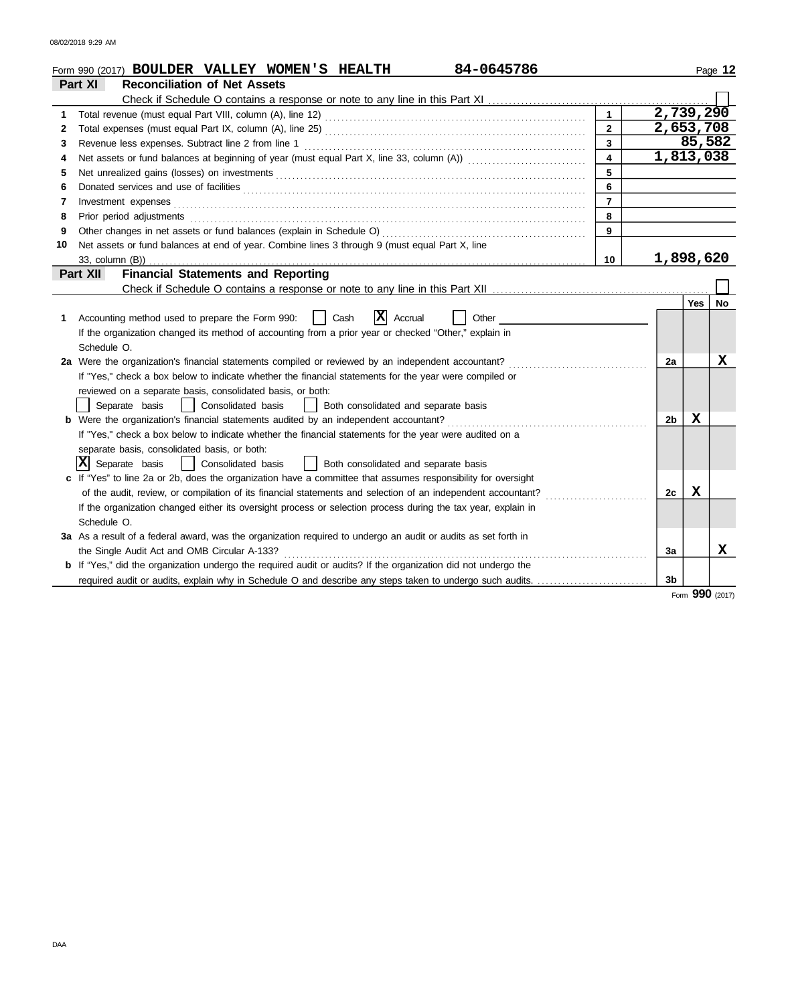|    | 84-0645786<br>Form 990 (2017) <b>BOULDER VALLEY WOMEN'S HEALTH</b>                                                    |                |                |            | Page 12 |  |  |  |  |
|----|-----------------------------------------------------------------------------------------------------------------------|----------------|----------------|------------|---------|--|--|--|--|
|    | <b>Reconciliation of Net Assets</b><br>Part XI                                                                        |                |                |            |         |  |  |  |  |
|    |                                                                                                                       |                |                |            |         |  |  |  |  |
| 1  |                                                                                                                       |                | 2,739,290      |            |         |  |  |  |  |
| 2  |                                                                                                                       | $\overline{2}$ | 2,653,708      |            |         |  |  |  |  |
| 3  |                                                                                                                       | 3              |                | 85,582     |         |  |  |  |  |
| 4  |                                                                                                                       | 4              | 1,813,038      |            |         |  |  |  |  |
| 5  | 5                                                                                                                     |                |                |            |         |  |  |  |  |
| 6  |                                                                                                                       | 6              |                |            |         |  |  |  |  |
| 7  | Investment expenses                                                                                                   | $\overline{7}$ |                |            |         |  |  |  |  |
| 8  | Prior period adjustments                                                                                              | 8              |                |            |         |  |  |  |  |
| 9  | Other changes in net assets or fund balances (explain in Schedule O)                                                  | 9              |                |            |         |  |  |  |  |
| 10 | Net assets or fund balances at end of year. Combine lines 3 through 9 (must equal Part X, line                        |                |                |            |         |  |  |  |  |
|    | 33, column (B))                                                                                                       | 10             | 1,898,620      |            |         |  |  |  |  |
|    | <b>Financial Statements and Reporting</b><br>Part XII                                                                 |                |                |            |         |  |  |  |  |
|    |                                                                                                                       |                |                |            |         |  |  |  |  |
|    |                                                                                                                       |                |                | <b>Yes</b> | No      |  |  |  |  |
|    | ΙX<br>Accounting method used to prepare the Form 990:<br>Cash<br>Accrual<br>Other                                     |                |                |            |         |  |  |  |  |
|    | If the organization changed its method of accounting from a prior year or checked "Other," explain in                 |                |                |            |         |  |  |  |  |
|    | Schedule O.                                                                                                           |                |                |            |         |  |  |  |  |
|    | 2a Were the organization's financial statements compiled or reviewed by an independent accountant?                    |                | 2a             |            | x       |  |  |  |  |
|    | If "Yes," check a box below to indicate whether the financial statements for the year were compiled or                |                |                |            |         |  |  |  |  |
|    | reviewed on a separate basis, consolidated basis, or both:                                                            |                |                |            |         |  |  |  |  |
|    | Separate basis<br>Consolidated basis<br>Both consolidated and separate basis<br>$\mathbf{1}$                          |                |                |            |         |  |  |  |  |
|    | b Were the organization's financial statements audited by an independent accountant?                                  |                | 2 <sub>b</sub> | x          |         |  |  |  |  |
|    | If "Yes," check a box below to indicate whether the financial statements for the year were audited on a               |                |                |            |         |  |  |  |  |
|    | separate basis, consolidated basis, or both:                                                                          |                |                |            |         |  |  |  |  |
|    | $ \mathbf{X} $ Separate basis<br>Consolidated basis<br>  Both consolidated and separate basis                         |                |                |            |         |  |  |  |  |
|    | c If "Yes" to line 2a or 2b, does the organization have a committee that assumes responsibility for oversight         |                |                |            |         |  |  |  |  |
|    | of the audit, review, or compilation of its financial statements and selection of an independent accountant?          |                | 2c             | X          |         |  |  |  |  |
|    | If the organization changed either its oversight process or selection process during the tax year, explain in         |                |                |            |         |  |  |  |  |
|    | Schedule O.                                                                                                           |                |                |            |         |  |  |  |  |
|    | 3a As a result of a federal award, was the organization required to undergo an audit or audits as set forth in        |                |                |            |         |  |  |  |  |
|    | the Single Audit Act and OMB Circular A-133?                                                                          |                | За             |            | x       |  |  |  |  |
|    | <b>b</b> If "Yes," did the organization undergo the required audit or audits? If the organization did not undergo the |                |                |            |         |  |  |  |  |
|    | required audit or audits, explain why in Schedule O and describe any steps taken to undergo such audits.              |                | 3b             |            |         |  |  |  |  |

Form **990** (2017)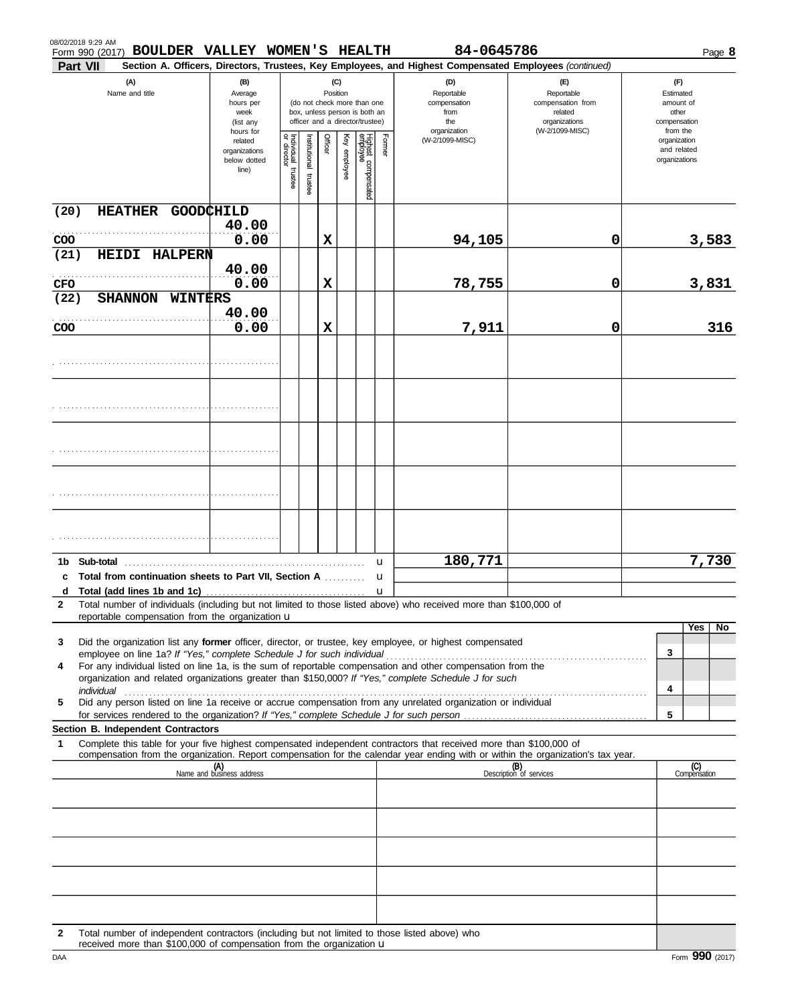|             |                       |              | Form 990 (2017) BOULDER VALLEY WOMEN'S HEALTH                         |                                                                                                                                 |                                   |                         |         |              |                                                                  |        | 84-0645786                                                                                                                                                                                                                                                          |                                                                    |                                              | Page 8 |
|-------------|-----------------------|--------------|-----------------------------------------------------------------------|---------------------------------------------------------------------------------------------------------------------------------|-----------------------------------|-------------------------|---------|--------------|------------------------------------------------------------------|--------|---------------------------------------------------------------------------------------------------------------------------------------------------------------------------------------------------------------------------------------------------------------------|--------------------------------------------------------------------|----------------------------------------------|--------|
|             | Part VII              |              |                                                                       |                                                                                                                                 |                                   |                         |         |              |                                                                  |        | Section A. Officers, Directors, Trustees, Key Employees, and Highest Compensated Employees (continued)                                                                                                                                                              |                                                                    |                                              |        |
|             | (A)<br>Name and title |              | (B)<br>Average<br>hours per<br>week<br>(list any                      | (C)<br>Position<br>(do not check more than one<br>box, unless person is both an<br>officer and a director/trustee)<br>hours for |                                   |                         |         |              | (D)<br>Reportable<br>compensation<br>from<br>the<br>organization |        | $(\mathsf{F})$<br>Reportable<br>compensation from<br>related<br>organizations<br>(W-2/1099-MISC)                                                                                                                                                                    | (F)<br>Estimated<br>amount of<br>other<br>compensation<br>from the |                                              |        |
|             |                       |              |                                                                       | related<br>organizations<br>below dotted<br>line)                                                                               | Individual trustee<br>or director | nstitutional<br>trustee | Officer | Key employee | Highest compensated<br>employee                                  | Former | (W-2/1099-MISC)                                                                                                                                                                                                                                                     |                                                                    | organization<br>and related<br>organizations |        |
| (20)        |                       |              | <b>HEATHER</b>                                                        | GOODCHILD                                                                                                                       |                                   |                         |         |              |                                                                  |        |                                                                                                                                                                                                                                                                     |                                                                    |                                              |        |
|             |                       |              |                                                                       | 40.00<br>0.00                                                                                                                   |                                   |                         | X       |              |                                                                  |        |                                                                                                                                                                                                                                                                     | 0                                                                  |                                              |        |
| COO<br>(21) |                       | <b>HEIDI</b> | <b>HALPERN</b>                                                        |                                                                                                                                 |                                   |                         |         |              |                                                                  |        | 94,105                                                                                                                                                                                                                                                              |                                                                    |                                              | 3,583  |
|             |                       |              |                                                                       | 40.00                                                                                                                           |                                   |                         |         |              |                                                                  |        |                                                                                                                                                                                                                                                                     |                                                                    |                                              |        |
| <b>CFO</b>  |                       |              |                                                                       | 0.00                                                                                                                            |                                   |                         | X       |              |                                                                  |        | 78,755                                                                                                                                                                                                                                                              | 0                                                                  |                                              | 3,831  |
| (22)        |                       |              | <b>SHANNON</b><br>WINTERS                                             | 40.00                                                                                                                           |                                   |                         |         |              |                                                                  |        |                                                                                                                                                                                                                                                                     |                                                                    |                                              |        |
| COO         |                       |              |                                                                       | 0.00                                                                                                                            |                                   |                         | X       |              |                                                                  |        | 7,911                                                                                                                                                                                                                                                               | 0                                                                  |                                              | 316    |
|             |                       |              |                                                                       |                                                                                                                                 |                                   |                         |         |              |                                                                  |        |                                                                                                                                                                                                                                                                     |                                                                    |                                              |        |
|             |                       |              |                                                                       |                                                                                                                                 |                                   |                         |         |              |                                                                  |        |                                                                                                                                                                                                                                                                     |                                                                    |                                              |        |
|             |                       |              |                                                                       |                                                                                                                                 |                                   |                         |         |              |                                                                  |        |                                                                                                                                                                                                                                                                     |                                                                    |                                              |        |
|             |                       |              |                                                                       |                                                                                                                                 |                                   |                         |         |              |                                                                  |        |                                                                                                                                                                                                                                                                     |                                                                    |                                              |        |
|             |                       |              |                                                                       |                                                                                                                                 |                                   |                         |         |              |                                                                  |        |                                                                                                                                                                                                                                                                     |                                                                    |                                              |        |
|             |                       |              |                                                                       |                                                                                                                                 |                                   |                         |         |              |                                                                  |        |                                                                                                                                                                                                                                                                     |                                                                    |                                              |        |
|             |                       |              |                                                                       |                                                                                                                                 |                                   |                         |         |              |                                                                  |        |                                                                                                                                                                                                                                                                     |                                                                    |                                              |        |
|             |                       |              |                                                                       |                                                                                                                                 |                                   |                         |         |              |                                                                  |        |                                                                                                                                                                                                                                                                     |                                                                    |                                              |        |
|             |                       |              |                                                                       |                                                                                                                                 |                                   |                         |         |              |                                                                  |        |                                                                                                                                                                                                                                                                     |                                                                    |                                              |        |
|             |                       |              |                                                                       |                                                                                                                                 |                                   |                         |         |              |                                                                  |        |                                                                                                                                                                                                                                                                     |                                                                    |                                              |        |
|             |                       |              |                                                                       |                                                                                                                                 |                                   |                         |         |              |                                                                  |        | 180,771                                                                                                                                                                                                                                                             |                                                                    |                                              | 7,730  |
|             |                       | 1b Sub-total | Total from continuation sheets to Part VII, Section A                 |                                                                                                                                 |                                   |                         |         |              |                                                                  | u<br>u |                                                                                                                                                                                                                                                                     |                                                                    |                                              |        |
|             |                       |              |                                                                       |                                                                                                                                 |                                   |                         |         |              |                                                                  |        |                                                                                                                                                                                                                                                                     |                                                                    |                                              |        |
| 2           |                       |              |                                                                       |                                                                                                                                 |                                   |                         |         |              |                                                                  |        | Total number of individuals (including but not limited to those listed above) who received more than \$100,000 of                                                                                                                                                   |                                                                    |                                              |        |
|             |                       |              | reportable compensation from the organization u                       |                                                                                                                                 |                                   |                         |         |              |                                                                  |        |                                                                                                                                                                                                                                                                     |                                                                    | Yes                                          | No.    |
| 3           |                       |              |                                                                       |                                                                                                                                 |                                   |                         |         |              |                                                                  |        | Did the organization list any former officer, director, or trustee, key employee, or highest compensated                                                                                                                                                            |                                                                    | 3                                            |        |
| 4           |                       |              |                                                                       |                                                                                                                                 |                                   |                         |         |              |                                                                  |        | employee on line 1a? If "Yes," complete Schedule J for such individual [11][11] content to the 1a? If "Yes," complete Schedule J for such individual<br>For any individual listed on line 1a, is the sum of reportable compensation and other compensation from the |                                                                    |                                              |        |
|             |                       |              |                                                                       |                                                                                                                                 |                                   |                         |         |              |                                                                  |        | organization and related organizations greater than \$150,000? If "Yes," complete Schedule J for such                                                                                                                                                               |                                                                    | 4                                            |        |
| 5           |                       |              |                                                                       |                                                                                                                                 |                                   |                         |         |              |                                                                  |        | individual construction of the construction of the construction of the construction of the construction of the<br>Did any person listed on line 1a receive or accrue compensation from any unrelated organization or individual                                     |                                                                    |                                              |        |
|             |                       |              |                                                                       |                                                                                                                                 |                                   |                         |         |              |                                                                  |        |                                                                                                                                                                                                                                                                     |                                                                    | 5                                            |        |
| 1           |                       |              | Section B. Independent Contractors                                    |                                                                                                                                 |                                   |                         |         |              |                                                                  |        | Complete this table for your five highest compensated independent contractors that received more than \$100,000 of                                                                                                                                                  |                                                                    |                                              |        |
|             |                       |              |                                                                       |                                                                                                                                 |                                   |                         |         |              |                                                                  |        | compensation from the organization. Report compensation for the calendar year ending with or within the organization's tax year.                                                                                                                                    |                                                                    |                                              |        |
|             |                       |              |                                                                       | (A)<br>Name and business address                                                                                                |                                   |                         |         |              |                                                                  |        |                                                                                                                                                                                                                                                                     | (B)<br>Description of services                                     | (C)<br>Compensation                          |        |
|             |                       |              |                                                                       |                                                                                                                                 |                                   |                         |         |              |                                                                  |        |                                                                                                                                                                                                                                                                     |                                                                    |                                              |        |
|             |                       |              |                                                                       |                                                                                                                                 |                                   |                         |         |              |                                                                  |        |                                                                                                                                                                                                                                                                     |                                                                    |                                              |        |
|             |                       |              |                                                                       |                                                                                                                                 |                                   |                         |         |              |                                                                  |        |                                                                                                                                                                                                                                                                     |                                                                    |                                              |        |
|             |                       |              |                                                                       |                                                                                                                                 |                                   |                         |         |              |                                                                  |        |                                                                                                                                                                                                                                                                     |                                                                    |                                              |        |
|             |                       |              |                                                                       |                                                                                                                                 |                                   |                         |         |              |                                                                  |        |                                                                                                                                                                                                                                                                     |                                                                    |                                              |        |
|             |                       |              |                                                                       |                                                                                                                                 |                                   |                         |         |              |                                                                  |        |                                                                                                                                                                                                                                                                     |                                                                    |                                              |        |
| 2           |                       |              | received more than \$100,000 of compensation from the organization up |                                                                                                                                 |                                   |                         |         |              |                                                                  |        | Total number of independent contractors (including but not limited to those listed above) who                                                                                                                                                                       |                                                                    |                                              |        |

received more than \$100,000 of compensation from the organization u

08/02/2018 9:29 AM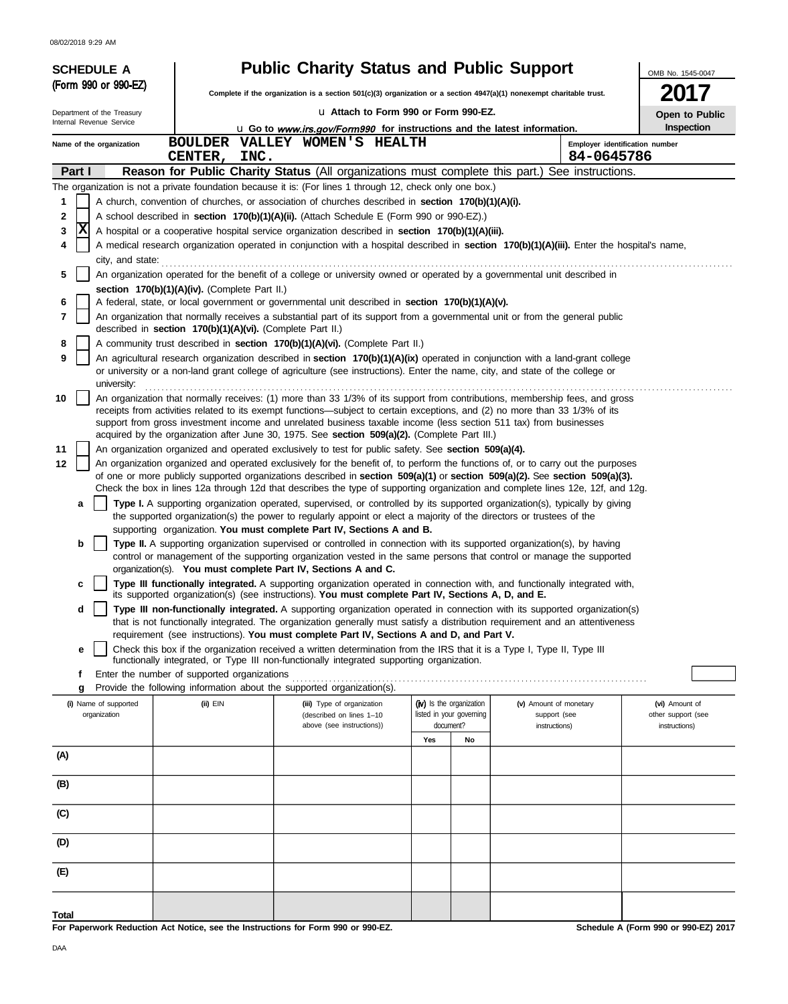08/02/2018 9:29 AM

| <b>SCHEDULE A</b>                                                                                                                                                                                                                                |                                                                                                                                  | <b>Public Charity Status and Public Support</b>                                                                                                                                                                                                                |                                                                   |                                                         | OMB No. 1545-0047                                     |  |  |  |  |
|--------------------------------------------------------------------------------------------------------------------------------------------------------------------------------------------------------------------------------------------------|----------------------------------------------------------------------------------------------------------------------------------|----------------------------------------------------------------------------------------------------------------------------------------------------------------------------------------------------------------------------------------------------------------|-------------------------------------------------------------------|---------------------------------------------------------|-------------------------------------------------------|--|--|--|--|
| (Form 990 or 990-EZ)                                                                                                                                                                                                                             |                                                                                                                                  | Complete if the organization is a section $501(c)(3)$ organization or a section $4947(a)(1)$ nonexempt charitable trust.                                                                                                                                       |                                                                   |                                                         | 2017                                                  |  |  |  |  |
| Department of the Treasury                                                                                                                                                                                                                       |                                                                                                                                  | La Attach to Form 990 or Form 990-EZ.                                                                                                                                                                                                                          |                                                                   |                                                         | Open to Public                                        |  |  |  |  |
| Internal Revenue Service                                                                                                                                                                                                                         |                                                                                                                                  | u Go to www.irs.gov/Form990 for instructions and the latest information.                                                                                                                                                                                       |                                                                   |                                                         | Inspection                                            |  |  |  |  |
| Name of the organization                                                                                                                                                                                                                         | INC.<br><b>CENTER,</b>                                                                                                           | BOULDER VALLEY WOMEN'S HEALTH                                                                                                                                                                                                                                  |                                                                   | 84-0645786                                              | Employer identification number                        |  |  |  |  |
| Part I                                                                                                                                                                                                                                           |                                                                                                                                  | Reason for Public Charity Status (All organizations must complete this part.) See instructions.                                                                                                                                                                |                                                                   |                                                         |                                                       |  |  |  |  |
|                                                                                                                                                                                                                                                  |                                                                                                                                  | The organization is not a private foundation because it is: (For lines 1 through 12, check only one box.)                                                                                                                                                      |                                                                   |                                                         |                                                       |  |  |  |  |
| 1                                                                                                                                                                                                                                                |                                                                                                                                  | A church, convention of churches, or association of churches described in section 170(b)(1)(A)(i).                                                                                                                                                             |                                                                   |                                                         |                                                       |  |  |  |  |
| 2<br> x<br>3                                                                                                                                                                                                                                     |                                                                                                                                  | A school described in <b>section 170(b)(1)(A)(ii).</b> (Attach Schedule E (Form 990 or 990-EZ).)<br>A hospital or a cooperative hospital service organization described in section 170(b)(1)(A)(iii).                                                          |                                                                   |                                                         |                                                       |  |  |  |  |
| 4                                                                                                                                                                                                                                                |                                                                                                                                  | A medical research organization operated in conjunction with a hospital described in section 170(b)(1)(A)(iii). Enter the hospital's name,                                                                                                                     |                                                                   |                                                         |                                                       |  |  |  |  |
| city, and state:                                                                                                                                                                                                                                 |                                                                                                                                  |                                                                                                                                                                                                                                                                |                                                                   |                                                         |                                                       |  |  |  |  |
| 5                                                                                                                                                                                                                                                | An organization operated for the benefit of a college or university owned or operated by a governmental unit described in        |                                                                                                                                                                                                                                                                |                                                                   |                                                         |                                                       |  |  |  |  |
| 6                                                                                                                                                                                                                                                | section 170(b)(1)(A)(iv). (Complete Part II.)                                                                                    | A federal, state, or local government or governmental unit described in section 170(b)(1)(A)(v).                                                                                                                                                               |                                                                   |                                                         |                                                       |  |  |  |  |
| 7                                                                                                                                                                                                                                                |                                                                                                                                  | An organization that normally receives a substantial part of its support from a governmental unit or from the general public                                                                                                                                   |                                                                   |                                                         |                                                       |  |  |  |  |
|                                                                                                                                                                                                                                                  | described in section 170(b)(1)(A)(vi). (Complete Part II.)                                                                       |                                                                                                                                                                                                                                                                |                                                                   |                                                         |                                                       |  |  |  |  |
| 8<br>9                                                                                                                                                                                                                                           |                                                                                                                                  | A community trust described in section 170(b)(1)(A)(vi). (Complete Part II.)<br>An agricultural research organization described in section 170(b)(1)(A)(ix) operated in conjunction with a land-grant college                                                  |                                                                   |                                                         |                                                       |  |  |  |  |
| university:                                                                                                                                                                                                                                      |                                                                                                                                  | or university or a non-land grant college of agriculture (see instructions). Enter the name, city, and state of the college or                                                                                                                                 |                                                                   |                                                         |                                                       |  |  |  |  |
| 10                                                                                                                                                                                                                                               | An organization that normally receives: (1) more than 33 1/3% of its support from contributions, membership fees, and gross      |                                                                                                                                                                                                                                                                |                                                                   |                                                         |                                                       |  |  |  |  |
| receipts from activities related to its exempt functions—subject to certain exceptions, and (2) no more than 33 1/3% of its<br>support from gross investment income and unrelated business taxable income (less section 511 tax) from businesses |                                                                                                                                  |                                                                                                                                                                                                                                                                |                                                                   |                                                         |                                                       |  |  |  |  |
| acquired by the organization after June 30, 1975. See section 509(a)(2). (Complete Part III.)<br>11<br>An organization organized and operated exclusively to test for public safety. See section 509(a)(4).                                      |                                                                                                                                  |                                                                                                                                                                                                                                                                |                                                                   |                                                         |                                                       |  |  |  |  |
| 12                                                                                                                                                                                                                                               | An organization organized and operated exclusively for the benefit of, to perform the functions of, or to carry out the purposes |                                                                                                                                                                                                                                                                |                                                                   |                                                         |                                                       |  |  |  |  |
|                                                                                                                                                                                                                                                  |                                                                                                                                  | of one or more publicly supported organizations described in section 509(a)(1) or section 509(a)(2). See section 509(a)(3).<br>Check the box in lines 12a through 12d that describes the type of supporting organization and complete lines 12e, 12f, and 12g. |                                                                   |                                                         |                                                       |  |  |  |  |
| а                                                                                                                                                                                                                                                |                                                                                                                                  | Type I. A supporting organization operated, supervised, or controlled by its supported organization(s), typically by giving<br>the supported organization(s) the power to regularly appoint or elect a majority of the directors or trustees of the            |                                                                   |                                                         |                                                       |  |  |  |  |
| b                                                                                                                                                                                                                                                |                                                                                                                                  | supporting organization. You must complete Part IV, Sections A and B.<br>Type II. A supporting organization supervised or controlled in connection with its supported organization(s), by having                                                               |                                                                   |                                                         |                                                       |  |  |  |  |
|                                                                                                                                                                                                                                                  |                                                                                                                                  | control or management of the supporting organization vested in the same persons that control or manage the supported<br>organization(s). You must complete Part IV, Sections A and C.                                                                          |                                                                   |                                                         |                                                       |  |  |  |  |
| c                                                                                                                                                                                                                                                |                                                                                                                                  | Type III functionally integrated. A supporting organization operated in connection with, and functionally integrated with,<br>its supported organization(s) (see instructions). You must complete Part IV, Sections A, D, and E.                               |                                                                   |                                                         |                                                       |  |  |  |  |
| d                                                                                                                                                                                                                                                |                                                                                                                                  | Type III non-functionally integrated. A supporting organization operated in connection with its supported organization(s)<br>that is not functionally integrated. The organization generally must satisfy a distribution requirement and an attentiveness      |                                                                   |                                                         |                                                       |  |  |  |  |
|                                                                                                                                                                                                                                                  |                                                                                                                                  | requirement (see instructions). You must complete Part IV, Sections A and D, and Part V.                                                                                                                                                                       |                                                                   |                                                         |                                                       |  |  |  |  |
| е                                                                                                                                                                                                                                                |                                                                                                                                  | Check this box if the organization received a written determination from the IRS that it is a Type I, Type II, Type III<br>functionally integrated, or Type III non-functionally integrated supporting organization.                                           |                                                                   |                                                         |                                                       |  |  |  |  |
| f                                                                                                                                                                                                                                                | Enter the number of supported organizations                                                                                      |                                                                                                                                                                                                                                                                |                                                                   |                                                         |                                                       |  |  |  |  |
| g                                                                                                                                                                                                                                                |                                                                                                                                  | Provide the following information about the supported organization(s).                                                                                                                                                                                         |                                                                   |                                                         |                                                       |  |  |  |  |
| (i) Name of supported<br>organization                                                                                                                                                                                                            | $(ii)$ $EIN$                                                                                                                     | (iii) Type of organization<br>(described on lines 1-10<br>above (see instructions))                                                                                                                                                                            | (iv) Is the organization<br>listed in your governing<br>document? | (v) Amount of monetary<br>support (see<br>instructions) | (vi) Amount of<br>other support (see<br>instructions) |  |  |  |  |
|                                                                                                                                                                                                                                                  |                                                                                                                                  |                                                                                                                                                                                                                                                                | Yes<br>No                                                         |                                                         |                                                       |  |  |  |  |
| (A)                                                                                                                                                                                                                                              |                                                                                                                                  |                                                                                                                                                                                                                                                                |                                                                   |                                                         |                                                       |  |  |  |  |
| (B)                                                                                                                                                                                                                                              |                                                                                                                                  |                                                                                                                                                                                                                                                                |                                                                   |                                                         |                                                       |  |  |  |  |
| (C)                                                                                                                                                                                                                                              |                                                                                                                                  |                                                                                                                                                                                                                                                                |                                                                   |                                                         |                                                       |  |  |  |  |
| (D)                                                                                                                                                                                                                                              |                                                                                                                                  |                                                                                                                                                                                                                                                                |                                                                   |                                                         |                                                       |  |  |  |  |
| (E)                                                                                                                                                                                                                                              |                                                                                                                                  |                                                                                                                                                                                                                                                                |                                                                   |                                                         |                                                       |  |  |  |  |
|                                                                                                                                                                                                                                                  |                                                                                                                                  |                                                                                                                                                                                                                                                                |                                                                   |                                                         |                                                       |  |  |  |  |
| Total                                                                                                                                                                                                                                            |                                                                                                                                  |                                                                                                                                                                                                                                                                |                                                                   |                                                         |                                                       |  |  |  |  |

**For Paperwork Reduction Act Notice, see the Instructions for Form 990 or 990-EZ.**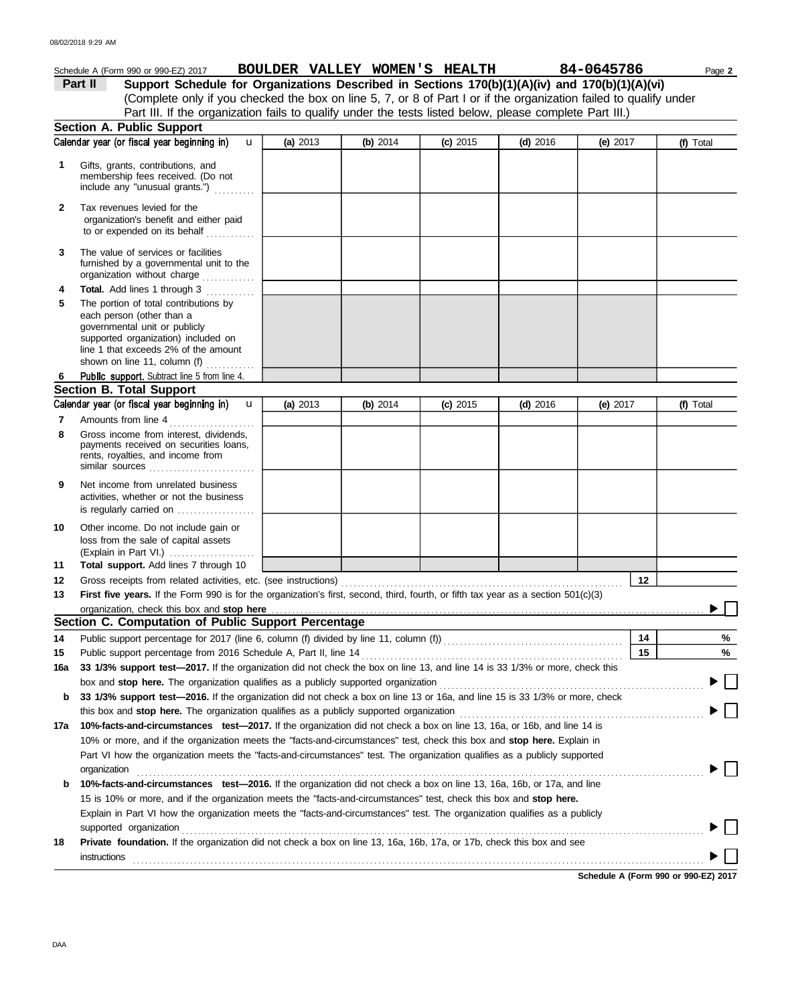|                                                                                                                            | Schedule A (Form 990 or 990-EZ) 2017                                                                                                                                                                                        |          | BOULDER VALLEY WOMEN'S HEALTH |            |            | 84-0645786 |    | Page 2    |
|----------------------------------------------------------------------------------------------------------------------------|-----------------------------------------------------------------------------------------------------------------------------------------------------------------------------------------------------------------------------|----------|-------------------------------|------------|------------|------------|----|-----------|
|                                                                                                                            | Support Schedule for Organizations Described in Sections 170(b)(1)(A)(iv) and 170(b)(1)(A)(vi)<br>Part II                                                                                                                   |          |                               |            |            |            |    |           |
|                                                                                                                            | (Complete only if you checked the box on line 5, 7, or 8 of Part I or if the organization failed to qualify under                                                                                                           |          |                               |            |            |            |    |           |
|                                                                                                                            | Part III. If the organization fails to qualify under the tests listed below, please complete Part III.)                                                                                                                     |          |                               |            |            |            |    |           |
|                                                                                                                            | <b>Section A. Public Support</b>                                                                                                                                                                                            |          |                               |            |            |            |    |           |
|                                                                                                                            | Calendar year (or fiscal year beginning in)<br>$\mathbf{u}$                                                                                                                                                                 | (a) 2013 | (b) $2014$                    | $(c)$ 2015 | $(d)$ 2016 | (e) $2017$ |    | (f) Total |
| 1.                                                                                                                         | Gifts, grants, contributions, and<br>membership fees received. (Do not<br>include any "unusual grants.")                                                                                                                    |          |                               |            |            |            |    |           |
| $\mathbf{2}$                                                                                                               | Tax revenues levied for the<br>organization's benefit and either paid<br>to or expended on its behalf                                                                                                                       |          |                               |            |            |            |    |           |
| 3                                                                                                                          | The value of services or facilities<br>furnished by a governmental unit to the<br>organization without charge                                                                                                               |          |                               |            |            |            |    |           |
| 4                                                                                                                          | Total. Add lines 1 through 3                                                                                                                                                                                                |          |                               |            |            |            |    |           |
| 5                                                                                                                          | The portion of total contributions by<br>each person (other than a<br>governmental unit or publicly<br>supported organization) included on<br>line 1 that exceeds 2% of the amount<br>shown on line 11, column (f) $\ldots$ |          |                               |            |            |            |    |           |
| 6                                                                                                                          | Public support. Subtract line 5 from line 4.                                                                                                                                                                                |          |                               |            |            |            |    |           |
|                                                                                                                            | <b>Section B. Total Support</b>                                                                                                                                                                                             |          |                               |            |            |            |    |           |
|                                                                                                                            | Calendar year (or fiscal year beginning in)<br>$\mathbf{u}$                                                                                                                                                                 | (a) 2013 | (b) $2014$                    | $(c)$ 2015 | $(d)$ 2016 | (e) $2017$ |    | (f) Total |
| 7<br>8                                                                                                                     | Amounts from line 4<br>Gross income from interest, dividends,<br>payments received on securities loans,<br>rents, royalties, and income from<br>similar sources                                                             |          |                               |            |            |            |    |           |
| 9                                                                                                                          | Net income from unrelated business<br>activities, whether or not the business<br>is regularly carried on                                                                                                                    |          |                               |            |            |            |    |           |
| 10<br>11                                                                                                                   | Other income. Do not include gain or<br>loss from the sale of capital assets<br>(Explain in Part VI.)<br>Total support. Add lines 7 through 10                                                                              |          |                               |            |            |            |    |           |
| 12                                                                                                                         |                                                                                                                                                                                                                             |          |                               |            |            |            | 12 |           |
| 13                                                                                                                         | First five years. If the Form 990 is for the organization's first, second, third, fourth, or fifth tax year as a section 501(c)(3)                                                                                          |          |                               |            |            |            |    |           |
|                                                                                                                            |                                                                                                                                                                                                                             |          |                               |            |            |            |    |           |
|                                                                                                                            | Section C. Computation of Public Support Percentage                                                                                                                                                                         |          |                               |            |            |            |    |           |
| 14                                                                                                                         | Public support percentage for 2017 (line 6, column (f) divided by line 11, column (f)) [[[[[[[[[[[[[[[[[[[[[[                                                                                                               |          |                               |            |            |            | 14 | %         |
| 15                                                                                                                         | Public support percentage from 2016 Schedule A, Part II, line 14                                                                                                                                                            |          |                               |            |            |            | 15 | %         |
| 16a                                                                                                                        | 33 1/3% support test-2017. If the organization did not check the box on line 13, and line 14 is 33 1/3% or more, check this                                                                                                 |          |                               |            |            |            |    |           |
|                                                                                                                            |                                                                                                                                                                                                                             |          |                               |            |            |            |    |           |
| b                                                                                                                          | 33 1/3% support test-2016. If the organization did not check a box on line 13 or 16a, and line 15 is 33 1/3% or more, check                                                                                                 |          |                               |            |            |            |    |           |
|                                                                                                                            | this box and stop here. The organization qualifies as a publicly supported organization                                                                                                                                     |          |                               |            |            |            |    |           |
| 17a                                                                                                                        | 10%-facts-and-circumstances test-2017. If the organization did not check a box on line 13, 16a, or 16b, and line 14 is                                                                                                      |          |                               |            |            |            |    |           |
|                                                                                                                            | 10% or more, and if the organization meets the "facts-and-circumstances" test, check this box and stop here. Explain in                                                                                                     |          |                               |            |            |            |    |           |
|                                                                                                                            | Part VI how the organization meets the "facts-and-circumstances" test. The organization qualifies as a publicly supported                                                                                                   |          |                               |            |            |            |    |           |
|                                                                                                                            | organization                                                                                                                                                                                                                |          |                               |            |            |            |    |           |
| 10%-facts-and-circumstances test-2016. If the organization did not check a box on line 13, 16a, 16b, or 17a, and line<br>b |                                                                                                                                                                                                                             |          |                               |            |            |            |    |           |
|                                                                                                                            | 15 is 10% or more, and if the organization meets the "facts-and-circumstances" test, check this box and stop here.                                                                                                          |          |                               |            |            |            |    |           |
|                                                                                                                            | Explain in Part VI how the organization meets the "facts-and-circumstances" test. The organization qualifies as a publicly                                                                                                  |          |                               |            |            |            |    |           |
|                                                                                                                            | supported organization                                                                                                                                                                                                      |          |                               |            |            |            |    |           |
| 18                                                                                                                         | <b>Private foundation.</b> If the organization did not check a box on line 13, 16a, 16b, 17a, or 17b, check this box and see<br>instructions                                                                                |          |                               |            |            |            |    |           |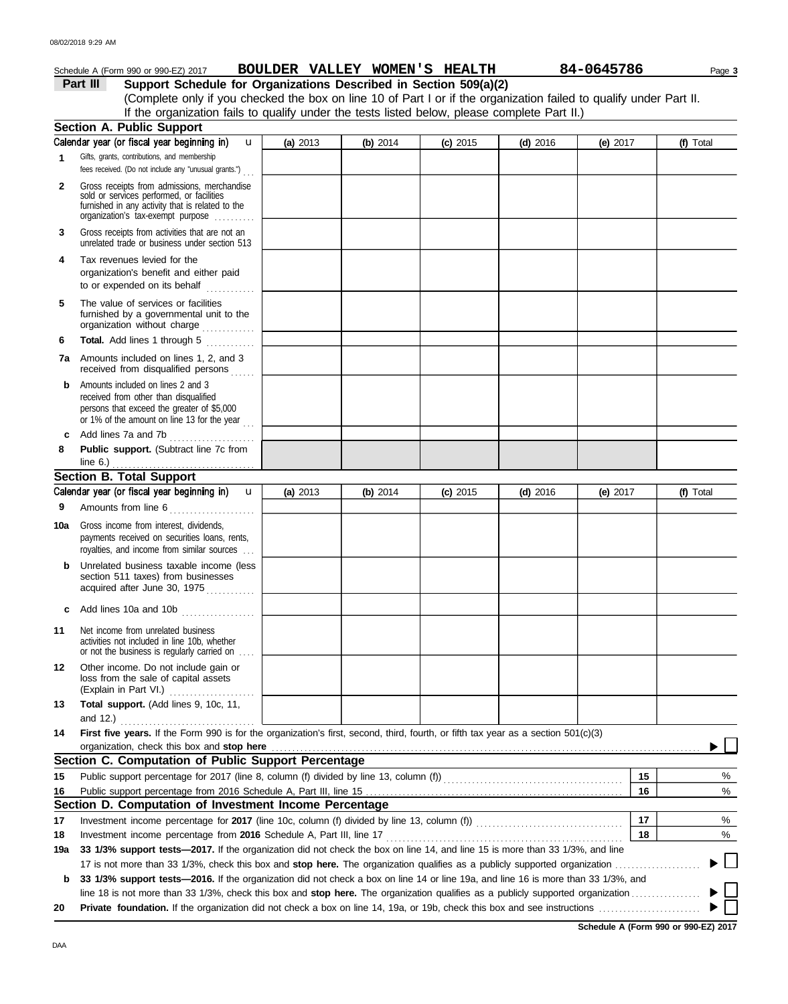|              | Schedule A (Form 990 or 990-EZ) 2017                                                                                                                                                                                                                                                      | BOULDER VALLEY WOMEN'S HEALTH |            |            |            | 84-0645786 | Page 3    |
|--------------|-------------------------------------------------------------------------------------------------------------------------------------------------------------------------------------------------------------------------------------------------------------------------------------------|-------------------------------|------------|------------|------------|------------|-----------|
|              | Part III<br>Support Schedule for Organizations Described in Section 509(a)(2)                                                                                                                                                                                                             |                               |            |            |            |            |           |
|              | (Complete only if you checked the box on line 10 of Part I or if the organization failed to qualify under Part II.                                                                                                                                                                        |                               |            |            |            |            |           |
|              | If the organization fails to qualify under the tests listed below, please complete Part II.)                                                                                                                                                                                              |                               |            |            |            |            |           |
|              | <b>Section A. Public Support</b>                                                                                                                                                                                                                                                          |                               |            |            |            |            |           |
|              | Calendar year (or fiscal year beginning in)<br>$\mathbf{u}$                                                                                                                                                                                                                               | (a) 2013                      | (b) $2014$ | $(c)$ 2015 | $(d)$ 2016 | (e) $2017$ | (f) Total |
| 1            | Gifts, grants, contributions, and membership<br>fees received. (Do not include any "unusual grants.")                                                                                                                                                                                     |                               |            |            |            |            |           |
| $\mathbf{2}$ | Gross receipts from admissions, merchandise<br>sold or services performed, or facilities<br>furnished in any activity that is related to the<br>organization's fax-exempt purpose                                                                                                         |                               |            |            |            |            |           |
| 3            | Gross receipts from activities that are not an<br>unrelated trade or business under section 513                                                                                                                                                                                           |                               |            |            |            |            |           |
| 4            | Tax revenues levied for the<br>organization's benefit and either paid<br>to or expended on its behalf                                                                                                                                                                                     |                               |            |            |            |            |           |
| 5            | The value of services or facilities<br>furnished by a governmental unit to the<br>organization without charge                                                                                                                                                                             |                               |            |            |            |            |           |
| 6            | Total. Add lines 1 through 5<br>.                                                                                                                                                                                                                                                         |                               |            |            |            |            |           |
|              | <b>7a</b> Amounts included on lines 1, 2, and 3<br>received from disqualified persons                                                                                                                                                                                                     |                               |            |            |            |            |           |
| b            | Amounts included on lines 2 and 3<br>received from other than disqualified<br>persons that exceed the greater of \$5,000<br>or 1% of the amount on line 13 for the year                                                                                                                   |                               |            |            |            |            |           |
| c            | Add lines 7a and 7b                                                                                                                                                                                                                                                                       |                               |            |            |            |            |           |
| 8            | Public support. (Subtract line 7c from<br>line $6.$ )                                                                                                                                                                                                                                     |                               |            |            |            |            |           |
|              | <b>Section B. Total Support</b>                                                                                                                                                                                                                                                           |                               |            |            |            |            |           |
|              | Calendar year (or fiscal year beginning in)<br>$\mathbf{u}$                                                                                                                                                                                                                               | (a) 2013                      | (b) $2014$ | $(c)$ 2015 | $(d)$ 2016 | (e) $2017$ | (f) Total |
| 9            | Amounts from line 6<br>.                                                                                                                                                                                                                                                                  |                               |            |            |            |            |           |
| 10a          | Gross income from interest, dividends,<br>payments received on securities loans, rents,<br>royalties, and income from similar sources                                                                                                                                                     |                               |            |            |            |            |           |
|              | Unrelated business taxable income (less<br>section 511 taxes) from businesses<br>acquired after June 30, 1975                                                                                                                                                                             |                               |            |            |            |            |           |
|              | c Add lines 10a and 10b                                                                                                                                                                                                                                                                   |                               |            |            |            |            |           |
| 11           | Net income from unrelated business<br>activities not included in line 10b, whether<br>or not the business is regularly carried on                                                                                                                                                         |                               |            |            |            |            |           |
| 12           | Other income. Do not include gain or<br>loss from the sale of capital assets<br>(Explain in Part VI.)                                                                                                                                                                                     |                               |            |            |            |            |           |
| 13           | Total support. (Add lines 9, 10c, 11,<br>and 12.) $\qquad \qquad$                                                                                                                                                                                                                         |                               |            |            |            |            |           |
| 14           | First five years. If the Form 990 is for the organization's first, second, third, fourth, or fifth tax year as a section 501(c)(3)                                                                                                                                                        |                               |            |            |            |            |           |
|              | organization, check this box and stop here <i>manufactured contained and stop</i> here are all the stop here are all the stop here are all the stop here are all the stop here are all the stop here are all the stop here are all<br>Section C. Computation of Public Support Percentage |                               |            |            |            |            |           |
| 15           | Public support percentage for 2017 (line 8, column (f) divided by line 13, column (f)) [[[[[[[[[[[[[[[[[[[[[[                                                                                                                                                                             |                               |            |            |            | 15         | %         |
| 16           |                                                                                                                                                                                                                                                                                           |                               |            |            |            | 16         | %         |
|              | Section D. Computation of Investment Income Percentage                                                                                                                                                                                                                                    |                               |            |            |            |            |           |
| 17           |                                                                                                                                                                                                                                                                                           |                               |            |            |            | 17         | %         |
| 18           | Investment income percentage from 2016 Schedule A, Part III, line 17                                                                                                                                                                                                                      |                               |            |            |            | 18         | %         |
| 19a          | 33 1/3% support tests-2017. If the organization did not check the box on line 14, and line 15 is more than 33 1/3%, and line                                                                                                                                                              |                               |            |            |            |            |           |
|              |                                                                                                                                                                                                                                                                                           |                               |            |            |            |            |           |
| b            | 33 1/3% support tests—2016. If the organization did not check a box on line 14 or line 19a, and line 16 is more than 33 1/3%, and                                                                                                                                                         |                               |            |            |            |            |           |
|              |                                                                                                                                                                                                                                                                                           |                               |            |            |            |            |           |
| 20           |                                                                                                                                                                                                                                                                                           |                               |            |            |            |            |           |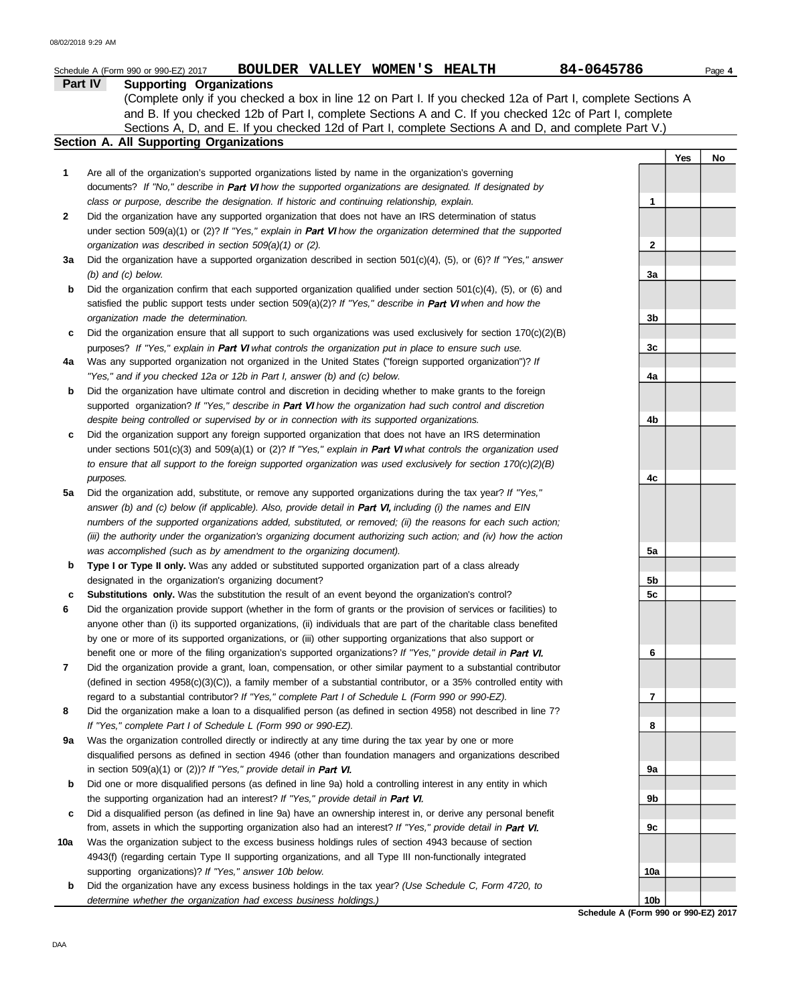|        | BOULDER VALLEY WOMEN'S HEALTH<br>Schedule A (Form 990 or 990-EZ) 2017                                                                                                                                                     | 84-0645786      |     | Page 4 |
|--------|---------------------------------------------------------------------------------------------------------------------------------------------------------------------------------------------------------------------------|-----------------|-----|--------|
|        | Part IV<br><b>Supporting Organizations</b>                                                                                                                                                                                |                 |     |        |
|        | (Complete only if you checked a box in line 12 on Part I. If you checked 12a of Part I, complete Sections A                                                                                                               |                 |     |        |
|        | and B. If you checked 12b of Part I, complete Sections A and C. If you checked 12c of Part I, complete                                                                                                                    |                 |     |        |
|        | Sections A, D, and E. If you checked 12d of Part I, complete Sections A and D, and complete Part V.)                                                                                                                      |                 |     |        |
|        | Section A. All Supporting Organizations                                                                                                                                                                                   |                 |     |        |
|        |                                                                                                                                                                                                                           |                 | Yes | No     |
| 1      | Are all of the organization's supported organizations listed by name in the organization's governing                                                                                                                      |                 |     |        |
|        | documents? If "No," describe in Part VI how the supported organizations are designated. If designated by                                                                                                                  |                 |     |        |
|        | class or purpose, describe the designation. If historic and continuing relationship, explain.                                                                                                                             | 1               |     |        |
| 2      | Did the organization have any supported organization that does not have an IRS determination of status<br>under section 509(a)(1) or (2)? If "Yes," explain in Part VI how the organization determined that the supported |                 |     |        |
|        | organization was described in section 509(a)(1) or (2).                                                                                                                                                                   | $\mathbf 2$     |     |        |
| За     | Did the organization have a supported organization described in section $501(c)(4)$ , (5), or (6)? If "Yes," answer                                                                                                       |                 |     |        |
|        | $(b)$ and $(c)$ below.                                                                                                                                                                                                    | 3a              |     |        |
| b      | Did the organization confirm that each supported organization qualified under section $501(c)(4)$ , $(5)$ , or $(6)$ and                                                                                                  |                 |     |        |
|        | satisfied the public support tests under section $509(a)(2)?$ If "Yes," describe in Part VI when and how the                                                                                                              |                 |     |        |
|        | organization made the determination.                                                                                                                                                                                      | 3b              |     |        |
| c      | Did the organization ensure that all support to such organizations was used exclusively for section $170(c)(2)(B)$                                                                                                        |                 |     |        |
|        | purposes? If "Yes," explain in Part VI what controls the organization put in place to ensure such use.                                                                                                                    | 3c              |     |        |
| 4a     | Was any supported organization not organized in the United States ("foreign supported organization")? If                                                                                                                  |                 |     |        |
|        | "Yes," and if you checked 12a or 12b in Part I, answer (b) and (c) below.                                                                                                                                                 | 4a              |     |        |
| b      | Did the organization have ultimate control and discretion in deciding whether to make grants to the foreign                                                                                                               |                 |     |        |
|        | supported organization? If "Yes," describe in Part VI how the organization had such control and discretion                                                                                                                |                 |     |        |
|        | despite being controlled or supervised by or in connection with its supported organizations.                                                                                                                              | 4b              |     |        |
| c      | Did the organization support any foreign supported organization that does not have an IRS determination                                                                                                                   |                 |     |        |
|        | under sections $501(c)(3)$ and $509(a)(1)$ or (2)? If "Yes," explain in Part VI what controls the organization used                                                                                                       |                 |     |        |
|        | to ensure that all support to the foreign supported organization was used exclusively for section $170(c)(2)(B)$                                                                                                          |                 |     |        |
|        | purposes.                                                                                                                                                                                                                 | 4c              |     |        |
| 5a     | Did the organization add, substitute, or remove any supported organizations during the tax year? If "Yes,"                                                                                                                |                 |     |        |
|        | answer (b) and (c) below (if applicable). Also, provide detail in Part VI, including (i) the names and EIN                                                                                                                |                 |     |        |
|        | numbers of the supported organizations added, substituted, or removed; (ii) the reasons for each such action;                                                                                                             |                 |     |        |
|        | (iii) the authority under the organization's organizing document authorizing such action; and (iv) how the action                                                                                                         |                 |     |        |
|        | was accomplished (such as by amendment to the organizing document).                                                                                                                                                       | 5a              |     |        |
| b      | Type I or Type II only. Was any added or substituted supported organization part of a class already                                                                                                                       | 5b              |     |        |
|        | designated in the organization's organizing document?<br>Substitutions only. Was the substitution the result of an event beyond the organization's control?                                                               | 5c              |     |        |
| c<br>6 | Did the organization provide support (whether in the form of grants or the provision of services or facilities) to                                                                                                        |                 |     |        |
|        | anyone other than (i) its supported organizations, (ii) individuals that are part of the charitable class benefited                                                                                                       |                 |     |        |
|        | by one or more of its supported organizations, or (iii) other supporting organizations that also support or                                                                                                               |                 |     |        |
|        | benefit one or more of the filing organization's supported organizations? If "Yes," provide detail in Part VI.                                                                                                            | 6               |     |        |
| 7      | Did the organization provide a grant, loan, compensation, or other similar payment to a substantial contributor                                                                                                           |                 |     |        |
|        | (defined in section 4958(c)(3)(C)), a family member of a substantial contributor, or a 35% controlled entity with                                                                                                         |                 |     |        |
|        | regard to a substantial contributor? If "Yes," complete Part I of Schedule L (Form 990 or 990-EZ).                                                                                                                        | 7               |     |        |
| 8      | Did the organization make a loan to a disqualified person (as defined in section 4958) not described in line 7?                                                                                                           |                 |     |        |
|        | If "Yes," complete Part I of Schedule L (Form 990 or 990-EZ).                                                                                                                                                             | 8               |     |        |
| 9a     | Was the organization controlled directly or indirectly at any time during the tax year by one or more                                                                                                                     |                 |     |        |
|        | disqualified persons as defined in section 4946 (other than foundation managers and organizations described                                                                                                               |                 |     |        |
|        | in section 509(a)(1) or (2))? If "Yes," provide detail in Part VI.                                                                                                                                                        | 9a              |     |        |
| b      | Did one or more disqualified persons (as defined in line 9a) hold a controlling interest in any entity in which                                                                                                           |                 |     |        |
|        | the supporting organization had an interest? If "Yes," provide detail in Part VI.                                                                                                                                         | 9b              |     |        |
| c      | Did a disqualified person (as defined in line 9a) have an ownership interest in, or derive any personal benefit                                                                                                           |                 |     |        |
|        | from, assets in which the supporting organization also had an interest? If "Yes," provide detail in Part VI.                                                                                                              | 9c              |     |        |
| 10a    | Was the organization subject to the excess business holdings rules of section 4943 because of section                                                                                                                     |                 |     |        |
|        | 4943(f) (regarding certain Type II supporting organizations, and all Type III non-functionally integrated                                                                                                                 |                 |     |        |
| b      | supporting organizations)? If "Yes," answer 10b below.<br>Did the organization have any excess business holdings in the tax year? (Use Schedule C, Form 4720, to                                                          | 10a             |     |        |
|        | determine whether the organization had excess business holdings.)                                                                                                                                                         | 10 <sub>b</sub> |     |        |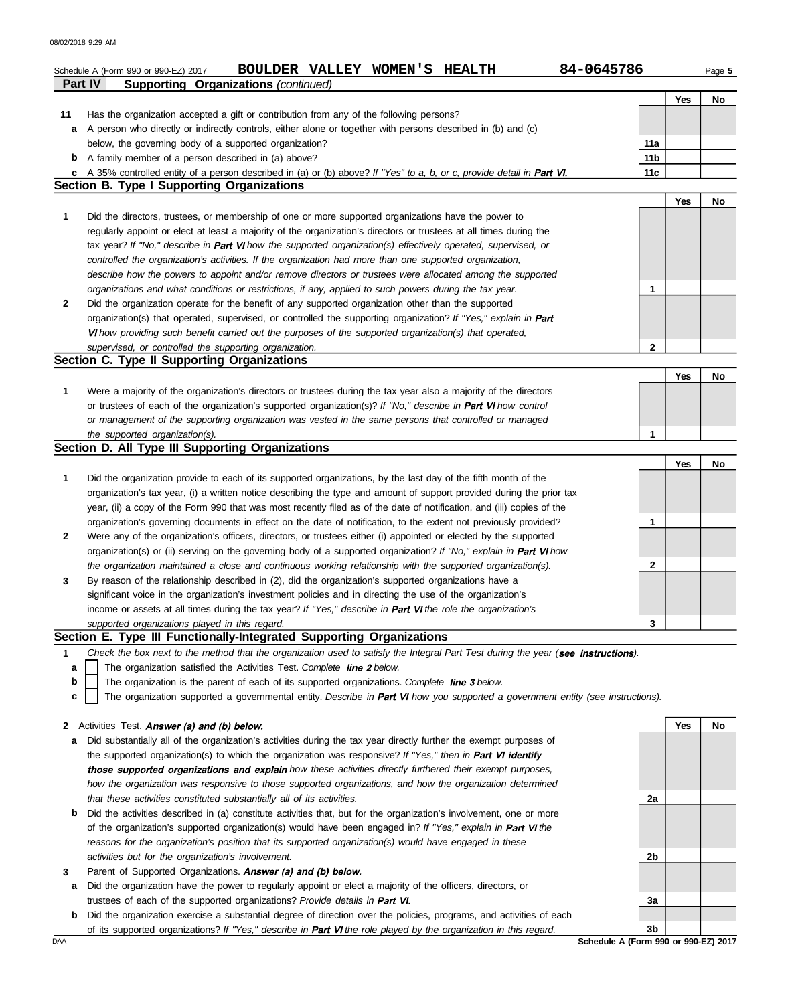|    | 84-0645786<br>BOULDER VALLEY WOMEN'S HEALTH<br>Schedule A (Form 990 or 990-EZ) 2017<br><b>Supporting Organizations (continued)</b><br>Part IV |                 |     | Page 5 |
|----|-----------------------------------------------------------------------------------------------------------------------------------------------|-----------------|-----|--------|
|    |                                                                                                                                               |                 | Yes | No     |
| 11 | Has the organization accepted a gift or contribution from any of the following persons?                                                       |                 |     |        |
| a  | A person who directly or indirectly controls, either alone or together with persons described in (b) and (c)                                  |                 |     |        |
|    | below, the governing body of a supported organization?                                                                                        | 11a             |     |        |
| b  | A family member of a person described in (a) above?                                                                                           | 11 <sub>b</sub> |     |        |
| c  | A 35% controlled entity of a person described in (a) or (b) above? If "Yes" to a, b, or c, provide detail in Part VI.                         | 11c             |     |        |
|    | Section B. Type I Supporting Organizations                                                                                                    |                 |     |        |
|    |                                                                                                                                               |                 | Yes | No     |
| 1  | Did the directors, trustees, or membership of one or more supported organizations have the power to                                           |                 |     |        |
|    | regularly appoint or elect at least a majority of the organization's directors or trustees at all times during the                            |                 |     |        |
|    | tax year? If "No," describe in Part VI how the supported organization(s) effectively operated, supervised, or                                 |                 |     |        |
|    | controlled the organization's activities. If the organization had more than one supported organization,                                       |                 |     |        |
|    | describe how the powers to appoint and/or remove directors or trustees were allocated among the supported                                     |                 |     |        |
|    | organizations and what conditions or restrictions, if any, applied to such powers during the tax year.                                        | 1               |     |        |
| 2  | Did the organization operate for the benefit of any supported organization other than the supported                                           |                 |     |        |
|    | organization(s) that operated, supervised, or controlled the supporting organization? If "Yes," explain in Part                               |                 |     |        |
|    | VI how providing such benefit carried out the purposes of the supported organization(s) that operated,                                        |                 |     |        |
|    | supervised, or controlled the supporting organization.                                                                                        | $\mathbf{2}$    |     |        |
|    | Section C. Type II Supporting Organizations                                                                                                   |                 |     |        |
|    |                                                                                                                                               |                 | Yes | No     |
| 1  | Were a majority of the organization's directors or trustees during the tax year also a majority of the directors                              |                 |     |        |
|    | or trustees of each of the organization's supported organization(s)? If "No," describe in Part VI how control                                 |                 |     |        |
|    | or management of the supporting organization was vested in the same persons that controlled or managed                                        | 1               |     |        |
|    | the supported organization(s).<br>Section D. All Type III Supporting Organizations                                                            |                 |     |        |
|    |                                                                                                                                               |                 | Yes | No     |
| 1  | Did the organization provide to each of its supported organizations, by the last day of the fifth month of the                                |                 |     |        |
|    | organization's tax year, (i) a written notice describing the type and amount of support provided during the prior tax                         |                 |     |        |
|    | year, (ii) a copy of the Form 990 that was most recently filed as of the date of notification, and (iii) copies of the                        |                 |     |        |
|    | organization's governing documents in effect on the date of notification, to the extent not previously provided?                              | 1               |     |        |
| 2  | Were any of the organization's officers, directors, or trustees either (i) appointed or elected by the supported                              |                 |     |        |
|    | organization(s) or (ii) serving on the governing body of a supported organization? If "No," explain in Part VI how                            |                 |     |        |
|    | the organization maintained a close and continuous working relationship with the supported organization(s).                                   | 2               |     |        |
| 3  | By reason of the relationship described in (2), did the organization's supported organizations have a                                         |                 |     |        |
|    | significant voice in the organization's investment policies and in directing the use of the organization's                                    |                 |     |        |
|    | income or assets at all times during the tax year? If "Yes," describe in Part VI the role the organization's                                  |                 |     |        |
|    | supported organizations played in this regard.                                                                                                | 3               |     |        |
|    | Section E. Type III Functionally-Integrated Supporting Organizations                                                                          |                 |     |        |
| 1  | Check the box next to the method that the organization used to satisfy the Integral Part Test during the year (see instructions).             |                 |     |        |
| а  | The organization satisfied the Activities Test. Complete line 2 below.                                                                        |                 |     |        |
| b  | The organization is the parent of each of its supported organizations. Complete line 3 below.                                                 |                 |     |        |
| c  | The organization supported a governmental entity. Describe in Part VI how you supported a government entity (see instructions).               |                 |     |        |
|    |                                                                                                                                               |                 |     |        |
|    | 2 Activities Test. Answer (a) and (b) below.                                                                                                  |                 | Yes | No     |
| а  | Did substantially all of the organization's activities during the tax year directly further the exempt purposes of                            |                 |     |        |
|    | the supported organization(s) to which the organization was responsive? If "Yes," then in Part VI identify                                    |                 |     |        |
|    | those supported organizations and explain how these activities directly furthered their exempt purposes,                                      |                 |     |        |
|    | how the organization was responsive to those supported organizations, and how the organization determined                                     |                 |     |        |
|    | that these activities constituted substantially all of its activities.                                                                        | 2a              |     |        |
| b  | Did the activities described in (a) constitute activities that, but for the organization's involvement, one or more                           |                 |     |        |
|    | of the organization's supported organization(s) would have been engaged in? If "Yes," explain in Part VI the                                  |                 |     |        |
|    | reasons for the organization's position that its supported organization(s) would have engaged in these                                        |                 |     |        |
|    | activities but for the organization's involvement.                                                                                            | 2b              |     |        |

- **3** Parent of Supported Organizations. Answer (a) and (b) below.
	- **a** Did the organization have the power to regularly appoint or elect a majority of the officers, directors, or trustees of each of the supported organizations? *Provide details in*
- **b** Did the organization exercise a substantial degree of direction over the policies, programs, and activities of each of its supported organizations? If "Yes," describe in Part VI the role played by the organization in this regard.

DAA **Schedule A (Form 990 or 990-EZ) 2017 3b**

**3a**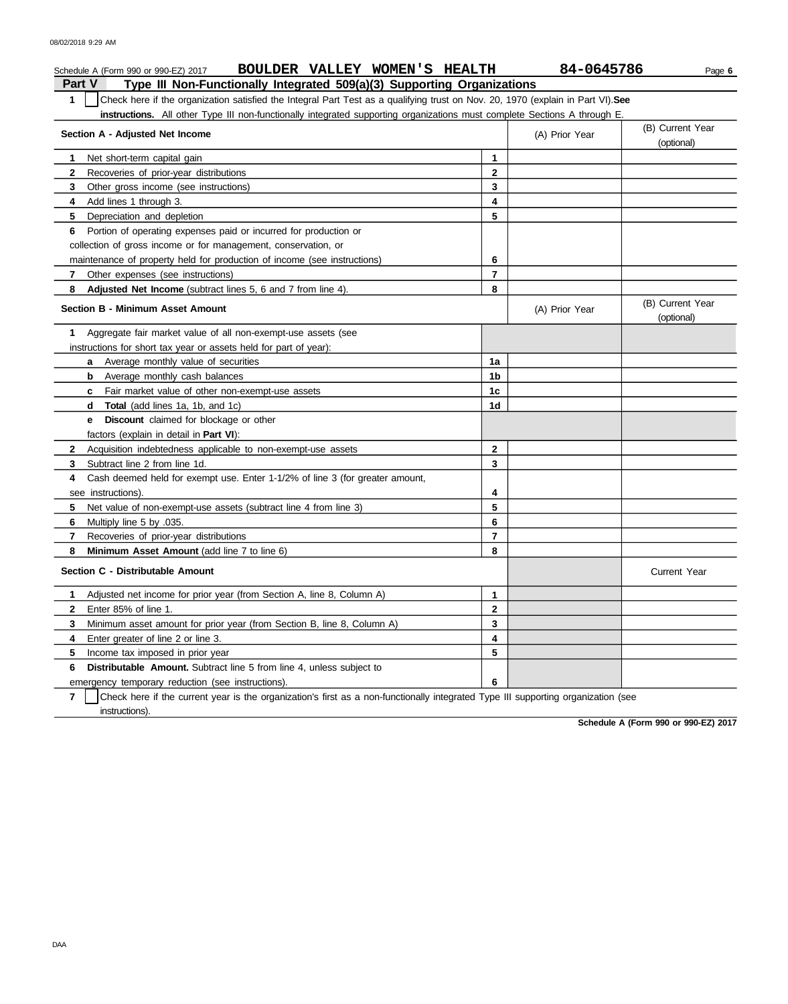### **Part V Type III Non-Functionally Integrated 509(a)(3) Supporting Organizations** Schedule A (Form 990 or 990-EZ) 2017 **BOULDER VALLEY WOMEN'S HEALTH** 84-0645786 Page 6 **1** Check here if the organization satisfied the Integral Part Test as a qualifying trust on Nov. 20, 1970 (explain in Part VI).**See instructions.** All other Type III non-functionally integrated supporting organizations must complete Sections A through E. **1** Net short-term capital gain **2 3 4** Add lines 1 through 3. **5** Depreciation and depletion **6** Portion of operating expenses paid or incurred for production or **7 8 Adjusted Net Income** (subtract lines 5, 6 and 7 from line 4). **1** Aggregate fair market value of all non-exempt-use assets (see **Section A - Adjusted Net Income** Recoveries of prior-year distributions Other gross income (see instructions) collection of gross income or for management, conservation, or maintenance of property held for production of income (see instructions) Other expenses (see instructions) **Section B - Minimum Asset Amount** instructions for short tax year or assets held for part of year): **a** Average monthly value of securities **b** Average monthly cash balances **c** Fair market value of other non-exempt-use assets **d Total** (add lines 1a, 1b, and 1c) **e Discount** claimed for blockage or other factors (explain in detail in **Part VI**): **8 Minimum Asset Amount** (add line 7 to line 6) **7** Recoveries of prior-year distributions **6** Multiply line 5 by .035. **5** Net value of non-exempt-use assets (subtract line 4 from line 3) **4** Cash deemed held for exempt use. Enter 1-1/2% of line 3 (for greater amount, **3 2** Acquisition indebtedness applicable to non-exempt-use assets Subtract line 2 from line 1d. see instructions). **Section C - Distributable Amount 6 Distributable Amount.** Subtract line 5 from line 4, unless subject to **5** Income tax imposed in prior year **4** Enter greater of line 2 or line 3. **3 2** Enter 85% of line 1. **1** Adjusted net income for prior year (from Section A, line 8, Column A) Minimum asset amount for prior year (from Section B, line 8, Column A) **8 7 6 5 4 3 2 1** (A) Prior Year (B) Current Year (optional) (optional) (B) Current Year (A) Prior Year **1a 1b 1c 1d 2 3 4 5 6 7 8 3 2 1 5 4** Current Year

emergency temporary reduction (see instructions).

**7** instructions). Check here if the current year is the organization's first as a non-functionally integrated Type III supporting organization (see

**6**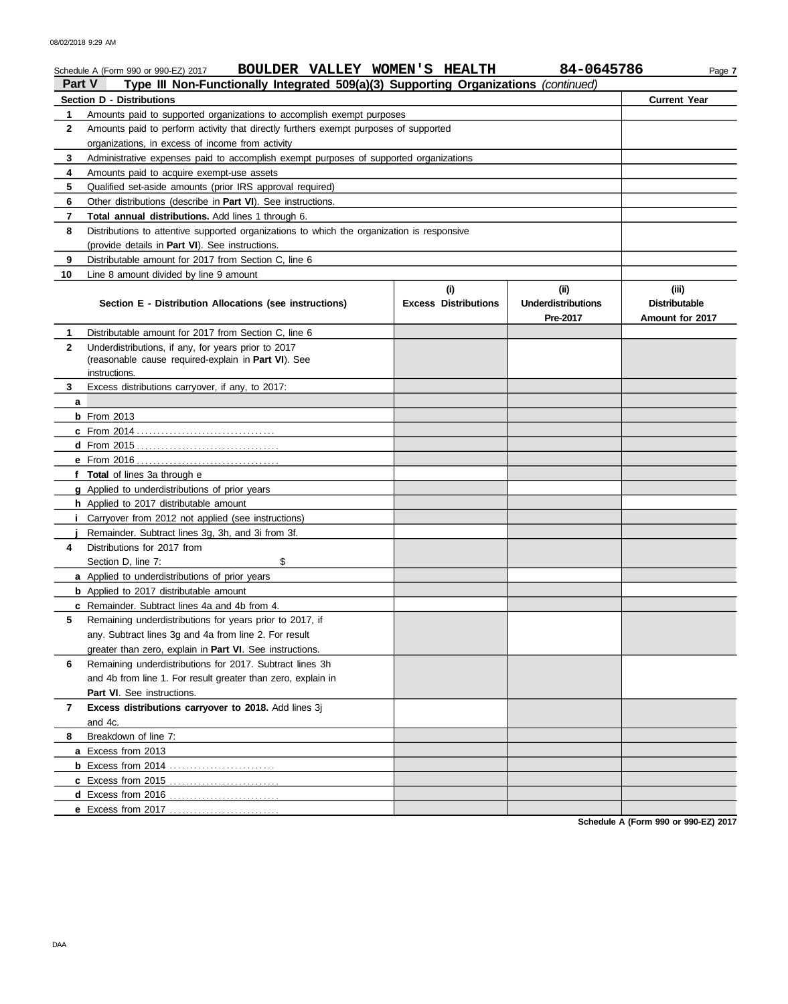|              | BOULDER VALLEY WOMEN'S HEALTH<br>Schedule A (Form 990 or 990-EZ) 2017                                |                             | 84-0645786                | Page 7               |  |  |  |  |  |
|--------------|------------------------------------------------------------------------------------------------------|-----------------------------|---------------------------|----------------------|--|--|--|--|--|
| Part V       | Type III Non-Functionally Integrated 509(a)(3) Supporting Organizations (continued)                  |                             |                           |                      |  |  |  |  |  |
|              | Section D - Distributions                                                                            |                             |                           | <b>Current Year</b>  |  |  |  |  |  |
| 1            | Amounts paid to supported organizations to accomplish exempt purposes                                |                             |                           |                      |  |  |  |  |  |
|              | $\mathbf{2}$<br>Amounts paid to perform activity that directly furthers exempt purposes of supported |                             |                           |                      |  |  |  |  |  |
|              | organizations, in excess of income from activity                                                     |                             |                           |                      |  |  |  |  |  |
| 3            | Administrative expenses paid to accomplish exempt purposes of supported organizations                |                             |                           |                      |  |  |  |  |  |
| 4            | Amounts paid to acquire exempt-use assets                                                            |                             |                           |                      |  |  |  |  |  |
| 5            | Qualified set-aside amounts (prior IRS approval required)                                            |                             |                           |                      |  |  |  |  |  |
| 6            | Other distributions (describe in <b>Part VI</b> ). See instructions.                                 |                             |                           |                      |  |  |  |  |  |
| 7            | Total annual distributions. Add lines 1 through 6.                                                   |                             |                           |                      |  |  |  |  |  |
| 8            | Distributions to attentive supported organizations to which the organization is responsive           |                             |                           |                      |  |  |  |  |  |
|              | (provide details in Part VI). See instructions.                                                      |                             |                           |                      |  |  |  |  |  |
| 9            | Distributable amount for 2017 from Section C, line 6                                                 |                             |                           |                      |  |  |  |  |  |
| 10           | Line 8 amount divided by line 9 amount                                                               |                             |                           |                      |  |  |  |  |  |
|              |                                                                                                      | (i)                         | (ii)                      | (iii)                |  |  |  |  |  |
|              | Section E - Distribution Allocations (see instructions)                                              | <b>Excess Distributions</b> | <b>Underdistributions</b> | <b>Distributable</b> |  |  |  |  |  |
|              |                                                                                                      |                             | Pre-2017                  | Amount for 2017      |  |  |  |  |  |
| $\mathbf{1}$ | Distributable amount for 2017 from Section C, line 6                                                 |                             |                           |                      |  |  |  |  |  |
| $\mathbf{2}$ | Underdistributions, if any, for years prior to 2017                                                  |                             |                           |                      |  |  |  |  |  |
|              | (reasonable cause required-explain in Part VI). See<br>instructions.                                 |                             |                           |                      |  |  |  |  |  |
| 3            | Excess distributions carryover, if any, to 2017:                                                     |                             |                           |                      |  |  |  |  |  |
| a            |                                                                                                      |                             |                           |                      |  |  |  |  |  |
|              | $b$ From 2013                                                                                        |                             |                           |                      |  |  |  |  |  |
|              |                                                                                                      |                             |                           |                      |  |  |  |  |  |
|              |                                                                                                      |                             |                           |                      |  |  |  |  |  |
|              | e From 2016                                                                                          |                             |                           |                      |  |  |  |  |  |
|              | f Total of lines 3a through e                                                                        |                             |                           |                      |  |  |  |  |  |
|              | <b>g</b> Applied to underdistributions of prior years                                                |                             |                           |                      |  |  |  |  |  |
|              | <b>h</b> Applied to 2017 distributable amount                                                        |                             |                           |                      |  |  |  |  |  |
| j.           | Carryover from 2012 not applied (see instructions)                                                   |                             |                           |                      |  |  |  |  |  |
|              | Remainder. Subtract lines 3g, 3h, and 3i from 3f.                                                    |                             |                           |                      |  |  |  |  |  |
| 4            | Distributions for 2017 from                                                                          |                             |                           |                      |  |  |  |  |  |
|              | \$<br>Section D, line 7:                                                                             |                             |                           |                      |  |  |  |  |  |
|              | <b>a</b> Applied to underdistributions of prior years                                                |                             |                           |                      |  |  |  |  |  |
|              | <b>b</b> Applied to 2017 distributable amount                                                        |                             |                           |                      |  |  |  |  |  |
|              | <b>c</b> Remainder. Subtract lines 4a and 4b from 4.                                                 |                             |                           |                      |  |  |  |  |  |
| 5            | Remaining underdistributions for years prior to 2017, if                                             |                             |                           |                      |  |  |  |  |  |
|              | any. Subtract lines 3g and 4a from line 2. For result                                                |                             |                           |                      |  |  |  |  |  |
|              | greater than zero, explain in Part VI. See instructions.                                             |                             |                           |                      |  |  |  |  |  |
| 6            | Remaining underdistributions for 2017. Subtract lines 3h                                             |                             |                           |                      |  |  |  |  |  |
|              | and 4b from line 1. For result greater than zero, explain in                                         |                             |                           |                      |  |  |  |  |  |
|              | <b>Part VI.</b> See instructions.                                                                    |                             |                           |                      |  |  |  |  |  |
| 7            | Excess distributions carryover to 2018. Add lines 3j                                                 |                             |                           |                      |  |  |  |  |  |
|              | and 4c.                                                                                              |                             |                           |                      |  |  |  |  |  |
| 8            | Breakdown of line 7:                                                                                 |                             |                           |                      |  |  |  |  |  |
|              | a Excess from 2013                                                                                   |                             |                           |                      |  |  |  |  |  |
|              |                                                                                                      |                             |                           |                      |  |  |  |  |  |
|              |                                                                                                      |                             |                           |                      |  |  |  |  |  |
|              |                                                                                                      |                             |                           |                      |  |  |  |  |  |
|              | e Excess from 2017.                                                                                  |                             |                           |                      |  |  |  |  |  |
|              |                                                                                                      |                             |                           |                      |  |  |  |  |  |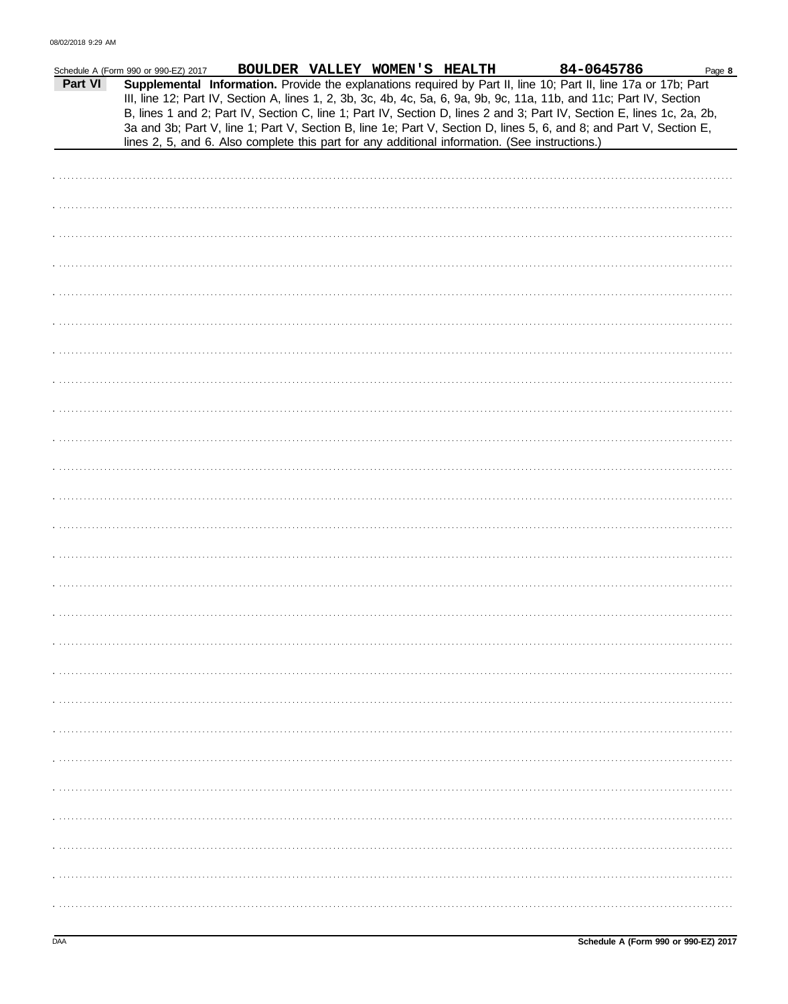|         | Schedule A (Form 990 or 990-EZ) 2017 |  | BOULDER VALLEY WOMEN'S HEALTH | 84-0645786                                                                                                                                                                                                                                                                                                                                                                                                                                                                               | Page 8 |
|---------|--------------------------------------|--|-------------------------------|------------------------------------------------------------------------------------------------------------------------------------------------------------------------------------------------------------------------------------------------------------------------------------------------------------------------------------------------------------------------------------------------------------------------------------------------------------------------------------------|--------|
| Part VI |                                      |  |                               | Supplemental Information. Provide the explanations required by Part II, line 10; Part II, line 17a or 17b; Part<br>III, line 12; Part IV, Section A, lines 1, 2, 3b, 3c, 4b, 4c, 5a, 6, 9a, 9b, 9c, 11a, 11b, and 11c; Part IV, Section<br>B, lines 1 and 2; Part IV, Section C, line 1; Part IV, Section D, lines 2 and 3; Part IV, Section E, lines 1c, 2a, 2b,<br>3a and 3b; Part V, line 1; Part V, Section B, line 1e; Part V, Section D, lines 5, 6, and 8; and Part V, Section E, |        |
|         |                                      |  |                               | lines 2, 5, and 6. Also complete this part for any additional information. (See instructions.)                                                                                                                                                                                                                                                                                                                                                                                           |        |
|         |                                      |  |                               |                                                                                                                                                                                                                                                                                                                                                                                                                                                                                          |        |
|         |                                      |  |                               |                                                                                                                                                                                                                                                                                                                                                                                                                                                                                          |        |
|         |                                      |  |                               |                                                                                                                                                                                                                                                                                                                                                                                                                                                                                          |        |
|         |                                      |  |                               |                                                                                                                                                                                                                                                                                                                                                                                                                                                                                          |        |
|         |                                      |  |                               |                                                                                                                                                                                                                                                                                                                                                                                                                                                                                          |        |
|         |                                      |  |                               |                                                                                                                                                                                                                                                                                                                                                                                                                                                                                          |        |
|         |                                      |  |                               |                                                                                                                                                                                                                                                                                                                                                                                                                                                                                          |        |
|         |                                      |  |                               |                                                                                                                                                                                                                                                                                                                                                                                                                                                                                          |        |
|         |                                      |  |                               |                                                                                                                                                                                                                                                                                                                                                                                                                                                                                          |        |
|         |                                      |  |                               |                                                                                                                                                                                                                                                                                                                                                                                                                                                                                          |        |
|         |                                      |  |                               |                                                                                                                                                                                                                                                                                                                                                                                                                                                                                          |        |
|         |                                      |  |                               |                                                                                                                                                                                                                                                                                                                                                                                                                                                                                          |        |
|         |                                      |  |                               |                                                                                                                                                                                                                                                                                                                                                                                                                                                                                          |        |
|         |                                      |  |                               |                                                                                                                                                                                                                                                                                                                                                                                                                                                                                          |        |
|         |                                      |  |                               |                                                                                                                                                                                                                                                                                                                                                                                                                                                                                          |        |
|         |                                      |  |                               |                                                                                                                                                                                                                                                                                                                                                                                                                                                                                          |        |
|         |                                      |  |                               |                                                                                                                                                                                                                                                                                                                                                                                                                                                                                          |        |
|         |                                      |  |                               |                                                                                                                                                                                                                                                                                                                                                                                                                                                                                          |        |
|         |                                      |  |                               |                                                                                                                                                                                                                                                                                                                                                                                                                                                                                          |        |
|         |                                      |  |                               |                                                                                                                                                                                                                                                                                                                                                                                                                                                                                          |        |
|         |                                      |  |                               |                                                                                                                                                                                                                                                                                                                                                                                                                                                                                          |        |
|         |                                      |  |                               |                                                                                                                                                                                                                                                                                                                                                                                                                                                                                          |        |
|         |                                      |  |                               |                                                                                                                                                                                                                                                                                                                                                                                                                                                                                          |        |
|         |                                      |  |                               |                                                                                                                                                                                                                                                                                                                                                                                                                                                                                          |        |
|         |                                      |  |                               |                                                                                                                                                                                                                                                                                                                                                                                                                                                                                          |        |
|         |                                      |  |                               |                                                                                                                                                                                                                                                                                                                                                                                                                                                                                          |        |
|         |                                      |  |                               |                                                                                                                                                                                                                                                                                                                                                                                                                                                                                          |        |
|         |                                      |  |                               |                                                                                                                                                                                                                                                                                                                                                                                                                                                                                          |        |
|         |                                      |  |                               |                                                                                                                                                                                                                                                                                                                                                                                                                                                                                          |        |
|         |                                      |  |                               |                                                                                                                                                                                                                                                                                                                                                                                                                                                                                          |        |
|         |                                      |  |                               |                                                                                                                                                                                                                                                                                                                                                                                                                                                                                          |        |
|         |                                      |  |                               |                                                                                                                                                                                                                                                                                                                                                                                                                                                                                          |        |
|         |                                      |  |                               |                                                                                                                                                                                                                                                                                                                                                                                                                                                                                          |        |
|         |                                      |  |                               |                                                                                                                                                                                                                                                                                                                                                                                                                                                                                          |        |
|         |                                      |  |                               |                                                                                                                                                                                                                                                                                                                                                                                                                                                                                          |        |
|         |                                      |  |                               |                                                                                                                                                                                                                                                                                                                                                                                                                                                                                          |        |
|         |                                      |  |                               |                                                                                                                                                                                                                                                                                                                                                                                                                                                                                          |        |
|         |                                      |  |                               |                                                                                                                                                                                                                                                                                                                                                                                                                                                                                          |        |
|         |                                      |  |                               |                                                                                                                                                                                                                                                                                                                                                                                                                                                                                          |        |
|         |                                      |  |                               |                                                                                                                                                                                                                                                                                                                                                                                                                                                                                          |        |
|         |                                      |  |                               |                                                                                                                                                                                                                                                                                                                                                                                                                                                                                          |        |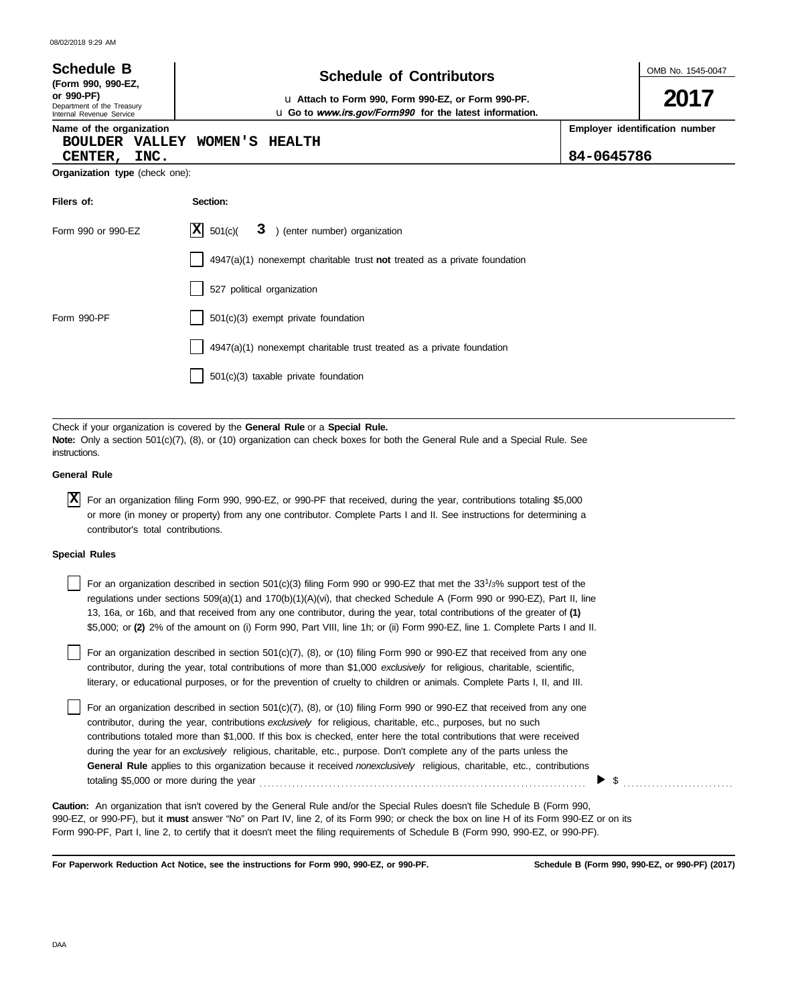| 08/02/2018 9:29 AM                                                                                                                                                                                                                                                                                                                                                                                                                                                                                                                                                                                                        |                                                                                                                                                                                                                                                                                                                                                                                                                                                                                                                            |            |                                |  |  |  |  |  |  |
|---------------------------------------------------------------------------------------------------------------------------------------------------------------------------------------------------------------------------------------------------------------------------------------------------------------------------------------------------------------------------------------------------------------------------------------------------------------------------------------------------------------------------------------------------------------------------------------------------------------------------|----------------------------------------------------------------------------------------------------------------------------------------------------------------------------------------------------------------------------------------------------------------------------------------------------------------------------------------------------------------------------------------------------------------------------------------------------------------------------------------------------------------------------|------------|--------------------------------|--|--|--|--|--|--|
| <b>Schedule B</b><br>(Form 990, 990-EZ,                                                                                                                                                                                                                                                                                                                                                                                                                                                                                                                                                                                   | <b>Schedule of Contributors</b>                                                                                                                                                                                                                                                                                                                                                                                                                                                                                            |            | OMB No. 1545-0047              |  |  |  |  |  |  |
| or 990-PF)<br>Department of the Treasury<br>Internal Revenue Service                                                                                                                                                                                                                                                                                                                                                                                                                                                                                                                                                      | u Attach to Form 990, Form 990-EZ, or Form 990-PF.<br>u Go to www.irs.gov/Form990 for the latest information.                                                                                                                                                                                                                                                                                                                                                                                                              |            | 2017                           |  |  |  |  |  |  |
| Name of the organization<br><b>BOULDER VALLEY</b>                                                                                                                                                                                                                                                                                                                                                                                                                                                                                                                                                                         | WOMEN'S<br><b>HEALTH</b>                                                                                                                                                                                                                                                                                                                                                                                                                                                                                                   | 84-0645786 | Employer identification number |  |  |  |  |  |  |
| INC.<br>CENTER,<br>Organization type (check one):                                                                                                                                                                                                                                                                                                                                                                                                                                                                                                                                                                         |                                                                                                                                                                                                                                                                                                                                                                                                                                                                                                                            |            |                                |  |  |  |  |  |  |
| Filers of:                                                                                                                                                                                                                                                                                                                                                                                                                                                                                                                                                                                                                | Section:                                                                                                                                                                                                                                                                                                                                                                                                                                                                                                                   |            |                                |  |  |  |  |  |  |
| Form 990 or 990-EZ                                                                                                                                                                                                                                                                                                                                                                                                                                                                                                                                                                                                        | ΙXΙ<br>501(c)<br>3 ) (enter number) organization                                                                                                                                                                                                                                                                                                                                                                                                                                                                           |            |                                |  |  |  |  |  |  |
| $4947(a)(1)$ nonexempt charitable trust not treated as a private foundation                                                                                                                                                                                                                                                                                                                                                                                                                                                                                                                                               |                                                                                                                                                                                                                                                                                                                                                                                                                                                                                                                            |            |                                |  |  |  |  |  |  |
|                                                                                                                                                                                                                                                                                                                                                                                                                                                                                                                                                                                                                           | 527 political organization                                                                                                                                                                                                                                                                                                                                                                                                                                                                                                 |            |                                |  |  |  |  |  |  |
| Form 990-PF                                                                                                                                                                                                                                                                                                                                                                                                                                                                                                                                                                                                               | 501(c)(3) exempt private foundation                                                                                                                                                                                                                                                                                                                                                                                                                                                                                        |            |                                |  |  |  |  |  |  |
|                                                                                                                                                                                                                                                                                                                                                                                                                                                                                                                                                                                                                           | 4947(a)(1) nonexempt charitable trust treated as a private foundation                                                                                                                                                                                                                                                                                                                                                                                                                                                      |            |                                |  |  |  |  |  |  |
|                                                                                                                                                                                                                                                                                                                                                                                                                                                                                                                                                                                                                           | 501(c)(3) taxable private foundation                                                                                                                                                                                                                                                                                                                                                                                                                                                                                       |            |                                |  |  |  |  |  |  |
|                                                                                                                                                                                                                                                                                                                                                                                                                                                                                                                                                                                                                           |                                                                                                                                                                                                                                                                                                                                                                                                                                                                                                                            |            |                                |  |  |  |  |  |  |
| instructions.                                                                                                                                                                                                                                                                                                                                                                                                                                                                                                                                                                                                             | Check if your organization is covered by the General Rule or a Special Rule.<br>Note: Only a section 501(c)(7), (8), or (10) organization can check boxes for both the General Rule and a Special Rule. See                                                                                                                                                                                                                                                                                                                |            |                                |  |  |  |  |  |  |
| <b>General Rule</b>                                                                                                                                                                                                                                                                                                                                                                                                                                                                                                                                                                                                       |                                                                                                                                                                                                                                                                                                                                                                                                                                                                                                                            |            |                                |  |  |  |  |  |  |
| ΙX<br>contributor's total contributions.                                                                                                                                                                                                                                                                                                                                                                                                                                                                                                                                                                                  | For an organization filing Form 990, 990-EZ, or 990-PF that received, during the year, contributions totaling \$5,000<br>or more (in money or property) from any one contributor. Complete Parts I and II. See instructions for determining a                                                                                                                                                                                                                                                                              |            |                                |  |  |  |  |  |  |
| <b>Special Rules</b>                                                                                                                                                                                                                                                                                                                                                                                                                                                                                                                                                                                                      |                                                                                                                                                                                                                                                                                                                                                                                                                                                                                                                            |            |                                |  |  |  |  |  |  |
|                                                                                                                                                                                                                                                                                                                                                                                                                                                                                                                                                                                                                           | For an organization described in section 501(c)(3) filing Form 990 or 990-EZ that met the 33 <sup>1</sup> /3% support test of the<br>regulations under sections $509(a)(1)$ and $170(b)(1)(A)(vi)$ , that checked Schedule A (Form 990 or 990-EZ), Part II, line<br>13, 16a, or 16b, and that received from any one contributor, during the year, total contributions of the greater of (1)<br>\$5,000; or (2) 2% of the amount on (i) Form 990, Part VIII, line 1h; or (ii) Form 990-EZ, line 1. Complete Parts I and II. |            |                                |  |  |  |  |  |  |
|                                                                                                                                                                                                                                                                                                                                                                                                                                                                                                                                                                                                                           | For an organization described in section 501(c)(7), (8), or (10) filing Form 990 or 990-EZ that received from any one<br>contributor, during the year, total contributions of more than \$1,000 exclusively for religious, charitable, scientific,<br>literary, or educational purposes, or for the prevention of cruelty to children or animals. Complete Parts I, II, and III.                                                                                                                                           |            |                                |  |  |  |  |  |  |
| For an organization described in section 501(c)(7), (8), or (10) filing Form 990 or 990-EZ that received from any one<br>contributor, during the year, contributions exclusively for religious, charitable, etc., purposes, but no such<br>contributions totaled more than \$1,000. If this box is checked, enter here the total contributions that were received<br>during the year for an exclusively religious, charitable, etc., purpose. Don't complete any of the parts unless the<br>General Rule applies to this organization because it received nonexclusively religious, charitable, etc., contributions<br>\$ |                                                                                                                                                                                                                                                                                                                                                                                                                                                                                                                            |            |                                |  |  |  |  |  |  |

990-EZ, or 990-PF), but it **must** answer "No" on Part IV, line 2, of its Form 990; or check the box on line H of its Form 990-EZ or on its Form 990-PF, Part I, line 2, to certify that it doesn't meet the filing requirements of Schedule B (Form 990, 990-EZ, or 990-PF). **Caution:** An organization that isn't covered by the General Rule and/or the Special Rules doesn't file Schedule B (Form 990,

**For Paperwork Reduction Act Notice, see the instructions for Form 990, 990-EZ, or 990-PF.**

**Schedule B (Form 990, 990-EZ, or 990-PF) (2017)**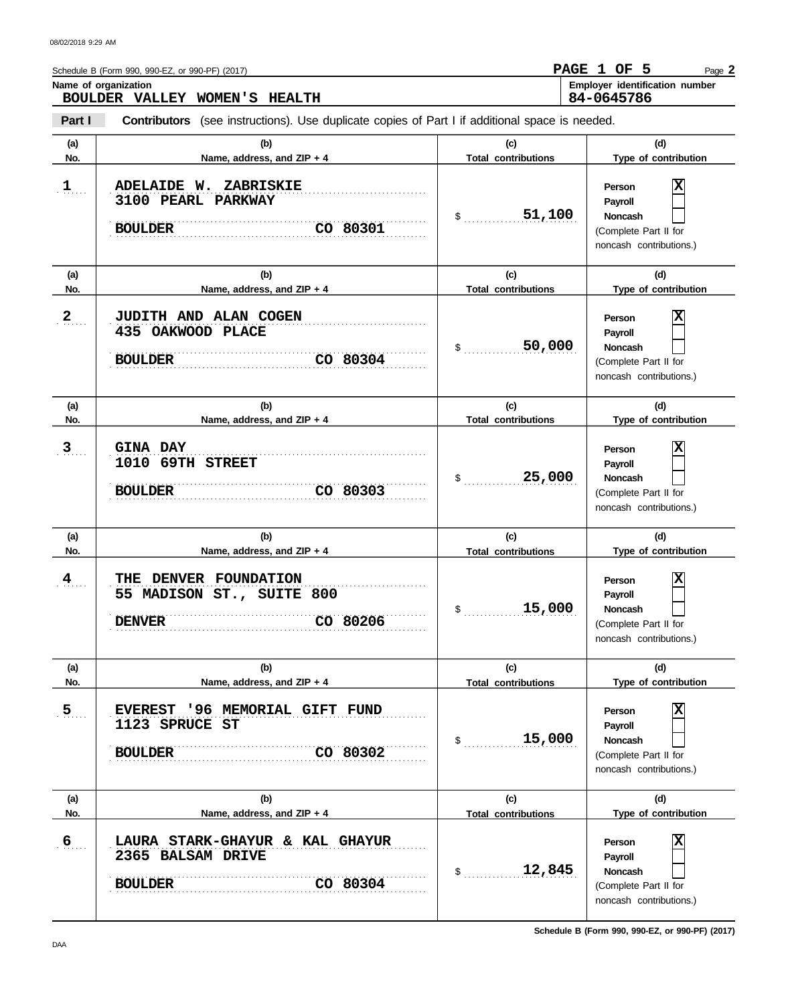|                  | 84-0645786<br>BOULDER VALLEY WOMEN'S HEALTH                                                                   |                                            |                                                                                                             |  |  |  |  |  |  |  |  |
|------------------|---------------------------------------------------------------------------------------------------------------|--------------------------------------------|-------------------------------------------------------------------------------------------------------------|--|--|--|--|--|--|--|--|
| Part I           | <b>Contributors</b> (see instructions). Use duplicate copies of Part I if additional space is needed.         |                                            |                                                                                                             |  |  |  |  |  |  |  |  |
| (a)<br>No.       | (b)<br>Name, address, and ZIP + 4                                                                             | (c)<br><b>Total contributions</b>          | (d)<br>Type of contribution                                                                                 |  |  |  |  |  |  |  |  |
| 1                | ZABRISKIE<br>ADELAIDE W.<br>3100 PEARL PARKWAY<br><b>BOULDER</b><br>CO 80301                                  | 51,100<br>$\sim$                           | X<br>Person<br>Payroll<br>Noncash<br>(Complete Part II for<br>noncash contributions.)                       |  |  |  |  |  |  |  |  |
| (a)<br>No.       | (b)<br>Name, address, and ZIP + 4                                                                             | (c)<br><b>Total contributions</b>          | (d)<br>Type of contribution                                                                                 |  |  |  |  |  |  |  |  |
| $2_{\ldots}$     | JUDITH AND ALAN COGEN<br>435 OAKWOOD PLACE<br>CO 80304<br><b>BOULDER</b>                                      | 50,000<br>$\mathsf{\$}$                    | X<br>Person<br>Payroll<br><b>Noncash</b><br>(Complete Part II for<br>noncash contributions.)                |  |  |  |  |  |  |  |  |
| (a)<br>No.       | (b)<br>Name, address, and ZIP + 4                                                                             | (c)<br><b>Total contributions</b>          | (d)<br>Type of contribution                                                                                 |  |  |  |  |  |  |  |  |
| $\mathbf{3}$     | <b>GINA DAY</b><br>1010 69TH STREET<br>CO 80303<br><b>BOULDER</b>                                             | 25,000<br>$\mathsf{\$}$                    | X<br>Person<br>Payroll<br>Noncash<br>(Complete Part II for<br>noncash contributions.)                       |  |  |  |  |  |  |  |  |
| (a)<br>No.       | (b)                                                                                                           | (c)                                        | (d)<br>Type of contribution                                                                                 |  |  |  |  |  |  |  |  |
| $\frac{4}{1}$    | Name, address, and ZIP + 4<br>THE DENVER FOUNDATION<br>55 MADISON ST., SUITE 800<br>CO 80206<br><b>DENVER</b> | <b>Total contributions</b><br>15,000<br>\$ | X<br>Person<br>Payroll<br>Noncash<br>(Complete Part II for<br>noncash contributions.)                       |  |  |  |  |  |  |  |  |
| (a)<br>No.       | (b)<br>Name, address, and ZIP + 4                                                                             | (c)<br><b>Total contributions</b>          | (d)<br>Type of contribution                                                                                 |  |  |  |  |  |  |  |  |
| $\overline{5}$   | '96 MEMORIAL GIFT FUND<br><b>EVEREST</b><br>1123 SPRUCE ST<br>CO 80302<br><b>BOULDER</b>                      | 15,000<br>\$                               | X<br>Person<br>Payroll<br>Noncash<br>(Complete Part II for<br>noncash contributions.)                       |  |  |  |  |  |  |  |  |
| (a)<br>No.       | (b)<br>Name, address, and ZIP + 4                                                                             | (c)<br><b>Total contributions</b>          | (d)<br>Type of contribution                                                                                 |  |  |  |  |  |  |  |  |
| $6 \overline{6}$ | LAURA STARK-GHAYUR & KAL GHAYUR<br>2365 BALSAM DRIVE<br>CO 80304<br><b>BOULDER</b>                            | 12,845<br>\$                               | $\overline{\mathbf{x}}$<br>Person<br>Payroll<br>Noncash<br>(Complete Part II for<br>noncash contributions.) |  |  |  |  |  |  |  |  |

**Name of organization** 

08/02/2018 9:29 AM

**Schedule B (Form 990, 990-EZ, or 990-PF) (2017)**

Page **2**

**PAGE 1 OF 5**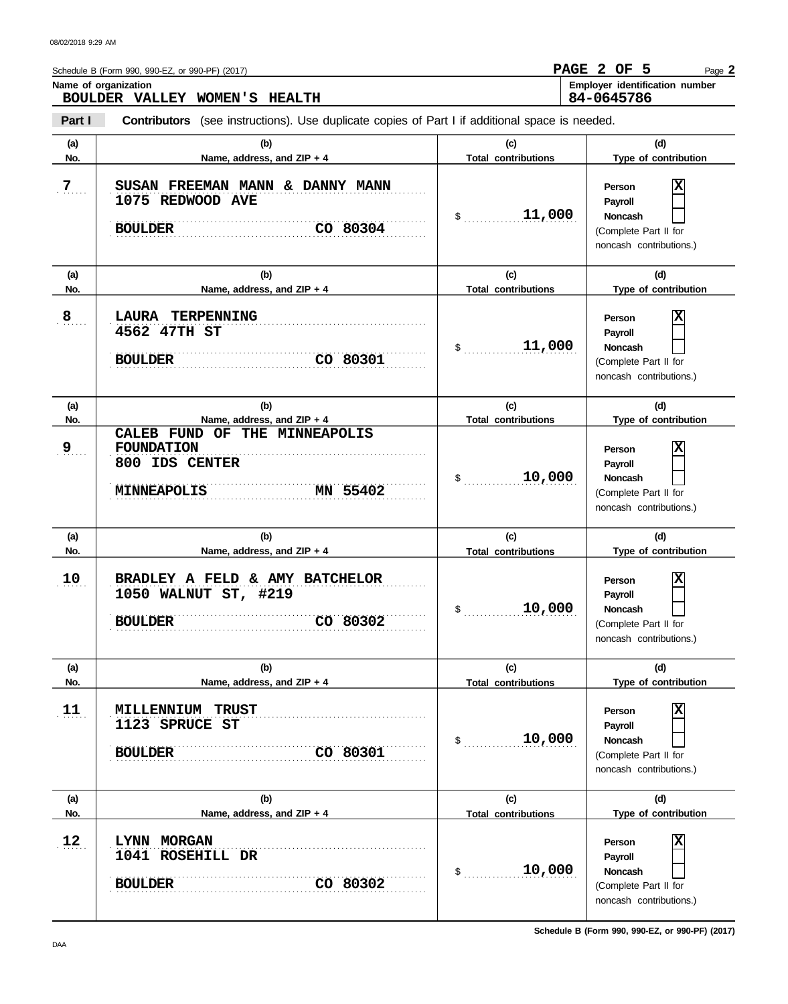| (a)             | (b)                                                                                                    | (c)                               | (d)                                                                                                 |
|-----------------|--------------------------------------------------------------------------------------------------------|-----------------------------------|-----------------------------------------------------------------------------------------------------|
| No.             | Name, address, and ZIP + 4                                                                             | <b>Total contributions</b>        | Type of contribution                                                                                |
| 7               | SUSAN FREEMAN MANN & DANNY MANN<br>1075 REDWOOD AVE<br>CO 80304<br><b>BOULDER</b>                      | 11,000<br>$\frac{1}{2}$           | х<br>Person<br>Payroll<br><b>Noncash</b><br>(Complete Part II for<br>noncash contributions.)        |
| (a)<br>No.      | (b)<br>Name, address, and ZIP + 4                                                                      | (c)<br><b>Total contributions</b> | (d)<br>Type of contribution                                                                         |
| $\overline{8}$  | <b>LAURA</b><br>TERPENNING<br>4562 47TH ST<br><b>BOULDER</b><br>CO 80301                               | 11,000<br>$\frac{1}{2}$           | Χ<br>Person<br>Payroll<br><b>Noncash</b><br>(Complete Part II for<br>noncash contributions.)        |
| (a)<br>No.      | (b)<br>Name, address, and ZIP + 4                                                                      | (c)<br><b>Total contributions</b> | (d)<br>Type of contribution                                                                         |
| 9               | CALEB FUND OF THE MINNEAPOLIS<br><b>FOUNDATION</b><br>800 IDS CENTER<br>MN 55402<br><b>MINNEAPOLIS</b> | 10,000<br>$\mathsf{\$}$           | X<br>Person<br>Payroll<br><b>Noncash</b><br>(Complete Part II for<br>noncash contributions.)        |
| (a)<br>No.      | (b)<br>Name, address, and ZIP + 4                                                                      | (c)<br><b>Total contributions</b> | (d)<br>Type of contribution                                                                         |
| 10 <sub>1</sub> | BRADLEY A FELD & AMY BATCHELOR<br>1050 WALNUT ST, #219<br>CO 80302<br><b>BOULDER</b>                   | 10,000<br>\$                      | X<br>Person<br>Payroll<br><b>Noncash</b><br>(Complete Part II for<br>noncash contributions.)        |
| (a)<br>No.      | (b)<br>Name, address, and ZIP + 4                                                                      | (c)<br><b>Total contributions</b> | (d)<br>Type of contribution                                                                         |
| 11              | MILLENNIUM<br><b>TRUST</b><br>1123 SPRUCE ST<br>CO 80301<br><b>BOULDER</b>                             | 10,000<br>\$                      | X<br>Person<br><b>Payroll</b><br><b>Noncash</b><br>(Complete Part II for<br>noncash contributions.) |
| (a)<br>No.      | (b)<br>Name, address, and ZIP + 4                                                                      | (c)<br><b>Total contributions</b> | (d)<br>Type of contribution                                                                         |
| 12              | LYNN MORGAN<br>1041 ROSEHILL DR<br>CO 80302<br><b>BOULDER</b>                                          | 10,000<br>\$                      | X<br>Person<br><b>Payroll</b><br><b>Noncash</b><br>(Complete Part II for                            |

Name of organization **Name of organization Employer identification** number

Page **2**

**PAGE 2 OF 5**

**84-0645786**

Schedule B (Form 990, 990-EZ, or 990-PF) (2017)

**BOULDER VALLEY WOMEN'S HEALTH**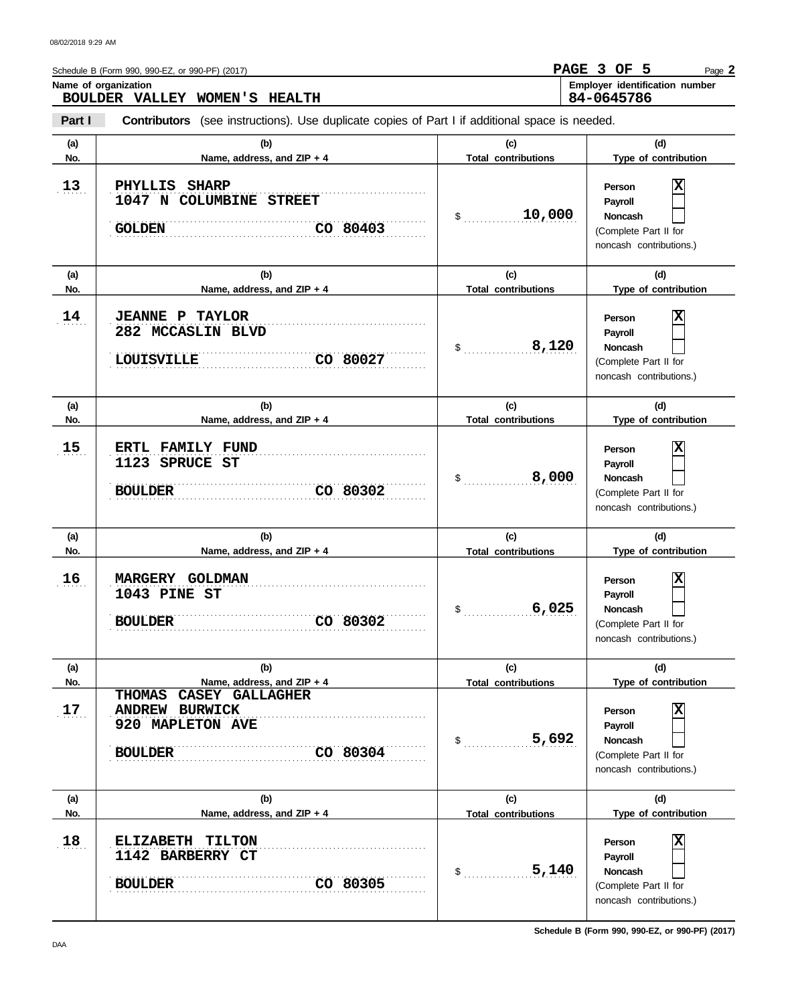**Part I Type of contribution Person Payroll Noncash (a) (b) (c) (d) No. Name, address, and ZIP + 4 Type of contribution Person Payroll Noncash (a) (b) (c) (d) No. Name, address, and ZIP + 4 Type of contribution Person Payroll Noncash (a) (b) (c) (d) No. Name, address, and ZIP + 4 Type of contribution Person Payroll Noncash**  $\mathsf{\$}$ (Complete Part II for noncash contributions.) \$ . . . . . . . . . . . . . . . . . . . . . . . . . . . . **8,120** (Complete Part II for noncash contributions.) \$ . . . . . . . . . . . . . . . . . . . . . . . . . . . . (Complete Part II for noncash contributions.)  $\$\quad$ (Complete Part II for noncash contributions.)  $\$\,$  . . . . . . . . . . . . . . . . . . (Complete Part II for noncash contributions.)  $\frac{1}{2}$ (Complete Part II for noncash contributions.) **Contributors** (see instructions). Use duplicate copies of Part I if additional space is needed. **(a) (b) (c) (d) No. Name, address, and ZIP + 4 Total contributions Type of contribution Person Payroll Noncash (a) (b) (c) (d) No. Name, address, and ZIP + 4 Type of contribution Person Payroll Noncash (a) (b) (c) (d) No. Name, address, and ZIP + 4** Name of organization  $13$  $14$ 15  $16$  $17.$ 18 . . . . . . . . . . . . . . . . . . . . . . . . . . . . . . . . . . . . . . . . . . . . . . . . . . . . . . . . . . . . . . . . . . . . . . . . . . . . . **BOULDER CO 80305** . . . . . . . . . . . . . . . . . . . . . . . . . . . . . . . . . . . . . . . . . . . . . . . . . . . . . . . . . . . . . . . . . . . . . . . . . . . . . . . . . . . . . . . . . . . . . . . . . . . . . . . . . . . . . . . . . . . . . . . . . . . . . . . . . . . . . . . . . . . . . . . . . . . . . . . . . . **18 ELIZABETH TILTON** . . . . . . . . . . . . . . . . . . . . . . . . . . . . . . . . . . . . . . . . . . . . . . . . . . . . . . . . . . . . . . . . . . . . . . . . . . . . . **ANDREW BURWICK** . . . . . . . . . . . . . . . . . . . . . . . . . . . . . . . . . . . . . . . . . . . . . . . . . . . . . . . . . . . . . . . . . . . . . . . . . . . . . . . . . . . . . . . . . . . . . . . . . . . . . . . . . . . . . . . . . . . . . . . . . . . . . . . . . . . . . . . . . . . . . . . . . . . . . . . . . . . . . . . . . . . . . . . . . . . . . . . . . . . . . . . . . . . . . . . . . . . . . . . . . . . . . . . . . . . . . . . . . . . . . . . . . . . . . . . **BOULDER CO 80302** . . . . . . . . . . . . . . . . . . . . . . . . . . . . . . . . . . . . . . . . . . . . . . . . . . . . . . . . . . . . . . . . . . . . . . . . . . . . . . . . . . . . . . . . . . . . . . . . . . . . . . . . . . . . . . . . . . . . . . . . . . . . . . . . . . . . . . . . . . . . . . . . . . . . . . . . . . **16 MARGERY GOLDMAN** . . . . . . . . . . . . . . . . . . . . . . . . . . . . . . . . . . . . . . . . . . . . . . . . . . . . . . . . . . . . . . . . . . . . . . . . . . . . . **15 ERTL FAMILY FUND** . . . . . . . . . . . . . . . . . . . . . . . . . . . . . . . . . . . . . . . . . . . . . . . . . . . . . . . . . . . . . . . . . . . . . . . . . . . . . . . . . . . . . . . . . . . . . . . . . . . . . . . . . . . . . . . . . . . . . . . . . . . . . . . . . . . . . . . . . . . . . . . . . . . . . . . . . . CO 80027 . . . . . . . . . . . . . . . . . . . . . . . . . . . . . . . . . . . . . . . . . . . . . . . . . . . . . . . . . . . . . . . . . . . . . . . . . . . . . . . . . . . . . . . . . . . . . . . . . . . . . . . . . . . . . . . . . . . . . . . . . . . . . . . . . . . . . . . . . . . . . . . . . . . . . . . . . . **14 JEANNE P TAYLOR** . . . . . . . . . . . . . . . . . . . . . . . . . . . . . . . . . . . . . . . . . . . . . . . . . . . . . . . . . . . . . . . . . . . . . . . . . . . . . **1047 N COLUMBINE STREET** . . . . . . . . . . . . . . . . . . . . . . . . . . . . . . . . . . . . . . . . . . . . . . . . . . . . . . . . . . . . . . . . . . . . . . . . . . . . . **GOLDEN CO 80403** . . . . . . . . . . . . . . . . . . . . . . . . . . . . . . . . . . . . . . . . . . . . . . . . . . . . . . . . . . . . . . . . . . . . . . . . . . . . . **Total contributions Total contributions Total contributions Total contributions Total contributions BOULDER VALLEY WOMEN'S HEALTH 84-0645786 13 PHYLLIS SHARP 10,000 X 282 MCCASLIN BLVD LOUISVILLE X 1123 SPRUCE ST BOULDER CO 80302 8,000 X 1043 PINE ST 6,025 X THOMAS CASEY GALLAGHER 920 MAPLETON AVE BOULDER CO 80304 5,692 X 1142 BARBERRY CT 5,140 X**

Page **2**

**PAGE 3 OF 5**

Schedule B (Form 990, 990-EZ, or 990-PF) (2017)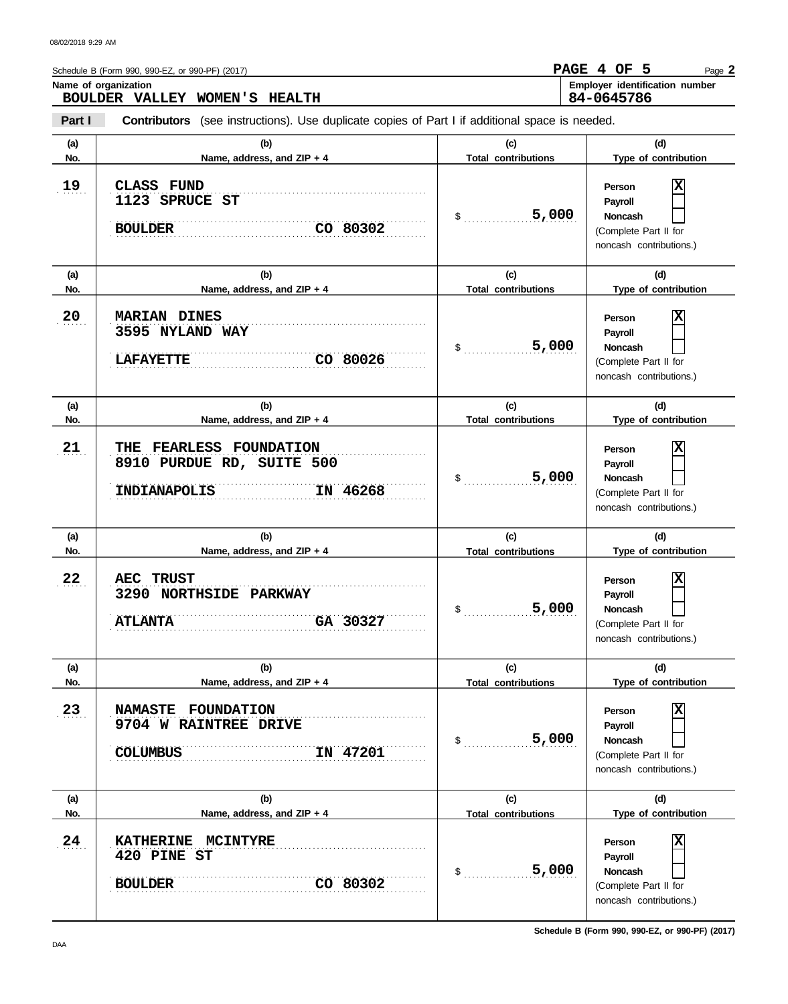|            | Schedule B (Form 990, 990-EZ, or 990-PF) (2017)<br>Name of organization<br>BOULDER VALLEY WOMEN'S HEALTH |                                   | PAGE 4 OF 5<br>Page 2<br>Employer identification number<br>84-0645786                                              |
|------------|----------------------------------------------------------------------------------------------------------|-----------------------------------|--------------------------------------------------------------------------------------------------------------------|
| Part I     | <b>Contributors</b> (see instructions). Use duplicate copies of Part I if additional space is needed.    |                                   |                                                                                                                    |
| (a)<br>No. | (b)<br>Name, address, and ZIP + 4                                                                        | (c)<br><b>Total contributions</b> | (d)<br>Type of contribution                                                                                        |
| 19         | CLASS FUND<br>1123 SPRUCE ST<br>CO 80302<br><b>BOULDER</b>                                               | 5,000<br>\$                       | Χ<br>Person<br>Payroll<br><b>Noncash</b><br>(Complete Part II for<br>noncash contributions.)                       |
| (a)<br>No. | (b)<br>Name, address, and ZIP + 4                                                                        | (c)<br><b>Total contributions</b> | (d)<br>Type of contribution                                                                                        |
| 20         | <b>MARIAN DINES</b><br>3595 NYLAND WAY<br>CO 80026<br><b>LAFAYETTE</b>                                   | 5,000<br>\$                       | X<br>Person<br>Payroll<br><b>Noncash</b><br>(Complete Part II for<br>noncash contributions.)                       |
| (a)<br>No. | (b)<br>Name, address, and ZIP + 4                                                                        | (c)<br><b>Total contributions</b> | (d)<br>Type of contribution                                                                                        |
| 21         | <b>THE FEARLESS FOUNDATION</b><br>8910 PURDUE RD, SUITE 500<br>INDIANAPOLIS<br>IN 46268                  | 5,000<br>\$                       | X<br>Person<br>Payroll<br><b>Noncash</b><br>(Complete Part II for<br>noncash contributions.)                       |
| (a)<br>No. | (b)<br>Name, address, and ZIP + 4                                                                        | (c)<br><b>Total contributions</b> | (d)<br>Type of contribution                                                                                        |
| 22         | <b>TRUST</b><br>AEC<br>3290<br><b>NORTHSIDE PARKWAY</b><br>GA 30327<br><b>ATLANTA</b>                    | 5,000<br>\$                       | $\overline{\mathbf{x}}$<br>Person<br>Payroll<br><b>Noncash</b><br>(Complete Part II for<br>noncash contributions.) |
| (a)<br>No. | (b)<br>Name, address, and ZIP + 4                                                                        | (c)<br><b>Total contributions</b> | (d)<br>Type of contribution                                                                                        |
| 23         | NAMASTE FOUNDATION<br>9704 W RAINTREE DRIVE<br><b>COLUMBUS</b><br>IN 47201                               | 5,000<br>\$                       | X<br>Person<br>Payroll<br>Noncash<br>(Complete Part II for<br>noncash contributions.)                              |
| (a)<br>No. | (b)<br>Name, address, and ZIP + 4                                                                        | (c)<br><b>Total contributions</b> | (d)<br>Type of contribution                                                                                        |
| 24         | KATHERINE MCINTYRE<br>420 PINE ST<br>CO 80302<br><b>BOULDER</b>                                          | 5,000<br>\$                       | X<br>Person<br>Payroll<br>Noncash<br>(Complete Part II for<br>noncash contributions.)                              |

**Schedule B (Form 990, 990-EZ, or 990-PF) (2017)**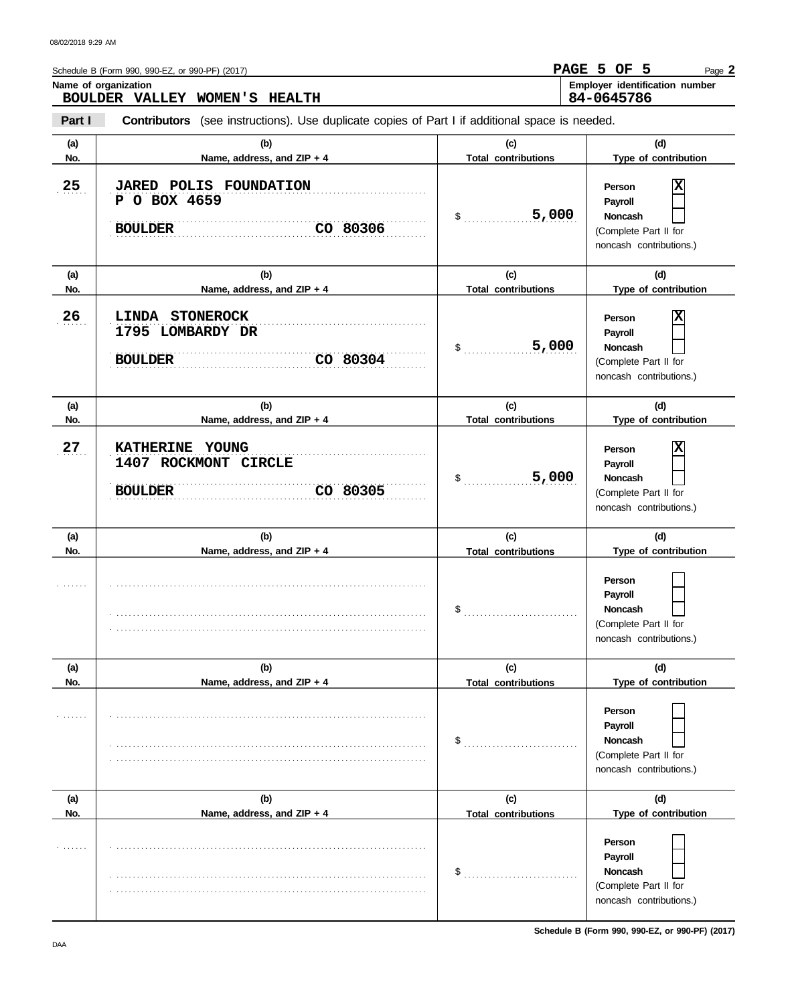|            | Schedule B (Form 990, 990-EZ, or 990-PF) (2017)                                                       |                                   | PAGE 5 OF 5<br>Page 2                                                                          |
|------------|-------------------------------------------------------------------------------------------------------|-----------------------------------|------------------------------------------------------------------------------------------------|
|            | Name of organization<br>BOULDER VALLEY WOMEN'S HEALTH                                                 |                                   | Employer identification number<br>84-0645786                                                   |
| Part I     | <b>Contributors</b> (see instructions). Use duplicate copies of Part I if additional space is needed. |                                   |                                                                                                |
| (a)<br>No. | (b)<br>Name, address, and ZIP + 4                                                                     | (c)<br><b>Total contributions</b> | (d)<br>Type of contribution                                                                    |
| 25         | <b>JARED POLIS FOUNDATION</b><br>P O BOX 4659<br>CO 80306<br><b>BOULDER</b>                           | 5,000<br>\$                       | Х<br>Person<br>Payroll<br>Noncash<br>(Complete Part II for<br>noncash contributions.)          |
| (a)<br>No. | (b)<br>Name, address, and ZIP + 4                                                                     | (c)<br><b>Total contributions</b> | (d)<br>Type of contribution                                                                    |
| 26         | <b>LINDA</b><br><b>STONEROCK</b><br>1795 LOMBARDY DR<br>CO 80304<br><b>BOULDER</b>                    | 5,000<br>\$                       | Х<br>Person<br>Payroll<br>Noncash<br>(Complete Part II for<br>noncash contributions.)          |
| (a)<br>No. | (b)<br>Name, address, and ZIP + 4                                                                     | (c)<br><b>Total contributions</b> | (d)<br>Type of contribution                                                                    |
| 27         | <b>KATHERINE</b><br>YOUNG<br>1407 ROCKMONT CIRCLE<br>CO 80305<br><b>BOULDER</b>                       | 5,000<br>\$                       | х<br>Person<br>Payroll<br><b>Noncash</b><br>(Complete Part II for<br>noncash contributions.)   |
| (a)<br>No. | (b)<br>Name, address, and ZIP + 4                                                                     | (c)<br><b>Total contributions</b> | (d)<br>Type of contribution                                                                    |
|            |                                                                                                       | \$                                | Person<br><b>Payroll</b><br><b>Noncash</b><br>(Complete Part II for<br>noncash contributions.) |
| (a)<br>No. | (b)<br>Name, address, and ZIP + 4                                                                     | (c)<br><b>Total contributions</b> | (d)<br>Type of contribution                                                                    |
|            |                                                                                                       | \$                                | Person<br>Payroll<br><b>Noncash</b><br>(Complete Part II for<br>noncash contributions.)        |
| (a)<br>No. | (b)<br>Name, address, and ZIP + 4                                                                     | (c)<br><b>Total contributions</b> | (d)<br>Type of contribution                                                                    |
| .          |                                                                                                       |                                   | Person<br>Payroll                                                                              |

. . . . . . . . . . . . . . . . . . . . . . . . . . . . . . . . . . . . . . . . . . . . . . . . . . . . . . . . . . . . . . . . . . . . . . . . . . . . . . . . . . . . . . . . . . . . . . . . . . . . . . . . . . . . . . . . . . . . . . . . . . . . . . . . . . . . . . . . . . . . . . . . . . . . . . . . . .

**Schedule B (Form 990, 990-EZ, or 990-PF) (2017)**

(Complete Part II for noncash contributions.)

 $\overline{\phantom{0}}$ 

**Noncash**

\$ . . . . . . . . . . . . . . . . . . . . . . . . . . . .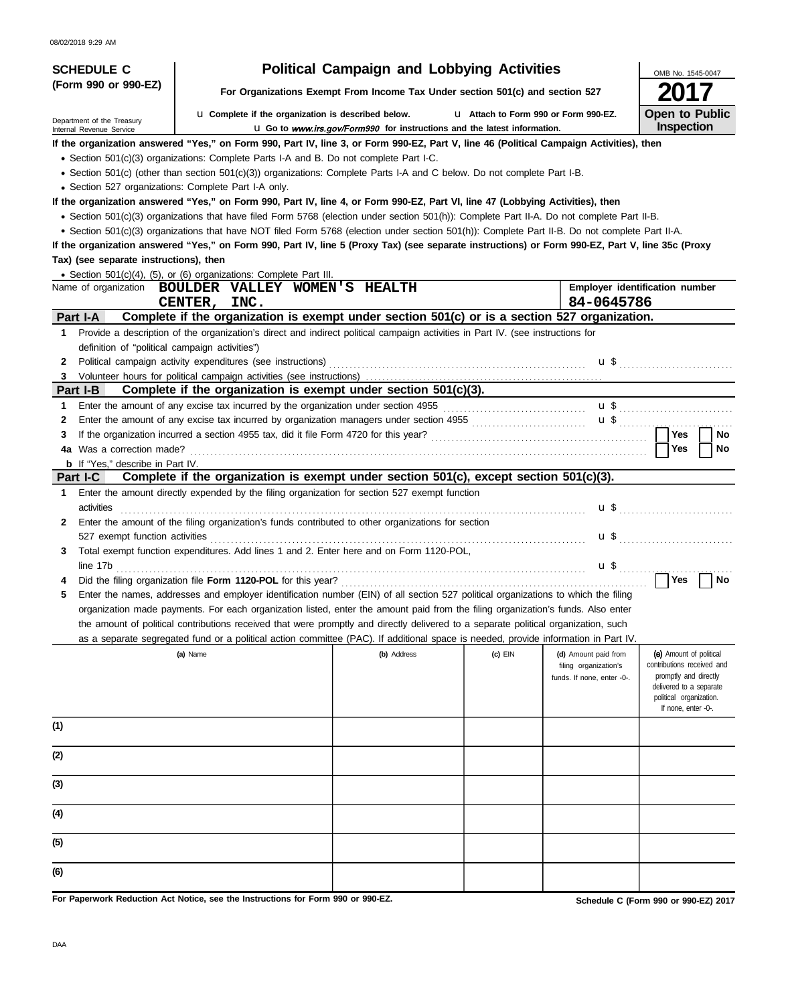| <b>SCHEDULE C</b>                                    |                                                                                                                                                                                                                                                                                                | <b>Political Campaign and Lobbying Activities</b>                               |           |                                                                             | OMB No. 1545-0047                                                                                                                                           |
|------------------------------------------------------|------------------------------------------------------------------------------------------------------------------------------------------------------------------------------------------------------------------------------------------------------------------------------------------------|---------------------------------------------------------------------------------|-----------|-----------------------------------------------------------------------------|-------------------------------------------------------------------------------------------------------------------------------------------------------------|
| (Form 990 or 990-EZ)                                 |                                                                                                                                                                                                                                                                                                | For Organizations Exempt From Income Tax Under section 501(c) and section 527   |           |                                                                             |                                                                                                                                                             |
| Department of the Treasury                           | <b>u</b> Complete if the organization is described below.                                                                                                                                                                                                                                      |                                                                                 |           | L1 Attach to Form 990 or Form 990-EZ.                                       | <b>Open to Public</b>                                                                                                                                       |
| Internal Revenue Service                             |                                                                                                                                                                                                                                                                                                | <b>u</b> Go to www.irs.gov/Form990 for instructions and the latest information. |           |                                                                             | Inspection                                                                                                                                                  |
|                                                      | If the organization answered "Yes," on Form 990, Part IV, line 3, or Form 990-EZ, Part V, line 46 (Political Campaign Activities), then                                                                                                                                                        |                                                                                 |           |                                                                             |                                                                                                                                                             |
|                                                      | • Section 501(c)(3) organizations: Complete Parts I-A and B. Do not complete Part I-C.                                                                                                                                                                                                         |                                                                                 |           |                                                                             |                                                                                                                                                             |
|                                                      | • Section 501(c) (other than section 501(c)(3)) organizations: Complete Parts I-A and C below. Do not complete Part I-B.                                                                                                                                                                       |                                                                                 |           |                                                                             |                                                                                                                                                             |
| • Section 527 organizations: Complete Part I-A only. |                                                                                                                                                                                                                                                                                                |                                                                                 |           |                                                                             |                                                                                                                                                             |
|                                                      | If the organization answered "Yes," on Form 990, Part IV, line 4, or Form 990-EZ, Part VI, line 47 (Lobbying Activities), then                                                                                                                                                                 |                                                                                 |           |                                                                             |                                                                                                                                                             |
|                                                      | • Section 501(c)(3) organizations that have filed Form 5768 (election under section 501(h)): Complete Part II-A. Do not complete Part II-B.<br>· Section 501(c)(3) organizations that have NOT filed Form 5768 (election under section 501(h)): Complete Part II-B. Do not complete Part II-A. |                                                                                 |           |                                                                             |                                                                                                                                                             |
|                                                      |                                                                                                                                                                                                                                                                                                |                                                                                 |           |                                                                             |                                                                                                                                                             |
| Tax) (see separate instructions), then               | If the organization answered "Yes," on Form 990, Part IV, line 5 (Proxy Tax) (see separate instructions) or Form 990-EZ, Part V, line 35c (Proxy                                                                                                                                               |                                                                                 |           |                                                                             |                                                                                                                                                             |
|                                                      |                                                                                                                                                                                                                                                                                                |                                                                                 |           |                                                                             |                                                                                                                                                             |
|                                                      | • Section 501(c)(4), (5), or (6) organizations: Complete Part III.<br>Name of organization BOULDER VALLEY WOMEN'S HEALTH                                                                                                                                                                       |                                                                                 |           |                                                                             | Employer identification number                                                                                                                              |
|                                                      | CENTER, INC.                                                                                                                                                                                                                                                                                   |                                                                                 |           | 84-0645786                                                                  |                                                                                                                                                             |
| Part I-A                                             | Complete if the organization is exempt under section 501(c) or is a section 527 organization.                                                                                                                                                                                                  |                                                                                 |           |                                                                             |                                                                                                                                                             |
|                                                      | Provide a description of the organization's direct and indirect political campaign activities in Part IV. (see instructions for                                                                                                                                                                |                                                                                 |           |                                                                             |                                                                                                                                                             |
| definition of "political campaign activities")       |                                                                                                                                                                                                                                                                                                |                                                                                 |           |                                                                             |                                                                                                                                                             |
| 2                                                    |                                                                                                                                                                                                                                                                                                |                                                                                 |           |                                                                             | $\mathbf{u}$ \$ $\ldots$ $\ldots$ $\ldots$ $\ldots$ $\ldots$ $\ldots$ $\ldots$                                                                              |
| 3                                                    |                                                                                                                                                                                                                                                                                                |                                                                                 |           |                                                                             |                                                                                                                                                             |
| Part I-B                                             | Complete if the organization is exempt under section 501(c)(3).                                                                                                                                                                                                                                |                                                                                 |           |                                                                             |                                                                                                                                                             |
| 1.                                                   | Enter the amount of any excise tax incurred by the organization under section 4955 [[[[[[[[[[[[[[[[[[[[[[[[[[[                                                                                                                                                                                 |                                                                                 |           |                                                                             |                                                                                                                                                             |
| 2                                                    | Enter the amount of any excise tax incurred by organization managers under section 4955 [[[[[[[[[[[[[[[[[[[[[                                                                                                                                                                                  |                                                                                 |           |                                                                             |                                                                                                                                                             |
| З                                                    |                                                                                                                                                                                                                                                                                                |                                                                                 |           |                                                                             | Yes<br>No                                                                                                                                                   |
| 4a Was a correction made?                            |                                                                                                                                                                                                                                                                                                |                                                                                 |           |                                                                             | Yes<br>No.                                                                                                                                                  |
| <b>b</b> If "Yes," describe in Part IV.              |                                                                                                                                                                                                                                                                                                |                                                                                 |           |                                                                             |                                                                                                                                                             |
| Part I-C                                             | Complete if the organization is exempt under section 501(c), except section 501(c)(3).                                                                                                                                                                                                         |                                                                                 |           |                                                                             |                                                                                                                                                             |
| 1<br>activities                                      | Enter the amount directly expended by the filing organization for section 527 exempt function                                                                                                                                                                                                  |                                                                                 |           |                                                                             | <b>u</b> \$                                                                                                                                                 |
|                                                      | Enter the amount of the filing organization's funds contributed to other organizations for section                                                                                                                                                                                             |                                                                                 |           |                                                                             |                                                                                                                                                             |
| 527 exempt function activities                       |                                                                                                                                                                                                                                                                                                |                                                                                 |           |                                                                             |                                                                                                                                                             |
| 3.<br>line 17b                                       | Total exempt function expenditures. Add lines 1 and 2. Enter here and on Form 1120-POL,                                                                                                                                                                                                        |                                                                                 |           | $\mathbf{u} \mathbf{\$}$                                                    |                                                                                                                                                             |
|                                                      |                                                                                                                                                                                                                                                                                                |                                                                                 |           |                                                                             | Yes<br>No                                                                                                                                                   |
|                                                      | Enter the names, addresses and employer identification number (EIN) of all section 527 political organizations to which the filing                                                                                                                                                             |                                                                                 |           |                                                                             |                                                                                                                                                             |
|                                                      | organization made payments. For each organization listed, enter the amount paid from the filing organization's funds. Also enter                                                                                                                                                               |                                                                                 |           |                                                                             |                                                                                                                                                             |
|                                                      | the amount of political contributions received that were promptly and directly delivered to a separate political organization, such                                                                                                                                                            |                                                                                 |           |                                                                             |                                                                                                                                                             |
|                                                      | as a separate segregated fund or a political action committee (PAC). If additional space is needed, provide information in Part IV.                                                                                                                                                            |                                                                                 |           |                                                                             |                                                                                                                                                             |
|                                                      | (a) Name                                                                                                                                                                                                                                                                                       | (b) Address                                                                     | $(c)$ EIN | (d) Amount paid from<br>filing organization's<br>funds. If none, enter -0-. | (e) Amount of political<br>contributions received and<br>promptly and directly<br>delivered to a separate<br>political organization.<br>If none, enter -0-. |
| (1)                                                  |                                                                                                                                                                                                                                                                                                |                                                                                 |           |                                                                             |                                                                                                                                                             |
| (2)                                                  |                                                                                                                                                                                                                                                                                                |                                                                                 |           |                                                                             |                                                                                                                                                             |
| (3)                                                  |                                                                                                                                                                                                                                                                                                |                                                                                 |           |                                                                             |                                                                                                                                                             |
| (4)                                                  |                                                                                                                                                                                                                                                                                                |                                                                                 |           |                                                                             |                                                                                                                                                             |
| (5)                                                  |                                                                                                                                                                                                                                                                                                |                                                                                 |           |                                                                             |                                                                                                                                                             |
| (6)                                                  |                                                                                                                                                                                                                                                                                                |                                                                                 |           |                                                                             |                                                                                                                                                             |
|                                                      |                                                                                                                                                                                                                                                                                                |                                                                                 |           |                                                                             |                                                                                                                                                             |

**For Paperwork Reduction Act Notice, see the Instructions for Form 990 or 990-EZ.**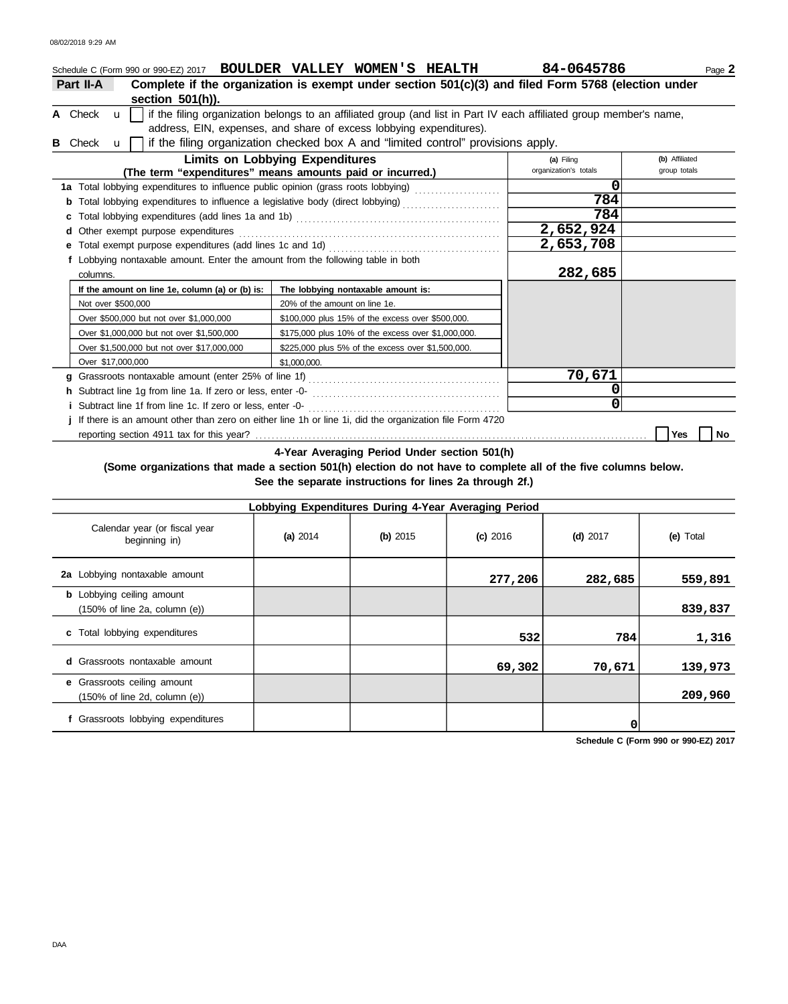|   |                                                                                                               | Schedule C (Form 990 or 990-EZ) 2017 BOULDER VALLEY WOMEN'S HEALTH                                                  | 84-0645786            | Page 2         |
|---|---------------------------------------------------------------------------------------------------------------|---------------------------------------------------------------------------------------------------------------------|-----------------------|----------------|
|   | Part II-A                                                                                                     | Complete if the organization is exempt under section 501(c)(3) and filed Form 5768 (election under                  |                       |                |
|   | section 501(h)).                                                                                              |                                                                                                                     |                       |                |
|   | A Check<br>$\mathbf{u}$                                                                                       | if the filing organization belongs to an affiliated group (and list in Part IV each affiliated group member's name, |                       |                |
|   |                                                                                                               | address, EIN, expenses, and share of excess lobbying expenditures).                                                 |                       |                |
| в | Check<br>$\mathbf{u}$                                                                                         | if the filing organization checked box A and "limited control" provisions apply.                                    |                       |                |
|   |                                                                                                               | <b>Limits on Lobbying Expenditures</b>                                                                              | (a) Filing            | (b) Affiliated |
|   |                                                                                                               | (The term "expenditures" means amounts paid or incurred.)                                                           | organization's totals | group totals   |
|   |                                                                                                               | 1a Total lobbying expenditures to influence public opinion (grass roots lobbying) [[[[[[[[[[[[[[[[[[[[[[[[[[[       | 0                     |                |
|   | Total lobbying expenditures to influence a legislative body (direct lobbying) [[[[[[[[[[[[[[[[[[[[[[[[[[[[[[[ | 784                                                                                                                 |                       |                |
|   | c                                                                                                             |                                                                                                                     | 784                   |                |
|   | Other exempt purpose expenditures<br>d                                                                        |                                                                                                                     | 2,652,924             |                |
|   | е                                                                                                             |                                                                                                                     | 2,653,708             |                |
|   | f Lobbying nontaxable amount. Enter the amount from the following table in both                               |                                                                                                                     |                       |                |
|   | columns.                                                                                                      |                                                                                                                     | 282,685               |                |
|   | If the amount on line 1e, column (a) or (b) is:                                                               | The lobbying nontaxable amount is:                                                                                  |                       |                |
|   | Not over \$500,000                                                                                            | 20% of the amount on line 1e.                                                                                       |                       |                |
|   | Over \$500,000 but not over \$1,000,000                                                                       | \$100,000 plus 15% of the excess over \$500,000.                                                                    |                       |                |
|   | Over \$1,000,000 but not over \$1,500,000                                                                     | \$175,000 plus 10% of the excess over \$1,000,000.                                                                  |                       |                |
|   | Over \$1,500,000 but not over \$17,000,000                                                                    | \$225,000 plus 5% of the excess over \$1,500,000.                                                                   |                       |                |
|   | Over \$17,000,000                                                                                             | \$1,000,000.                                                                                                        |                       |                |
|   | a                                                                                                             |                                                                                                                     | 70,671                |                |
|   |                                                                                                               |                                                                                                                     | 0                     |                |
|   |                                                                                                               |                                                                                                                     | $\mathbf{0}$          |                |
|   |                                                                                                               | If there is an amount other than zero on either line 1h or line 1i, did the organization file Form 4720             |                       |                |
|   |                                                                                                               |                                                                                                                     |                       | No<br>Yes      |

**4-Year Averaging Period Under section 501(h)**

## **(Some organizations that made a section 501(h) election do not have to complete all of the five columns below. See the separate instructions for lines 2a through 2f.)**

| Lobbying Expenditures During 4-Year Averaging Period                                   |            |          |            |            |           |  |  |  |
|----------------------------------------------------------------------------------------|------------|----------|------------|------------|-----------|--|--|--|
| Calendar year (or fiscal year<br>beginning in)                                         | (a) $2014$ | (b) 2015 | $(c)$ 2016 | $(d)$ 2017 | (e) Total |  |  |  |
| 2a Lobbying nontaxable amount                                                          |            |          | 277,206    | 282,685    | 559,891   |  |  |  |
| <b>b</b> Lobbying ceiling amount<br>$(150\% \text{ of line } 2a, \text{ column } (e))$ |            |          |            |            | 839,837   |  |  |  |
| c Total lobbying expenditures                                                          |            |          | 532        | 784        | 1,316     |  |  |  |
| <b>d</b> Grassroots nontaxable amount                                                  |            |          | 69,302     | 70,671     | 139,973   |  |  |  |
| e Grassroots ceiling amount<br>$(150\% \text{ of line } 2d, \text{ column } (e))$      |            |          |            |            | 209,960   |  |  |  |
| Grassroots lobbying expenditures                                                       |            |          |            |            |           |  |  |  |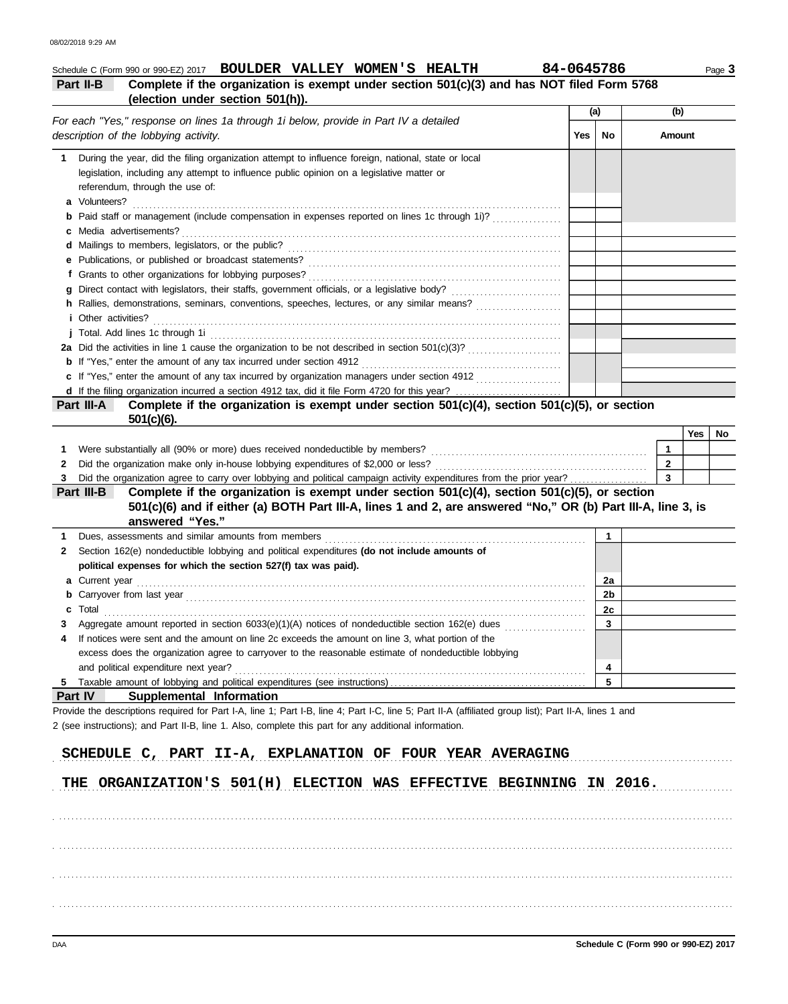| Complete if the organization is exempt under section 501(c)(3) and has NOT filed Form 5768<br>Part II-B<br>(election under section 501(h)).<br>(a)<br>(b)<br>For each "Yes," response on lines 1a through 1i below, provide in Part IV a detailed<br>description of the lobbying activity.<br>Yes<br>No<br>Amount<br>During the year, did the filing organization attempt to influence foreign, national, state or local<br>1<br>legislation, including any attempt to influence public opinion on a legislative matter or<br>referendum, through the use of:<br>a Volunteers?<br><b>b</b> Paid staff or management (include compensation in expenses reported on lines 1c through 1i)?<br>c Media advertisements?<br>h Rallies, demonstrations, seminars, conventions, speeches, lectures, or any similar means?<br><i>i</i> Other activities?<br>2a Did the activities in line 1 cause the organization to be not described in section 501(c)(3)?<br>c If "Yes," enter the amount of any tax incurred by organization managers under section 4912<br>d If the filing organization incurred a section 4912 tax, did it file Form 4720 for this year?<br>Complete if the organization is exempt under section 501(c)(4), section 501(c)(5), or section<br>Part III-A<br>$501(c)(6)$ .<br>Yes<br>$\mathbf{1}$<br>Were substantially all (90% or more) dues received nondeductible by members?<br>1<br>Did the organization make only in-house lobbying expenditures of \$2,000 or less?<br>$\overline{2}$<br>2<br>$\overline{3}$<br>Did the organization agree to carry over lobbying and political campaign activity expenditures from the prior year?<br>Complete if the organization is exempt under section 501(c)(4), section 501(c)(5), or section<br>Part III-B<br>501(c)(6) and if either (a) BOTH Part III-A, lines 1 and 2, are answered "No," OR (b) Part III-A, line 3, is |    |
|---------------------------------------------------------------------------------------------------------------------------------------------------------------------------------------------------------------------------------------------------------------------------------------------------------------------------------------------------------------------------------------------------------------------------------------------------------------------------------------------------------------------------------------------------------------------------------------------------------------------------------------------------------------------------------------------------------------------------------------------------------------------------------------------------------------------------------------------------------------------------------------------------------------------------------------------------------------------------------------------------------------------------------------------------------------------------------------------------------------------------------------------------------------------------------------------------------------------------------------------------------------------------------------------------------------------------------------------------------------------------------------------------------------------------------------------------------------------------------------------------------------------------------------------------------------------------------------------------------------------------------------------------------------------------------------------------------------------------------------------------------------------------------------------------------------------------------------------------------------------------------------|----|
|                                                                                                                                                                                                                                                                                                                                                                                                                                                                                                                                                                                                                                                                                                                                                                                                                                                                                                                                                                                                                                                                                                                                                                                                                                                                                                                                                                                                                                                                                                                                                                                                                                                                                                                                                                                                                                                                                       |    |
|                                                                                                                                                                                                                                                                                                                                                                                                                                                                                                                                                                                                                                                                                                                                                                                                                                                                                                                                                                                                                                                                                                                                                                                                                                                                                                                                                                                                                                                                                                                                                                                                                                                                                                                                                                                                                                                                                       |    |
|                                                                                                                                                                                                                                                                                                                                                                                                                                                                                                                                                                                                                                                                                                                                                                                                                                                                                                                                                                                                                                                                                                                                                                                                                                                                                                                                                                                                                                                                                                                                                                                                                                                                                                                                                                                                                                                                                       |    |
|                                                                                                                                                                                                                                                                                                                                                                                                                                                                                                                                                                                                                                                                                                                                                                                                                                                                                                                                                                                                                                                                                                                                                                                                                                                                                                                                                                                                                                                                                                                                                                                                                                                                                                                                                                                                                                                                                       |    |
|                                                                                                                                                                                                                                                                                                                                                                                                                                                                                                                                                                                                                                                                                                                                                                                                                                                                                                                                                                                                                                                                                                                                                                                                                                                                                                                                                                                                                                                                                                                                                                                                                                                                                                                                                                                                                                                                                       |    |
|                                                                                                                                                                                                                                                                                                                                                                                                                                                                                                                                                                                                                                                                                                                                                                                                                                                                                                                                                                                                                                                                                                                                                                                                                                                                                                                                                                                                                                                                                                                                                                                                                                                                                                                                                                                                                                                                                       |    |
|                                                                                                                                                                                                                                                                                                                                                                                                                                                                                                                                                                                                                                                                                                                                                                                                                                                                                                                                                                                                                                                                                                                                                                                                                                                                                                                                                                                                                                                                                                                                                                                                                                                                                                                                                                                                                                                                                       |    |
|                                                                                                                                                                                                                                                                                                                                                                                                                                                                                                                                                                                                                                                                                                                                                                                                                                                                                                                                                                                                                                                                                                                                                                                                                                                                                                                                                                                                                                                                                                                                                                                                                                                                                                                                                                                                                                                                                       |    |
|                                                                                                                                                                                                                                                                                                                                                                                                                                                                                                                                                                                                                                                                                                                                                                                                                                                                                                                                                                                                                                                                                                                                                                                                                                                                                                                                                                                                                                                                                                                                                                                                                                                                                                                                                                                                                                                                                       |    |
|                                                                                                                                                                                                                                                                                                                                                                                                                                                                                                                                                                                                                                                                                                                                                                                                                                                                                                                                                                                                                                                                                                                                                                                                                                                                                                                                                                                                                                                                                                                                                                                                                                                                                                                                                                                                                                                                                       |    |
|                                                                                                                                                                                                                                                                                                                                                                                                                                                                                                                                                                                                                                                                                                                                                                                                                                                                                                                                                                                                                                                                                                                                                                                                                                                                                                                                                                                                                                                                                                                                                                                                                                                                                                                                                                                                                                                                                       |    |
|                                                                                                                                                                                                                                                                                                                                                                                                                                                                                                                                                                                                                                                                                                                                                                                                                                                                                                                                                                                                                                                                                                                                                                                                                                                                                                                                                                                                                                                                                                                                                                                                                                                                                                                                                                                                                                                                                       |    |
|                                                                                                                                                                                                                                                                                                                                                                                                                                                                                                                                                                                                                                                                                                                                                                                                                                                                                                                                                                                                                                                                                                                                                                                                                                                                                                                                                                                                                                                                                                                                                                                                                                                                                                                                                                                                                                                                                       |    |
|                                                                                                                                                                                                                                                                                                                                                                                                                                                                                                                                                                                                                                                                                                                                                                                                                                                                                                                                                                                                                                                                                                                                                                                                                                                                                                                                                                                                                                                                                                                                                                                                                                                                                                                                                                                                                                                                                       |    |
|                                                                                                                                                                                                                                                                                                                                                                                                                                                                                                                                                                                                                                                                                                                                                                                                                                                                                                                                                                                                                                                                                                                                                                                                                                                                                                                                                                                                                                                                                                                                                                                                                                                                                                                                                                                                                                                                                       |    |
|                                                                                                                                                                                                                                                                                                                                                                                                                                                                                                                                                                                                                                                                                                                                                                                                                                                                                                                                                                                                                                                                                                                                                                                                                                                                                                                                                                                                                                                                                                                                                                                                                                                                                                                                                                                                                                                                                       |    |
|                                                                                                                                                                                                                                                                                                                                                                                                                                                                                                                                                                                                                                                                                                                                                                                                                                                                                                                                                                                                                                                                                                                                                                                                                                                                                                                                                                                                                                                                                                                                                                                                                                                                                                                                                                                                                                                                                       |    |
|                                                                                                                                                                                                                                                                                                                                                                                                                                                                                                                                                                                                                                                                                                                                                                                                                                                                                                                                                                                                                                                                                                                                                                                                                                                                                                                                                                                                                                                                                                                                                                                                                                                                                                                                                                                                                                                                                       |    |
|                                                                                                                                                                                                                                                                                                                                                                                                                                                                                                                                                                                                                                                                                                                                                                                                                                                                                                                                                                                                                                                                                                                                                                                                                                                                                                                                                                                                                                                                                                                                                                                                                                                                                                                                                                                                                                                                                       |    |
|                                                                                                                                                                                                                                                                                                                                                                                                                                                                                                                                                                                                                                                                                                                                                                                                                                                                                                                                                                                                                                                                                                                                                                                                                                                                                                                                                                                                                                                                                                                                                                                                                                                                                                                                                                                                                                                                                       |    |
|                                                                                                                                                                                                                                                                                                                                                                                                                                                                                                                                                                                                                                                                                                                                                                                                                                                                                                                                                                                                                                                                                                                                                                                                                                                                                                                                                                                                                                                                                                                                                                                                                                                                                                                                                                                                                                                                                       | No |
|                                                                                                                                                                                                                                                                                                                                                                                                                                                                                                                                                                                                                                                                                                                                                                                                                                                                                                                                                                                                                                                                                                                                                                                                                                                                                                                                                                                                                                                                                                                                                                                                                                                                                                                                                                                                                                                                                       |    |
|                                                                                                                                                                                                                                                                                                                                                                                                                                                                                                                                                                                                                                                                                                                                                                                                                                                                                                                                                                                                                                                                                                                                                                                                                                                                                                                                                                                                                                                                                                                                                                                                                                                                                                                                                                                                                                                                                       |    |
| answered "Yes."                                                                                                                                                                                                                                                                                                                                                                                                                                                                                                                                                                                                                                                                                                                                                                                                                                                                                                                                                                                                                                                                                                                                                                                                                                                                                                                                                                                                                                                                                                                                                                                                                                                                                                                                                                                                                                                                       |    |
| $\mathbf{1}$<br>Dues, assessments and similar amounts from members<br>1                                                                                                                                                                                                                                                                                                                                                                                                                                                                                                                                                                                                                                                                                                                                                                                                                                                                                                                                                                                                                                                                                                                                                                                                                                                                                                                                                                                                                                                                                                                                                                                                                                                                                                                                                                                                               |    |
| Section 162(e) nondeductible lobbying and political expenditures (do not include amounts of<br>2<br>political expenses for which the section 527(f) tax was paid).                                                                                                                                                                                                                                                                                                                                                                                                                                                                                                                                                                                                                                                                                                                                                                                                                                                                                                                                                                                                                                                                                                                                                                                                                                                                                                                                                                                                                                                                                                                                                                                                                                                                                                                    |    |
| 2a                                                                                                                                                                                                                                                                                                                                                                                                                                                                                                                                                                                                                                                                                                                                                                                                                                                                                                                                                                                                                                                                                                                                                                                                                                                                                                                                                                                                                                                                                                                                                                                                                                                                                                                                                                                                                                                                                    |    |
| a Current year<br>expression of the contract of the current of the contract of the contract of the contract of the contract of the contract of the contract of the contract of the contract of the contract of the contract of t<br>2 <sub>b</sub>                                                                                                                                                                                                                                                                                                                                                                                                                                                                                                                                                                                                                                                                                                                                                                                                                                                                                                                                                                                                                                                                                                                                                                                                                                                                                                                                                                                                                                                                                                                                                                                                                                    |    |
| <b>b</b> Carryover from last year <i>contained as a contained as care a contained as care a contained as care a contained as <math>\alpha</math></i><br>2c<br>I otal<br>c                                                                                                                                                                                                                                                                                                                                                                                                                                                                                                                                                                                                                                                                                                                                                                                                                                                                                                                                                                                                                                                                                                                                                                                                                                                                                                                                                                                                                                                                                                                                                                                                                                                                                                             |    |
| $\overline{\mathbf{3}}$<br>Aggregate amount reported in section 6033(e)(1)(A) notices of nondeductible section 162(e) dues <i>mimimimimimim</i>                                                                                                                                                                                                                                                                                                                                                                                                                                                                                                                                                                                                                                                                                                                                                                                                                                                                                                                                                                                                                                                                                                                                                                                                                                                                                                                                                                                                                                                                                                                                                                                                                                                                                                                                       |    |
| If notices were sent and the amount on line 2c exceeds the amount on line 3, what portion of the<br>4                                                                                                                                                                                                                                                                                                                                                                                                                                                                                                                                                                                                                                                                                                                                                                                                                                                                                                                                                                                                                                                                                                                                                                                                                                                                                                                                                                                                                                                                                                                                                                                                                                                                                                                                                                                 |    |
| excess does the organization agree to carryover to the reasonable estimate of nondeductible lobbying                                                                                                                                                                                                                                                                                                                                                                                                                                                                                                                                                                                                                                                                                                                                                                                                                                                                                                                                                                                                                                                                                                                                                                                                                                                                                                                                                                                                                                                                                                                                                                                                                                                                                                                                                                                  |    |
| and political expenditure next year?<br>4                                                                                                                                                                                                                                                                                                                                                                                                                                                                                                                                                                                                                                                                                                                                                                                                                                                                                                                                                                                                                                                                                                                                                                                                                                                                                                                                                                                                                                                                                                                                                                                                                                                                                                                                                                                                                                             |    |
| 5                                                                                                                                                                                                                                                                                                                                                                                                                                                                                                                                                                                                                                                                                                                                                                                                                                                                                                                                                                                                                                                                                                                                                                                                                                                                                                                                                                                                                                                                                                                                                                                                                                                                                                                                                                                                                                                                                     |    |
| Part IV<br>Supplemental Information<br>Provide the descriptions required for Part I-A, line 1; Part I-B, line 4; Part I-C, line 5; Part II-A (affiliated group list); Part II-A, lines 1 and<br>2 (see instructions); and Part II-B, line 1. Also, complete this part for any additional information.                                                                                                                                                                                                                                                                                                                                                                                                                                                                                                                                                                                                                                                                                                                                                                                                                                                                                                                                                                                                                                                                                                                                                                                                                                                                                                                                                                                                                                                                                                                                                                                 |    |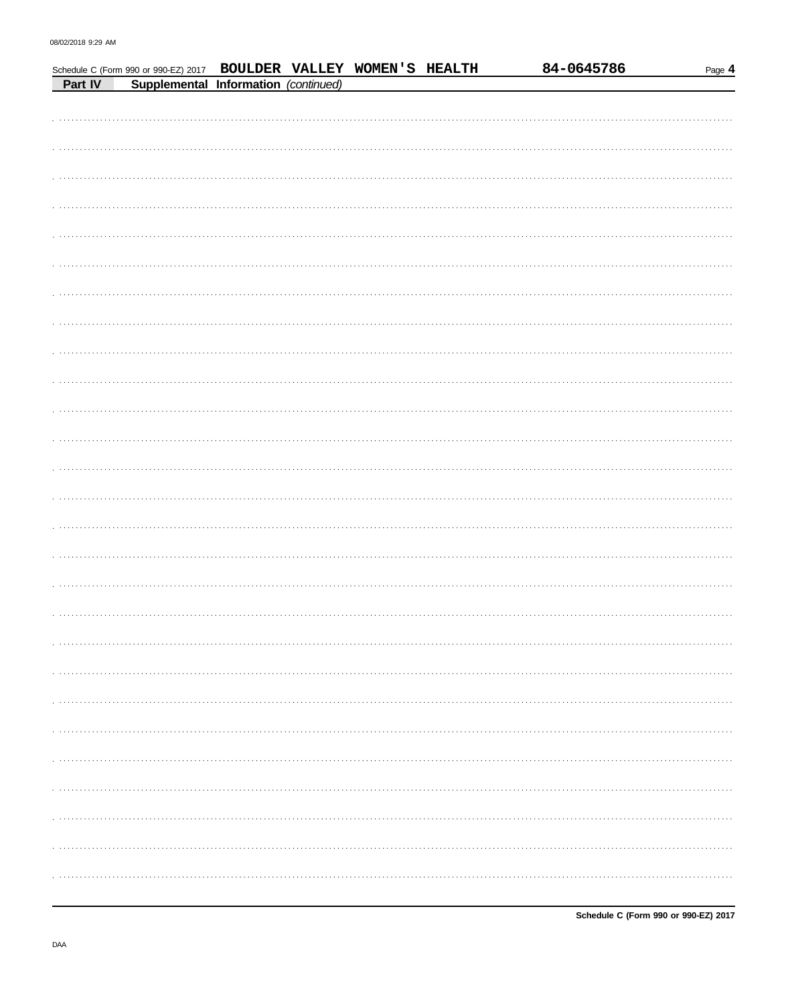|         | Schedule C (Form 990 or 990-EZ) 2017 BOULDER VALLEY WOMEN'S HEALTH |  |  | 84-0645786 | Page 4 |
|---------|--------------------------------------------------------------------|--|--|------------|--------|
| Part IV | Supplemental Information (continued)                               |  |  |            |        |
|         |                                                                    |  |  |            |        |
|         |                                                                    |  |  |            |        |
|         |                                                                    |  |  |            |        |
|         |                                                                    |  |  |            |        |
|         |                                                                    |  |  |            |        |
|         |                                                                    |  |  |            |        |
|         |                                                                    |  |  |            |        |
|         |                                                                    |  |  |            |        |
|         |                                                                    |  |  |            |        |
|         |                                                                    |  |  |            |        |
|         |                                                                    |  |  |            |        |
|         |                                                                    |  |  |            |        |
|         |                                                                    |  |  |            |        |
|         |                                                                    |  |  |            |        |
|         |                                                                    |  |  |            |        |
|         |                                                                    |  |  |            |        |
|         |                                                                    |  |  |            |        |
|         |                                                                    |  |  |            |        |
|         |                                                                    |  |  |            |        |
|         |                                                                    |  |  |            |        |
|         |                                                                    |  |  |            |        |
|         |                                                                    |  |  |            |        |
|         |                                                                    |  |  |            |        |
|         |                                                                    |  |  |            |        |
|         |                                                                    |  |  |            |        |
|         |                                                                    |  |  |            |        |
|         |                                                                    |  |  |            |        |
|         |                                                                    |  |  |            |        |
|         |                                                                    |  |  |            |        |
|         |                                                                    |  |  |            |        |
|         |                                                                    |  |  |            |        |
|         |                                                                    |  |  |            |        |
|         |                                                                    |  |  |            |        |
|         |                                                                    |  |  |            |        |
|         |                                                                    |  |  |            |        |
|         |                                                                    |  |  |            |        |
|         |                                                                    |  |  |            |        |
|         |                                                                    |  |  |            |        |
|         |                                                                    |  |  |            |        |
|         |                                                                    |  |  |            |        |
| .       |                                                                    |  |  |            |        |
|         |                                                                    |  |  |            |        |
| .       |                                                                    |  |  |            |        |
|         |                                                                    |  |  |            |        |
|         |                                                                    |  |  |            |        |
|         |                                                                    |  |  |            |        |
|         |                                                                    |  |  |            |        |
|         |                                                                    |  |  |            |        |
| .       |                                                                    |  |  |            |        |
|         |                                                                    |  |  |            |        |
|         |                                                                    |  |  |            |        |
|         |                                                                    |  |  |            |        |
|         |                                                                    |  |  |            |        |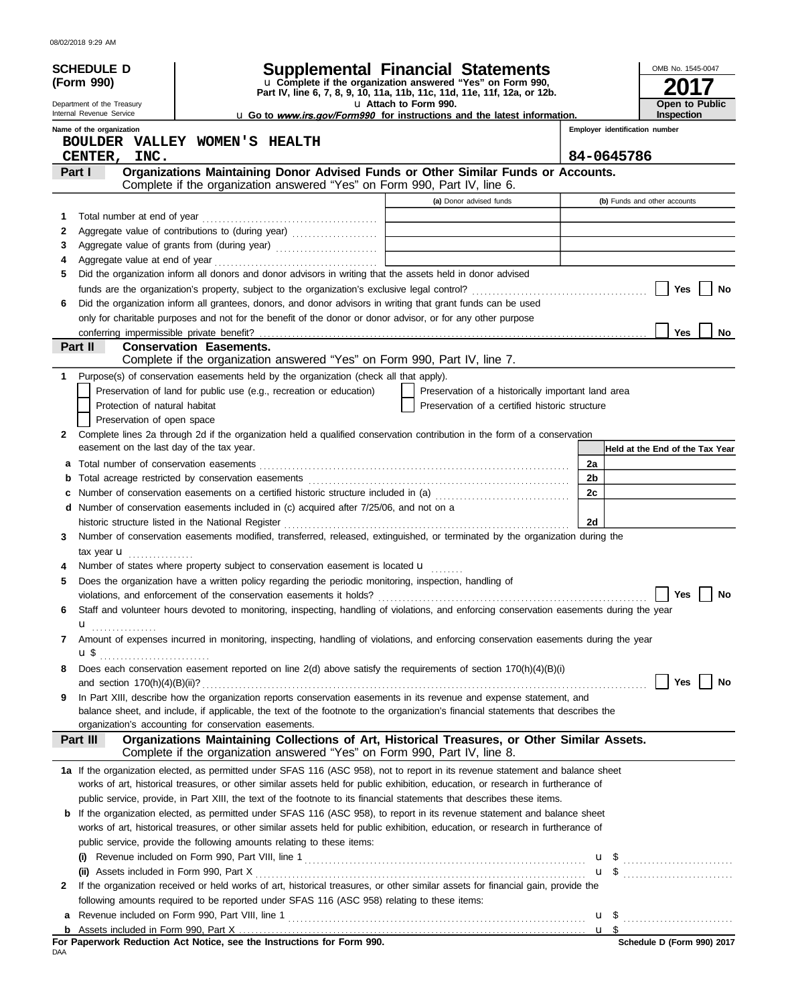| 08/02/2018 9:29 AM |  |
|--------------------|--|
|                    |  |

|   | <b>SCHEDULE D</b>                                     |                                |                                                                                             | <b>Supplemental Financial Statements</b>                                                                                                                                                                                                                              |                                |                                 | OMB No. 1545-0047     |        |
|---|-------------------------------------------------------|--------------------------------|---------------------------------------------------------------------------------------------|-----------------------------------------------------------------------------------------------------------------------------------------------------------------------------------------------------------------------------------------------------------------------|--------------------------------|---------------------------------|-----------------------|--------|
|   | (Form 990)                                            |                                |                                                                                             | u Complete if the organization answered "Yes" on Form 990,<br>Part IV, line 6, 7, 8, 9, 10, 11a, 11b, 11c, 11d, 11e, 11f, 12a, or 12b.                                                                                                                                |                                |                                 |                       |        |
|   | Department of the Treasury                            |                                |                                                                                             | u Attach to Form 990.                                                                                                                                                                                                                                                 |                                |                                 | <b>Open to Public</b> |        |
|   | Internal Revenue Service<br>Name of the organization  |                                |                                                                                             | u Go to www.irs.gov/Form990 for instructions and the latest information.                                                                                                                                                                                              | Employer identification number |                                 | Inspection            |        |
|   | BOULDER VALLEY WOMEN'S HEALTH                         |                                |                                                                                             |                                                                                                                                                                                                                                                                       |                                |                                 |                       |        |
|   | INC.<br>CENTER,                                       |                                |                                                                                             |                                                                                                                                                                                                                                                                       | 84-0645786                     |                                 |                       |        |
|   | Part I                                                |                                |                                                                                             | Organizations Maintaining Donor Advised Funds or Other Similar Funds or Accounts.                                                                                                                                                                                     |                                |                                 |                       |        |
|   |                                                       |                                |                                                                                             | Complete if the organization answered "Yes" on Form 990, Part IV, line 6.                                                                                                                                                                                             |                                |                                 |                       |        |
| 1 | Total number at end of year                           |                                |                                                                                             | (a) Donor advised funds                                                                                                                                                                                                                                               |                                | (b) Funds and other accounts    |                       |        |
| 2 |                                                       |                                |                                                                                             |                                                                                                                                                                                                                                                                       |                                |                                 |                       |        |
| 3 |                                                       |                                |                                                                                             | the control of the control of the control of the control of the control of                                                                                                                                                                                            |                                |                                 |                       |        |
| 4 |                                                       |                                |                                                                                             |                                                                                                                                                                                                                                                                       |                                |                                 |                       |        |
| 5 |                                                       |                                |                                                                                             | Did the organization inform all donors and donor advisors in writing that the assets held in donor advised                                                                                                                                                            |                                |                                 |                       |        |
|   |                                                       |                                |                                                                                             |                                                                                                                                                                                                                                                                       |                                |                                 | Yes                   | No     |
| 6 |                                                       |                                |                                                                                             | Did the organization inform all grantees, donors, and donor advisors in writing that grant funds can be used<br>only for charitable purposes and not for the benefit of the donor or donor advisor, or for any other purpose                                          |                                |                                 |                       |        |
|   |                                                       |                                |                                                                                             |                                                                                                                                                                                                                                                                       |                                |                                 | <b>Yes</b>            | No     |
|   | Part II                                               | <b>Conservation Easements.</b> |                                                                                             |                                                                                                                                                                                                                                                                       |                                |                                 |                       |        |
|   |                                                       |                                |                                                                                             | Complete if the organization answered "Yes" on Form 990, Part IV, line 7.                                                                                                                                                                                             |                                |                                 |                       |        |
|   |                                                       |                                | Purpose(s) of conservation easements held by the organization (check all that apply).       |                                                                                                                                                                                                                                                                       |                                |                                 |                       |        |
|   | Protection of natural habitat                         |                                | Preservation of land for public use (e.g., recreation or education)                         | Preservation of a historically important land area<br>Preservation of a certified historic structure                                                                                                                                                                  |                                |                                 |                       |        |
|   | Preservation of open space                            |                                |                                                                                             |                                                                                                                                                                                                                                                                       |                                |                                 |                       |        |
| 2 |                                                       |                                |                                                                                             | Complete lines 2a through 2d if the organization held a qualified conservation contribution in the form of a conservation                                                                                                                                             |                                |                                 |                       |        |
|   | easement on the last day of the tax year.             |                                |                                                                                             |                                                                                                                                                                                                                                                                       |                                | Held at the End of the Tax Year |                       |        |
|   | a Total number of conservation easements              |                                |                                                                                             |                                                                                                                                                                                                                                                                       | 2a                             |                                 |                       |        |
| b |                                                       |                                |                                                                                             |                                                                                                                                                                                                                                                                       | 2b                             |                                 |                       |        |
|   |                                                       |                                |                                                                                             | c Number of conservation easements on a certified historic structure included in (a) [[[[[ [ [ ]]]                                                                                                                                                                    | 2c                             |                                 |                       |        |
|   | historic structure listed in the National Register    |                                | d Number of conservation easements included in (c) acquired after 7/25/06, and not on a     |                                                                                                                                                                                                                                                                       | 2d                             |                                 |                       |        |
| 3 |                                                       |                                |                                                                                             | Number of conservation easements modified, transferred, released, extinguished, or terminated by the organization during the                                                                                                                                          |                                |                                 |                       |        |
|   | tax year <b>u</b>                                     |                                |                                                                                             |                                                                                                                                                                                                                                                                       |                                |                                 |                       |        |
|   |                                                       |                                | Number of states where property subject to conservation easement is located u               |                                                                                                                                                                                                                                                                       |                                |                                 |                       |        |
| 5 |                                                       |                                |                                                                                             | Does the organization have a written policy regarding the periodic monitoring, inspection, handling of                                                                                                                                                                |                                |                                 |                       |        |
|   |                                                       |                                |                                                                                             | violations, and enforcement of the conservation easements it holds? $\Box$ Yes $\Box$ No                                                                                                                                                                              |                                |                                 |                       |        |
| 6 |                                                       |                                |                                                                                             | Staff and volunteer hours devoted to monitoring, inspecting, handling of violations, and enforcing conservation easements during the year                                                                                                                             |                                |                                 |                       |        |
| 7 | ${\bf u}$ ,                                           |                                |                                                                                             | Amount of expenses incurred in monitoring, inspecting, handling of violations, and enforcing conservation easements during the year                                                                                                                                   |                                |                                 |                       |        |
|   |                                                       |                                |                                                                                             |                                                                                                                                                                                                                                                                       |                                |                                 |                       |        |
| 8 |                                                       |                                |                                                                                             | Does each conservation easement reported on line 2(d) above satisfy the requirements of section 170(h)(4)(B)(i)                                                                                                                                                       |                                |                                 |                       |        |
|   |                                                       |                                |                                                                                             |                                                                                                                                                                                                                                                                       |                                |                                 | Yes                   | $ $ No |
| 9 |                                                       |                                |                                                                                             | In Part XIII, describe how the organization reports conservation easements in its revenue and expense statement, and                                                                                                                                                  |                                |                                 |                       |        |
|   | organization's accounting for conservation easements. |                                |                                                                                             | balance sheet, and include, if applicable, the text of the footnote to the organization's financial statements that describes the                                                                                                                                     |                                |                                 |                       |        |
|   | Part III                                              |                                |                                                                                             | Organizations Maintaining Collections of Art, Historical Treasures, or Other Similar Assets.                                                                                                                                                                          |                                |                                 |                       |        |
|   |                                                       |                                |                                                                                             | Complete if the organization answered "Yes" on Form 990, Part IV, line 8.                                                                                                                                                                                             |                                |                                 |                       |        |
|   |                                                       |                                |                                                                                             | 1a If the organization elected, as permitted under SFAS 116 (ASC 958), not to report in its revenue statement and balance sheet                                                                                                                                       |                                |                                 |                       |        |
|   |                                                       |                                |                                                                                             | works of art, historical treasures, or other similar assets held for public exhibition, education, or research in furtherance of                                                                                                                                      |                                |                                 |                       |        |
|   |                                                       |                                |                                                                                             | public service, provide, in Part XIII, the text of the footnote to its financial statements that describes these items.                                                                                                                                               |                                |                                 |                       |        |
|   |                                                       |                                |                                                                                             | <b>b</b> If the organization elected, as permitted under SFAS 116 (ASC 958), to report in its revenue statement and balance sheet<br>works of art, historical treasures, or other similar assets held for public exhibition, education, or research in furtherance of |                                |                                 |                       |        |
|   |                                                       |                                | public service, provide the following amounts relating to these items:                      |                                                                                                                                                                                                                                                                       |                                |                                 |                       |        |
|   |                                                       |                                |                                                                                             |                                                                                                                                                                                                                                                                       |                                |                                 |                       |        |
|   | (ii) Assets included in Form 990, Part X              |                                |                                                                                             |                                                                                                                                                                                                                                                                       |                                |                                 |                       |        |
| 2 |                                                       |                                |                                                                                             | If the organization received or held works of art, historical treasures, or other similar assets for financial gain, provide the                                                                                                                                      |                                |                                 |                       |        |
|   |                                                       |                                | following amounts required to be reported under SFAS 116 (ASC 958) relating to these items: |                                                                                                                                                                                                                                                                       |                                |                                 |                       |        |
| a |                                                       |                                |                                                                                             |                                                                                                                                                                                                                                                                       |                                |                                 |                       |        |
|   |                                                       |                                |                                                                                             |                                                                                                                                                                                                                                                                       |                                |                                 |                       |        |

For Paperwork Reduction Act Notice, see the Instructions for Form 990.<br><sub>DAA</sub>

| Schedule D (Form 990) 2017 |  |  |
|----------------------------|--|--|
|                            |  |  |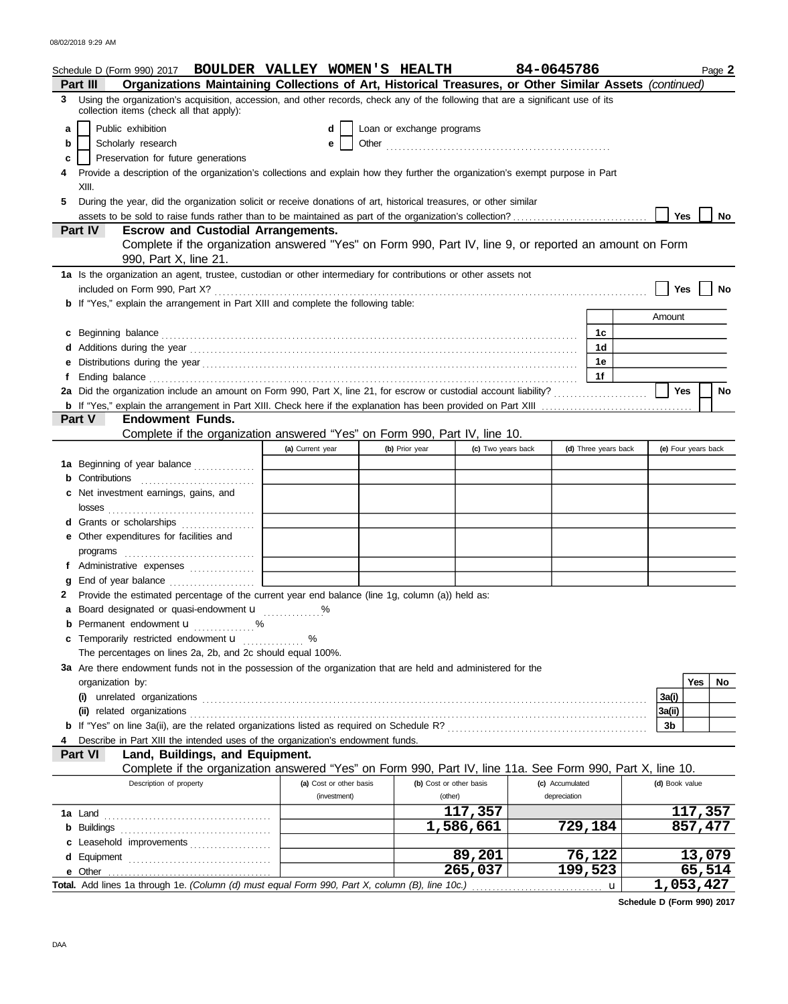|   | Schedule D (Form 990) 2017 BOULDER VALLEY WOMEN'S HEALTH                                                                                                                                                                             |                         |                           |                    | 84-0645786      |                      |                     |            | Page 2  |
|---|--------------------------------------------------------------------------------------------------------------------------------------------------------------------------------------------------------------------------------------|-------------------------|---------------------------|--------------------|-----------------|----------------------|---------------------|------------|---------|
|   | Organizations Maintaining Collections of Art, Historical Treasures, or Other Similar Assets (continued)<br>Part III                                                                                                                  |                         |                           |                    |                 |                      |                     |            |         |
| 3 | Using the organization's acquisition, accession, and other records, check any of the following that are a significant use of its<br>collection items (check all that apply):                                                         |                         |                           |                    |                 |                      |                     |            |         |
| a | Public exhibition                                                                                                                                                                                                                    | d                       | Loan or exchange programs |                    |                 |                      |                     |            |         |
| b | Scholarly research                                                                                                                                                                                                                   | е                       |                           |                    |                 |                      |                     |            |         |
| c | Preservation for future generations                                                                                                                                                                                                  |                         |                           |                    |                 |                      |                     |            |         |
|   | Provide a description of the organization's collections and explain how they further the organization's exempt purpose in Part                                                                                                       |                         |                           |                    |                 |                      |                     |            |         |
|   | XIII.                                                                                                                                                                                                                                |                         |                           |                    |                 |                      |                     |            |         |
| 5 | During the year, did the organization solicit or receive donations of art, historical treasures, or other similar                                                                                                                    |                         |                           |                    |                 |                      |                     |            |         |
|   | assets to be sold to raise funds rather than to be maintained as part of the organization's collection?                                                                                                                              |                         |                           |                    |                 |                      | <b>Yes</b>          |            | No      |
|   | <b>Part IV</b><br><b>Escrow and Custodial Arrangements.</b>                                                                                                                                                                          |                         |                           |                    |                 |                      |                     |            |         |
|   | Complete if the organization answered "Yes" on Form 990, Part IV, line 9, or reported an amount on Form<br>990, Part X, line 21.                                                                                                     |                         |                           |                    |                 |                      |                     |            |         |
|   | 1a Is the organization an agent, trustee, custodian or other intermediary for contributions or other assets not                                                                                                                      |                         |                           |                    |                 |                      | Yes                 |            | No      |
|   | b If "Yes," explain the arrangement in Part XIII and complete the following table:                                                                                                                                                   |                         |                           |                    |                 |                      |                     |            |         |
|   |                                                                                                                                                                                                                                      |                         |                           |                    |                 |                      | Amount              |            |         |
|   | c Beginning balance <b>contract to the contract of the contract of the contract of the contract of the contract of the contract of the contract of the contract of the contract of the contract of the contract of the contract </b> |                         |                           |                    |                 | 1с.                  |                     |            |         |
|   |                                                                                                                                                                                                                                      |                         |                           |                    |                 | 1 <sub>d</sub>       |                     |            |         |
|   |                                                                                                                                                                                                                                      |                         |                           |                    |                 | 1e                   |                     |            |         |
|   | Ending balance contains and a series of the contact of the contact of the contact of the contact of the contact of the contact of the contact of the contact of the contact of the contact of the contact of the contact of th       |                         |                           |                    |                 | 1f                   |                     |            |         |
|   |                                                                                                                                                                                                                                      |                         |                           |                    |                 |                      | Yes                 |            | No      |
|   |                                                                                                                                                                                                                                      |                         |                           |                    |                 |                      |                     |            |         |
|   | Part V<br><b>Endowment Funds.</b><br>Complete if the organization answered "Yes" on Form 990, Part IV, line 10.                                                                                                                      |                         |                           |                    |                 |                      |                     |            |         |
|   |                                                                                                                                                                                                                                      | (a) Current year        | (b) Prior year            | (c) Two years back |                 | (d) Three years back | (e) Four years back |            |         |
|   | <b>1a</b> Beginning of year balance                                                                                                                                                                                                  |                         |                           |                    |                 |                      |                     |            |         |
|   | Contributions                                                                                                                                                                                                                        |                         |                           |                    |                 |                      |                     |            |         |
|   | Net investment earnings, gains, and                                                                                                                                                                                                  |                         |                           |                    |                 |                      |                     |            |         |
|   |                                                                                                                                                                                                                                      |                         |                           |                    |                 |                      |                     |            |         |
|   | d Grants or scholarships                                                                                                                                                                                                             |                         |                           |                    |                 |                      |                     |            |         |
|   | e Other expenditures for facilities and                                                                                                                                                                                              |                         |                           |                    |                 |                      |                     |            |         |
|   |                                                                                                                                                                                                                                      |                         |                           |                    |                 |                      |                     |            |         |
| f |                                                                                                                                                                                                                                      |                         |                           |                    |                 |                      |                     |            |         |
|   |                                                                                                                                                                                                                                      |                         |                           |                    |                 |                      |                     |            |         |
|   | Provide the estimated percentage of the current year end balance (line 1g, column (a)) held as:                                                                                                                                      |                         |                           |                    |                 |                      |                     |            |         |
|   | a Board designated or quasi-endowment u                                                                                                                                                                                              |                         |                           |                    |                 |                      |                     |            |         |
|   | <b>b</b> Permanent endowment <b>u</b><br>. %                                                                                                                                                                                         |                         |                           |                    |                 |                      |                     |            |         |
|   | c Temporarily restricted endowment <b>u</b> %                                                                                                                                                                                        |                         |                           |                    |                 |                      |                     |            |         |
|   | The percentages on lines 2a, 2b, and 2c should equal 100%.                                                                                                                                                                           |                         |                           |                    |                 |                      |                     |            |         |
|   | 3a Are there endowment funds not in the possession of the organization that are held and administered for the                                                                                                                        |                         |                           |                    |                 |                      |                     |            |         |
|   | organization by:                                                                                                                                                                                                                     |                         |                           |                    |                 |                      |                     | <b>Yes</b> | No      |
|   | (ii) related organizations                                                                                                                                                                                                           |                         |                           |                    |                 |                      | 3a(i)<br>3a(ii)     |            |         |
|   |                                                                                                                                                                                                                                      |                         |                           |                    |                 |                      | 3b                  |            |         |
|   | Describe in Part XIII the intended uses of the organization's endowment funds.                                                                                                                                                       |                         |                           |                    |                 |                      |                     |            |         |
|   | Part VI<br>Land, Buildings, and Equipment.                                                                                                                                                                                           |                         |                           |                    |                 |                      |                     |            |         |
|   | Complete if the organization answered "Yes" on Form 990, Part IV, line 11a. See Form 990, Part X, line 10.                                                                                                                           |                         |                           |                    |                 |                      |                     |            |         |
|   | Description of property                                                                                                                                                                                                              | (a) Cost or other basis | (b) Cost or other basis   |                    | (c) Accumulated |                      | (d) Book value      |            |         |
|   |                                                                                                                                                                                                                                      | (investment)            | (other)                   |                    | depreciation    |                      |                     |            |         |
|   |                                                                                                                                                                                                                                      |                         |                           | 117,357            |                 |                      |                     |            | 117,357 |
|   | <b>b</b> Buildings                                                                                                                                                                                                                   |                         |                           | 1,586,661          |                 | 729,184              |                     | 857,477    |         |
|   | c Leasehold improvements                                                                                                                                                                                                             |                         |                           |                    |                 |                      |                     |            |         |
|   |                                                                                                                                                                                                                                      |                         |                           | 89,201             |                 | 76,122               |                     |            | 13,079  |
|   |                                                                                                                                                                                                                                      |                         |                           | 265,037            |                 | 199,523              |                     |            | 65,514  |

**Schedule D (Form 990) 2017**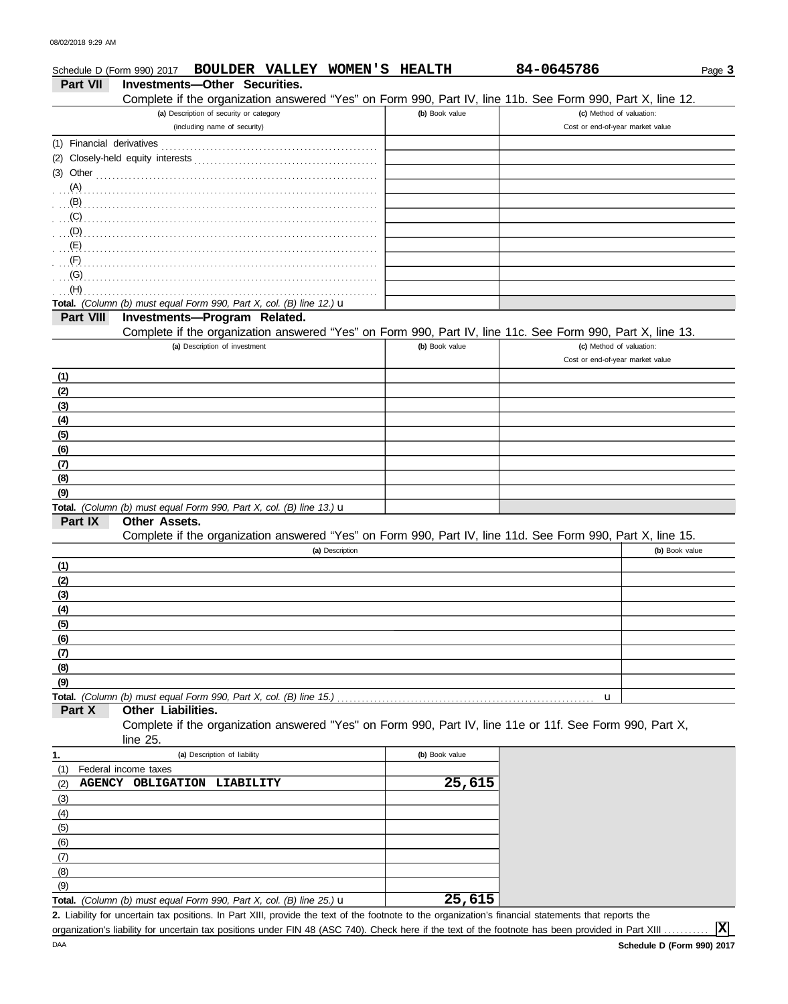### Cost or end-of-year market value **(b)** Book value **(c)** Method of valuation: Page **3 Part VII Investments—Other Securities.** Schedule D (Form 990) 2017 **BOULDER VALLEY WOMEN'S HEALTH 84-0645786 (a)** Description of security or category (including name of security) Financial derivatives . . . . . . . . . . . . . . . . . . . . . . . . . . . . . . . . . . . . . . . . . . . . . . . . . . . . . (1) Closely-held equity interests . . . . . . . . . . . . . . . . . . . . . . . . . . . . . . . . . . . . . . . . . . . . . (2) Other . . . . . . . . . . . . . . . . . . . . . . . . . . . . . . . . . . . . . . . . . . . . . . . . . . . . . . . . . . . . . . . . . . . . . (3) **Total.** *(Column (b) must equal Form 990, Part X, col. (B) line 12.)* u **(a)** Description of investment **Part VIII Investments—Program Related. (b)** Book value **(c)** Method of valuation: Cost or end-of-year market value **(b)** Book value **Other Assets. (a)** Description **Part IX Part X (a)** Description of liability **Other Liabilities. (b)** Book value Federal income taxes **Total.** *(Column (b) must equal Form 990, Part X, col. (B) line 13.)* u **Total.** *(Column (b) must equal Form 990, Part X, col. (B) line 15.)* . . . . . . . . . . . . . . . . . . . . . . . . . . . . . . . . . . . . . . . . . . . . . . . . . . . . . . . . . . . . . . . u **1.** . . . . . . . . . . . . . . . . . . . . . . . . . . . . . . . . . . . . . . . . . . . . . . . . . . . . . . . . . . . . . . . . . . . . . . . . . . . . . . . . . . . . . . . . . . . . . . . . . . . . . . . . . . . . . . . . . . . . . . . . . . . . . . . . . . . . . . . . . . . . . . . . . . . . . . . . . . . . . . (B) . . . . . . . . . . . . . . . . . . . . . . . . . . . . . . . . . . . . . . . . . . . . . . . . . . . . . . . . . . . . . . . . . . . . . . . . . . . . . . . (C) . . . . . . . . . . . . . . . . . . . . . . . . . . . . . . . . . . . . . . . . . . . . . . . . . . . . . . . . . . . . . . . . . . . . . . . . . . . . . . . . . . . . . . . . . . . . . . . . . . . . . . . . . . . . . . . . . . . . . . . . . . . . . . . . . . . . . . . . . . . . . . . . . . . . . . . . . . . . . . . . . . . . . . . . . . . . . . . . . . . . . . . . . . . . . . . . . . . . . . . . . . . . . . . . . . . . . . . . . . . . . . . . . . . . . . . . . . . . . . . . . . . . . . . . . . . . . . . . . . . . . . . . . . . . . . . . . . . . . . . . . . . . . . . . . . . . . . . . . . . . . . . . . . . . . . . . . . . . (A) (D) (E) (F) (G) (H) . . . . . . . . . . . . . . . . . . . . . . . . . . . . . . . . . . . . . . . . . . . . . . . . . . . . . . . . . . . . . . . . . . . . . . . . . . . . . . . **(9) (8) (7) (6) (5) (4) (3) (2) (1) (1) (2) (3) (4) (5) (6) (7) (8) (9)** (6) (5) (4) (3) (2) (1) Complete if the organization answered "Yes" on Form 990, Part IV, line 11e or 11f. See Form 990, Part X, line 25. Complete if the organization answered "Yes" on Form 990, Part IV, line 11d. See Form 990, Part X, line 15. Complete if the organization answered "Yes" on Form 990, Part IV, line 11c. See Form 990, Part X, line 13. Complete if the organization answered "Yes" on Form 990, Part IV, line 11b. See Form 990, Part X, line 12. **AGENCY OBLIGATION LIABILITY 25,615**

**Total.** *(Column (b) must equal Form 990, Part X, col. (B) line 25.)* u **25,615**

Liability for uncertain tax positions. In Part XIII, provide the text of the footnote to the organization's financial statements that reports the **2.**

organization's liability for uncertain tax positions under FIN 48 (ASC 740). Check here if the text of the footnote has been provided in Part XIII

**X**

(9) (8) (7)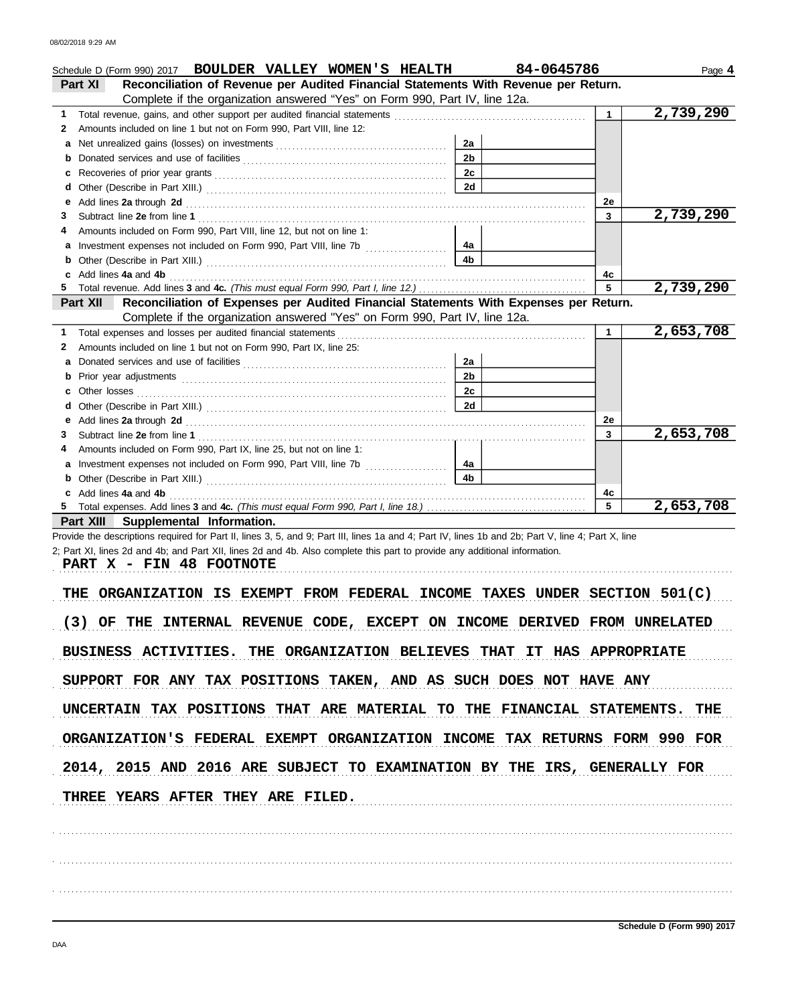| Schedule D (Form 990) 2017 BOULDER VALLEY WOMEN'S HEALTH<br>Reconciliation of Revenue per Audited Financial Statements With Revenue per Return.<br><b>Part XI</b><br>Complete if the organization answered "Yes" on Form 990, Part IV, line 12a.                                                             |                | 84-0645786   | Page 4    |
|--------------------------------------------------------------------------------------------------------------------------------------------------------------------------------------------------------------------------------------------------------------------------------------------------------------|----------------|--------------|-----------|
| 1.                                                                                                                                                                                                                                                                                                           |                | $\mathbf{1}$ | 2,739,290 |
| Amounts included on line 1 but not on Form 990, Part VIII, line 12:<br>2                                                                                                                                                                                                                                     |                |              |           |
|                                                                                                                                                                                                                                                                                                              | 2a             |              |           |
| a                                                                                                                                                                                                                                                                                                            | 2 <sub>b</sub> |              |           |
| b                                                                                                                                                                                                                                                                                                            | 2 <sub>c</sub> |              |           |
| c                                                                                                                                                                                                                                                                                                            |                |              |           |
| d                                                                                                                                                                                                                                                                                                            | 2d             |              |           |
| Add lines 2a through 2d [11] All and the contract of the contract of the contract of the contract of the contract of the contract of the contract of the contract of the contract of the contract of the contract of the contr<br>е                                                                          |                | 2e           | 2,739,290 |
| З                                                                                                                                                                                                                                                                                                            |                | 3            |           |
| Amounts included on Form 990, Part VIII, line 12, but not on line 1:<br>4                                                                                                                                                                                                                                    |                |              |           |
| a Investment expenses not included on Form 990, Part VIII, line 7b                                                                                                                                                                                                                                           | 4a             |              |           |
| b                                                                                                                                                                                                                                                                                                            | 4b             |              |           |
| Add lines 4a and 4b<br>c                                                                                                                                                                                                                                                                                     |                | 4c           |           |
| 5.                                                                                                                                                                                                                                                                                                           |                | 5            | 2,739,290 |
| Reconciliation of Expenses per Audited Financial Statements With Expenses per Return.<br><b>Part XII</b>                                                                                                                                                                                                     |                |              |           |
| Complete if the organization answered "Yes" on Form 990, Part IV, line 12a.                                                                                                                                                                                                                                  |                |              |           |
| 1.                                                                                                                                                                                                                                                                                                           |                | $\mathbf 1$  | 2,653,708 |
| Amounts included on line 1 but not on Form 990, Part IX, line 25:<br>2                                                                                                                                                                                                                                       |                |              |           |
| a                                                                                                                                                                                                                                                                                                            | 2a             |              |           |
| b                                                                                                                                                                                                                                                                                                            | 2 <sub>b</sub> |              |           |
| C                                                                                                                                                                                                                                                                                                            | 2с             |              |           |
| d                                                                                                                                                                                                                                                                                                            | 2d             |              |           |
| Add lines 2a through 2d [11, 12] Add [12] Add lines 2a through 2d [12] Add lines 2a through 2d [12] Add lines 20 through 2d [12] Additional Additional Additional Additional Additional Additional Additional Additional Addit<br>е                                                                          |                | 2e           |           |
| 3                                                                                                                                                                                                                                                                                                            |                | 3            | 2,653,708 |
| Amounts included on Form 990, Part IX, line 25, but not on line 1:<br>4                                                                                                                                                                                                                                      |                |              |           |
| а                                                                                                                                                                                                                                                                                                            | 4a             |              |           |
| b                                                                                                                                                                                                                                                                                                            | 4b             |              |           |
| c Add lines 4a and 4b                                                                                                                                                                                                                                                                                        |                | 4c           |           |
| 5.                                                                                                                                                                                                                                                                                                           |                | 5            | 2,653,708 |
| Part XIII Supplemental Information.                                                                                                                                                                                                                                                                          |                |              |           |
| Provide the descriptions required for Part II, lines 3, 5, and 9; Part III, lines 1a and 4; Part IV, lines 1b and 2b; Part V, line 4; Part X, line<br>2; Part XI, lines 2d and 4b; and Part XII, lines 2d and 4b. Also complete this part to provide any additional information.<br>PART X - FIN 48 FOOTNOTE |                |              |           |
| ORGANIZATION IS EXEMPT FROM FEDERAL INCOME TAXES UNDER SECTION 501(C)<br>THE<br>(3) OF THE INTERNAL REVENUE CODE, EXCEPT ON INCOME DERIVED FROM UNRELATED                                                                                                                                                    |                |              |           |
| BUSINESS ACTIVITIES. THE ORGANIZATION BELIEVES THAT IT HAS APPROPRIATE                                                                                                                                                                                                                                       |                |              |           |
| SUPPORT FOR ANY TAX POSITIONS TAKEN, AND AS SUCH DOES NOT HAVE ANY<br>UNCERTAIN TAX POSITIONS THAT ARE MATERIAL TO THE FINANCIAL STATEMENTS. THE                                                                                                                                                             |                |              |           |
| ORGANIZATION'S FEDERAL EXEMPT ORGANIZATION INCOME TAX RETURNS FORM 990 FOR                                                                                                                                                                                                                                   |                |              |           |
|                                                                                                                                                                                                                                                                                                              |                |              |           |
| 2014, 2015 AND 2016 ARE SUBJECT TO EXAMINATION BY THE IRS, GENERALLY FOR                                                                                                                                                                                                                                     |                |              |           |
| <b>THREE YEARS AFTER THEY ARE FILED.</b>                                                                                                                                                                                                                                                                     |                |              |           |
|                                                                                                                                                                                                                                                                                                              |                |              |           |
|                                                                                                                                                                                                                                                                                                              |                |              |           |
|                                                                                                                                                                                                                                                                                                              |                |              |           |

**Schedule D (Form 990) 2017**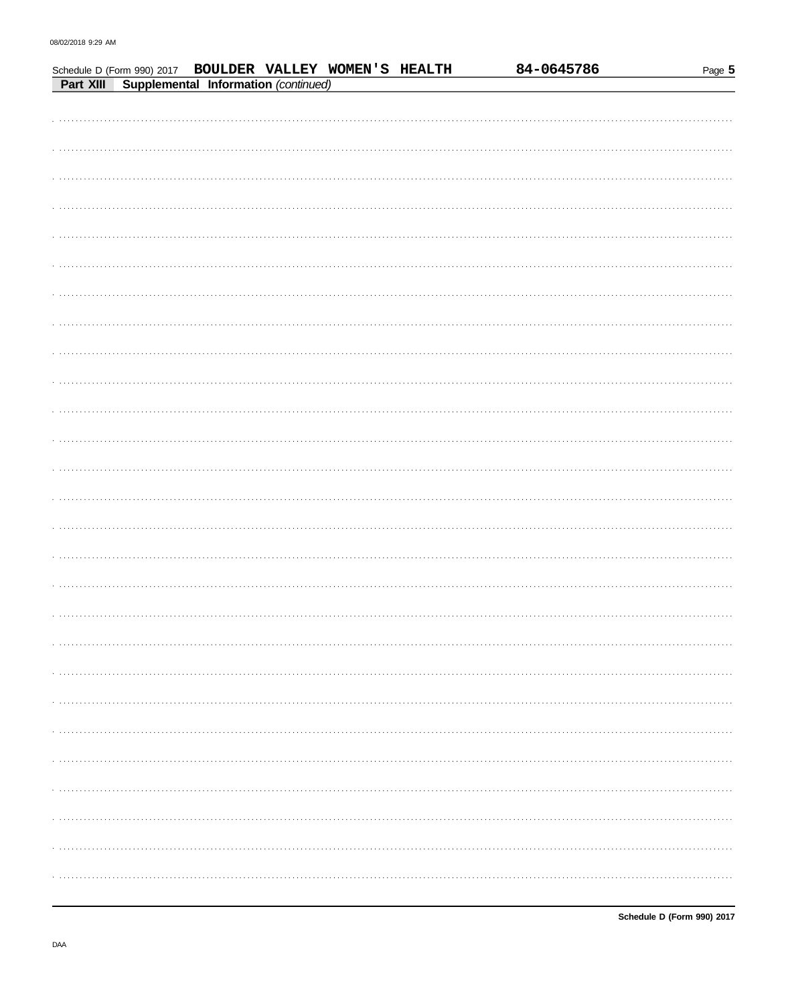|  |  |                                                                                                            | 84-0645786 | Page 5 |
|--|--|------------------------------------------------------------------------------------------------------------|------------|--------|
|  |  | Schedule D (Form 990) 2017 BOULDER VALLEY WOMEN'S HEALTH<br>Part XIII Supplemental Information (continued) |            |        |
|  |  |                                                                                                            |            |        |
|  |  |                                                                                                            |            |        |
|  |  |                                                                                                            |            |        |
|  |  |                                                                                                            |            |        |
|  |  |                                                                                                            |            |        |
|  |  |                                                                                                            |            |        |
|  |  |                                                                                                            |            |        |
|  |  |                                                                                                            |            |        |
|  |  |                                                                                                            |            |        |
|  |  |                                                                                                            |            |        |
|  |  |                                                                                                            |            |        |
|  |  |                                                                                                            |            |        |
|  |  |                                                                                                            |            |        |
|  |  |                                                                                                            |            |        |
|  |  |                                                                                                            |            |        |
|  |  |                                                                                                            |            |        |
|  |  |                                                                                                            |            |        |
|  |  |                                                                                                            |            |        |
|  |  |                                                                                                            |            |        |
|  |  |                                                                                                            |            |        |
|  |  |                                                                                                            |            |        |
|  |  |                                                                                                            |            |        |
|  |  |                                                                                                            |            |        |
|  |  |                                                                                                            |            |        |
|  |  |                                                                                                            |            |        |
|  |  |                                                                                                            |            |        |
|  |  |                                                                                                            |            |        |
|  |  |                                                                                                            |            |        |
|  |  |                                                                                                            |            |        |
|  |  |                                                                                                            |            |        |
|  |  |                                                                                                            |            |        |
|  |  |                                                                                                            |            |        |
|  |  |                                                                                                            |            |        |
|  |  |                                                                                                            |            |        |
|  |  |                                                                                                            |            |        |
|  |  |                                                                                                            |            |        |
|  |  |                                                                                                            |            |        |
|  |  |                                                                                                            |            |        |
|  |  |                                                                                                            |            |        |
|  |  |                                                                                                            |            |        |
|  |  |                                                                                                            |            |        |
|  |  |                                                                                                            |            |        |
|  |  |                                                                                                            |            |        |
|  |  |                                                                                                            |            |        |
|  |  |                                                                                                            |            |        |
|  |  |                                                                                                            |            |        |
|  |  |                                                                                                            |            |        |
|  |  |                                                                                                            |            |        |
|  |  |                                                                                                            |            |        |
|  |  |                                                                                                            |            |        |
|  |  |                                                                                                            |            |        |
|  |  |                                                                                                            |            |        |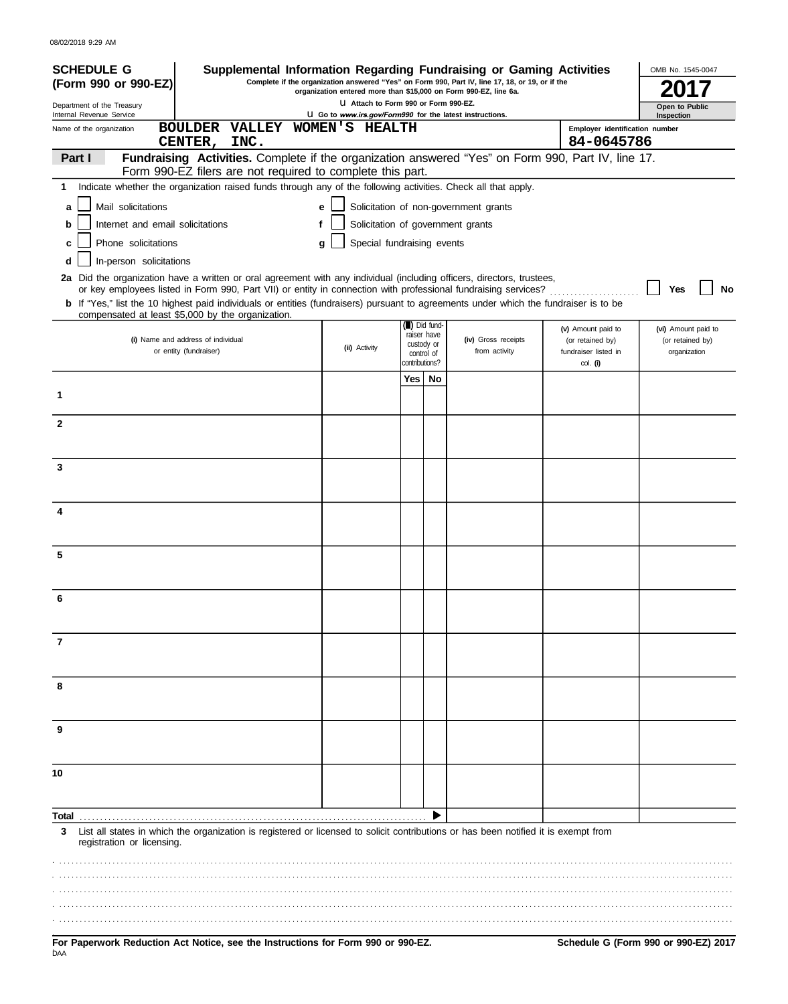| <b>SCHEDULE G</b><br>Supplemental Information Regarding Fundraising or Gaming Activities                                                                                                                                                 |                                                                                                    |                              |    | Complete if the organization answered "Yes" on Form 990, Part IV, line 17, 18, or 19, or if the |                                        | OMB No. 1545-0047            |
|------------------------------------------------------------------------------------------------------------------------------------------------------------------------------------------------------------------------------------------|----------------------------------------------------------------------------------------------------|------------------------------|----|-------------------------------------------------------------------------------------------------|----------------------------------------|------------------------------|
| (Form 990 or 990-EZ)                                                                                                                                                                                                                     | organization entered more than \$15,000 on Form 990-EZ, line 6a.                                   |                              |    |                                                                                                 |                                        |                              |
| Department of the Treasury<br>Internal Revenue Service                                                                                                                                                                                   | LI Attach to Form 990 or Form 990-EZ.<br>LI Go to www.irs.gov/Form990 for the latest instructions. |                              |    |                                                                                                 |                                        | Open to Public<br>Inspection |
| <b>BOULDER VALLEY</b><br>Name of the organization                                                                                                                                                                                        | WOMEN'S HEALTH                                                                                     |                              |    |                                                                                                 | Employer identification number         |                              |
| INC.<br>CENTER,<br>Fundraising Activities. Complete if the organization answered "Yes" on Form 990, Part IV, line 17.<br>Part I                                                                                                          |                                                                                                    |                              |    |                                                                                                 | 84-0645786                             |                              |
| Form 990-EZ filers are not required to complete this part.                                                                                                                                                                               |                                                                                                    |                              |    |                                                                                                 |                                        |                              |
| 1 Indicate whether the organization raised funds through any of the following activities. Check all that apply.                                                                                                                          |                                                                                                    |                              |    |                                                                                                 |                                        |                              |
| Mail solicitations<br>a                                                                                                                                                                                                                  | e                                                                                                  |                              |    | Solicitation of non-government grants                                                           |                                        |                              |
| Internet and email solicitations<br>b                                                                                                                                                                                                    | Solicitation of government grants                                                                  |                              |    |                                                                                                 |                                        |                              |
| Phone solicitations                                                                                                                                                                                                                      | Special fundraising events<br>q                                                                    |                              |    |                                                                                                 |                                        |                              |
| In-person solicitations<br>d                                                                                                                                                                                                             |                                                                                                    |                              |    |                                                                                                 |                                        |                              |
| 2a Did the organization have a written or oral agreement with any individual (including officers, directors, trustees,<br>or key employees listed in Form 990, Part VII) or entity in connection with professional fundraising services? |                                                                                                    |                              |    |                                                                                                 |                                        | Yes<br>No                    |
| <b>b</b> If "Yes," list the 10 highest paid individuals or entities (fundraisers) pursuant to agreements under which the fundraiser is to be                                                                                             |                                                                                                    |                              |    |                                                                                                 |                                        |                              |
| compensated at least \$5,000 by the organization.                                                                                                                                                                                        |                                                                                                    | (iii) Did fund-              |    |                                                                                                 |                                        | (vi) Amount paid to          |
| (i) Name and address of individual                                                                                                                                                                                                       |                                                                                                    | raiser have<br>custody or    |    | (iv) Gross receipts                                                                             | (v) Amount paid to<br>(or retained by) | (or retained by)             |
| or entity (fundraiser)                                                                                                                                                                                                                   | (ii) Activity                                                                                      | control of<br>contributions? |    | from activity                                                                                   | fundraiser listed in<br>col. (i)       | organization                 |
|                                                                                                                                                                                                                                          |                                                                                                    | Yes                          | No |                                                                                                 |                                        |                              |
| 1                                                                                                                                                                                                                                        |                                                                                                    |                              |    |                                                                                                 |                                        |                              |
|                                                                                                                                                                                                                                          |                                                                                                    |                              |    |                                                                                                 |                                        |                              |
| $\mathbf{2}$                                                                                                                                                                                                                             |                                                                                                    |                              |    |                                                                                                 |                                        |                              |
|                                                                                                                                                                                                                                          |                                                                                                    |                              |    |                                                                                                 |                                        |                              |
| 3                                                                                                                                                                                                                                        |                                                                                                    |                              |    |                                                                                                 |                                        |                              |
|                                                                                                                                                                                                                                          |                                                                                                    |                              |    |                                                                                                 |                                        |                              |
| 4                                                                                                                                                                                                                                        |                                                                                                    |                              |    |                                                                                                 |                                        |                              |
|                                                                                                                                                                                                                                          |                                                                                                    |                              |    |                                                                                                 |                                        |                              |
| 5                                                                                                                                                                                                                                        |                                                                                                    |                              |    |                                                                                                 |                                        |                              |
|                                                                                                                                                                                                                                          |                                                                                                    |                              |    |                                                                                                 |                                        |                              |
|                                                                                                                                                                                                                                          |                                                                                                    |                              |    |                                                                                                 |                                        |                              |
| 6                                                                                                                                                                                                                                        |                                                                                                    |                              |    |                                                                                                 |                                        |                              |
|                                                                                                                                                                                                                                          |                                                                                                    |                              |    |                                                                                                 |                                        |                              |
| 7                                                                                                                                                                                                                                        |                                                                                                    |                              |    |                                                                                                 |                                        |                              |
|                                                                                                                                                                                                                                          |                                                                                                    |                              |    |                                                                                                 |                                        |                              |
| 8                                                                                                                                                                                                                                        |                                                                                                    |                              |    |                                                                                                 |                                        |                              |
|                                                                                                                                                                                                                                          |                                                                                                    |                              |    |                                                                                                 |                                        |                              |
| 9                                                                                                                                                                                                                                        |                                                                                                    |                              |    |                                                                                                 |                                        |                              |
|                                                                                                                                                                                                                                          |                                                                                                    |                              |    |                                                                                                 |                                        |                              |
|                                                                                                                                                                                                                                          |                                                                                                    |                              |    |                                                                                                 |                                        |                              |
| 10                                                                                                                                                                                                                                       |                                                                                                    |                              |    |                                                                                                 |                                        |                              |
|                                                                                                                                                                                                                                          |                                                                                                    |                              |    |                                                                                                 |                                        |                              |
| Total                                                                                                                                                                                                                                    |                                                                                                    |                              |    |                                                                                                 |                                        |                              |
| List all states in which the organization is registered or licensed to solicit contributions or has been notified it is exempt from<br>3<br>registration or licensing.                                                                   |                                                                                                    |                              |    |                                                                                                 |                                        |                              |
|                                                                                                                                                                                                                                          |                                                                                                    |                              |    |                                                                                                 |                                        |                              |
|                                                                                                                                                                                                                                          |                                                                                                    |                              |    |                                                                                                 |                                        |                              |
|                                                                                                                                                                                                                                          |                                                                                                    |                              |    |                                                                                                 |                                        |                              |
|                                                                                                                                                                                                                                          |                                                                                                    |                              |    |                                                                                                 |                                        |                              |
|                                                                                                                                                                                                                                          |                                                                                                    |                              |    |                                                                                                 |                                        |                              |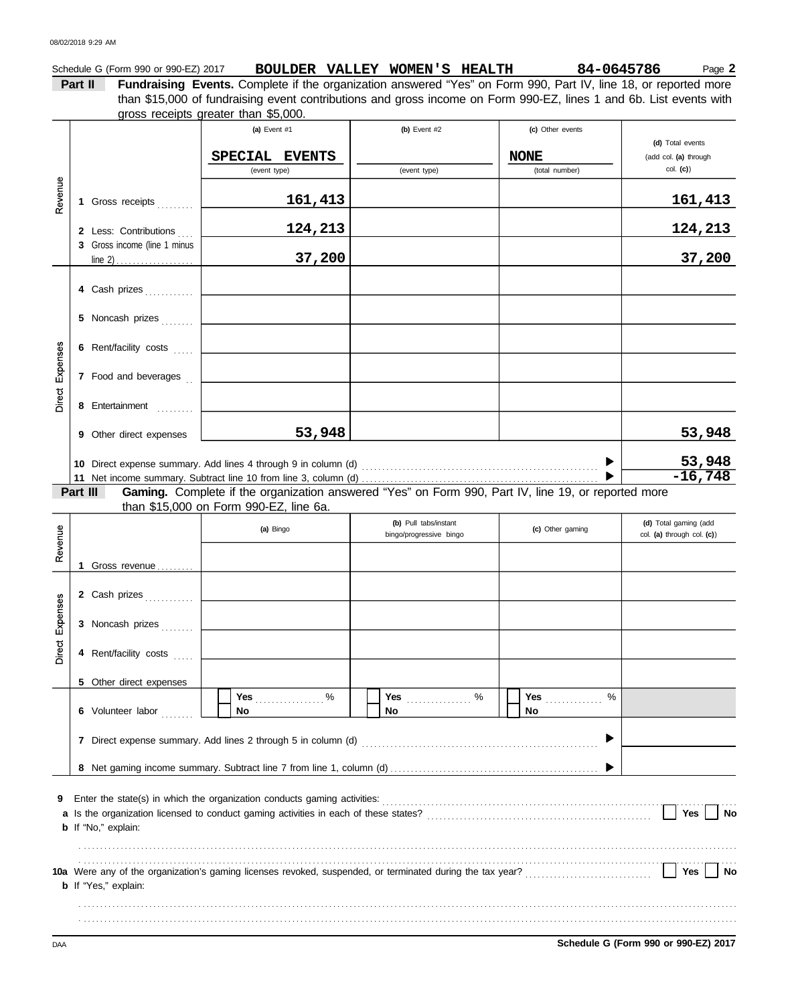|          |                              | gross receipts greater than \$5,000.                                                                |                                                  |                                                   |                                                                  |
|----------|------------------------------|-----------------------------------------------------------------------------------------------------|--------------------------------------------------|---------------------------------------------------|------------------------------------------------------------------|
|          |                              | (a) Event #1<br>SPECIAL EVENTS<br>(event type)                                                      | (b) Event #2<br>(event type)                     | (c) Other events<br><b>NONE</b><br>(total number) | (d) Total events<br>(add col. (a) through<br>col. (c)            |
| Revenue  | 1 Gross receipts             | 161,413                                                                                             |                                                  |                                                   | 161,413                                                          |
|          | 2 Less: Contributions        | 124,213                                                                                             |                                                  |                                                   | 124,213                                                          |
|          | 3 Gross income (line 1 minus | 37,200                                                                                              |                                                  |                                                   | 37,200                                                           |
|          | 4 Cash prizes                |                                                                                                     |                                                  |                                                   |                                                                  |
|          | 5 Noncash prizes             |                                                                                                     |                                                  |                                                   |                                                                  |
|          | 6 Rent/facility costs        |                                                                                                     |                                                  |                                                   |                                                                  |
| Expenses | 7 Food and beverages         |                                                                                                     |                                                  |                                                   |                                                                  |
| Direct   | 8 Entertainment              |                                                                                                     |                                                  |                                                   |                                                                  |
|          | 9 Other direct expenses      | 53,948                                                                                              |                                                  |                                                   | 53,948                                                           |
|          |                              |                                                                                                     |                                                  |                                                   |                                                                  |
|          |                              |                                                                                                     |                                                  |                                                   | 53,948                                                           |
|          | Part III                     | Gaming. Complete if the organization answered "Yes" on Form 990, Part IV, line 19, or reported more |                                                  |                                                   |                                                                  |
|          |                              | than \$15,000 on Form 990-EZ, line 6a.<br>(a) Bingo                                                 | (b) Pull tabs/instant<br>bingo/progressive bingo | (c) Other gaming                                  | $-16,748$<br>(d) Total gaming (add<br>col. (a) through col. (c)) |
| Revenue  | 1 Gross revenue              |                                                                                                     |                                                  |                                                   |                                                                  |
|          | 2 Cash prizes                |                                                                                                     |                                                  |                                                   |                                                                  |
| s.       | 3 Noncash prizes             |                                                                                                     |                                                  |                                                   |                                                                  |
| Expenses | 4 Rent/facility costs        |                                                                                                     |                                                  |                                                   |                                                                  |
|          | 5 Other direct expenses      |                                                                                                     |                                                  |                                                   |                                                                  |
| Direct   | 6 Volunteer labor            | Yes $%$<br>No                                                                                       | No                                               | %<br>No                                           |                                                                  |
|          |                              |                                                                                                     |                                                  |                                                   |                                                                  |
|          |                              |                                                                                                     |                                                  |                                                   |                                                                  |

. . . . . . . . . . . . . . . . . . . . . . . . . . . . . . . . . . . . . . . . . . . . . . . . . . . . . . . . . . . . . . . . . . . . . . . . . . . . . . . . . . . . . . . . . . . . . . . . . . . . . . . . . . . . . . . . . . . . . . . . . . . . . . . . . . . . . . . . . . . . . . . . . . . . . . . . . . . . . . . . . . . . . . . . . . . . . . . . . . . . . . . . . . . . . . . . . . . . . . . . . . . . . . . . . . . . . . . . . . . . . . . . . . . . . . . . . . . . . . . . . . . . . . . . . . . . . . . . . . . . . . . . . . . . . . . . . . . . . . . . . . . . . . . . . . . . . . . . . . . . . . . . . . . . . . . . . . . . . . . . . .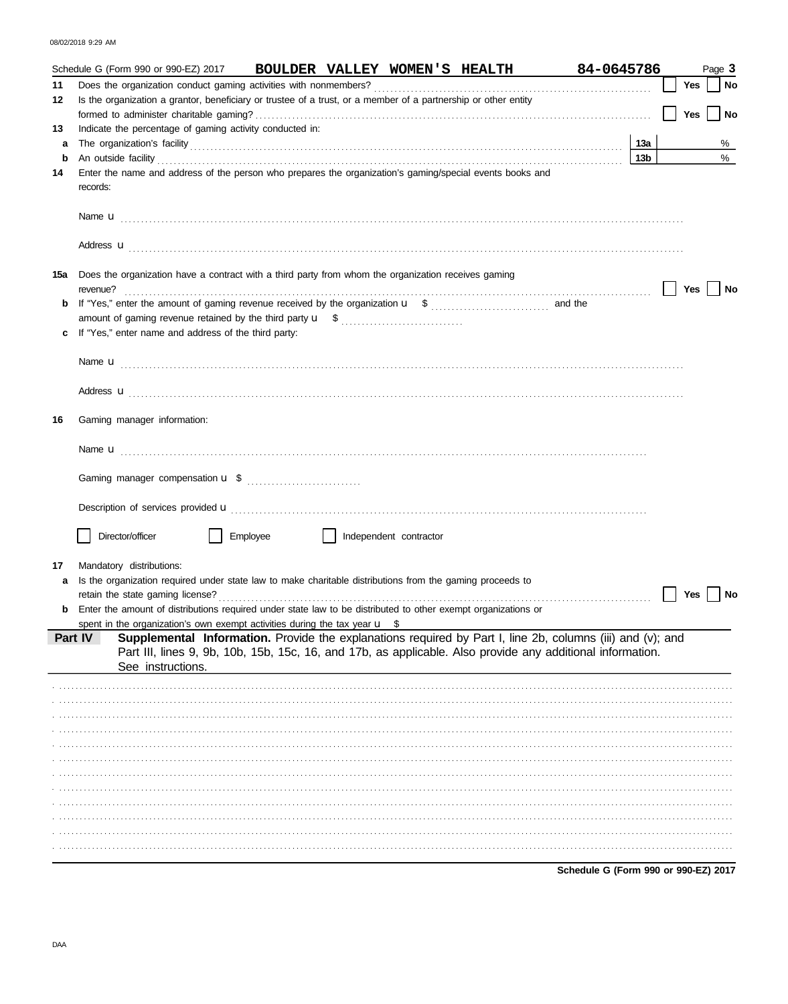08/02/2018 9:29 AM

|     | BOULDER VALLEY WOMEN'S HEALTH 84-0645786<br>Schedule G (Form 990 or 990-EZ) 2017                                                                                                                                                    |                 |     | Page 3    |
|-----|-------------------------------------------------------------------------------------------------------------------------------------------------------------------------------------------------------------------------------------|-----------------|-----|-----------|
| 11  |                                                                                                                                                                                                                                     |                 | Yes | <b>No</b> |
| 12  | Is the organization a grantor, beneficiary or trustee of a trust, or a member of a partnership or other entity                                                                                                                      |                 | Yes | $ $ No    |
| 13  | Indicate the percentage of gaming activity conducted in:                                                                                                                                                                            |                 |     |           |
| a   |                                                                                                                                                                                                                                     | 13a             |     | %         |
| b   |                                                                                                                                                                                                                                     | 13 <sub>b</sub> |     | $\%$      |
| 14  | Enter the name and address of the person who prepares the organization's gaming/special events books and<br>records:                                                                                                                |                 |     |           |
|     |                                                                                                                                                                                                                                     |                 |     |           |
|     | Address <b>u</b>                                                                                                                                                                                                                    |                 |     |           |
| 15a | Does the organization have a contract with a third party from whom the organization receives gaming<br>revenue?                                                                                                                     |                 | Yes | No        |
| b   |                                                                                                                                                                                                                                     |                 |     |           |
|     |                                                                                                                                                                                                                                     |                 |     |           |
| c   | If "Yes," enter name and address of the third party:                                                                                                                                                                                |                 |     |           |
|     |                                                                                                                                                                                                                                     |                 |     |           |
|     |                                                                                                                                                                                                                                     |                 |     |           |
|     |                                                                                                                                                                                                                                     |                 |     |           |
|     |                                                                                                                                                                                                                                     |                 |     |           |
| 16  | Gaming manager information:                                                                                                                                                                                                         |                 |     |           |
|     |                                                                                                                                                                                                                                     |                 |     |           |
|     |                                                                                                                                                                                                                                     |                 |     |           |
|     |                                                                                                                                                                                                                                     |                 |     |           |
|     | Description of services provided <b>u</b> electron contract the contract of the contract of the contract of the contract of the contract of the contract of the contract of the contract of the contract of the contract of the con |                 |     |           |
|     |                                                                                                                                                                                                                                     |                 |     |           |
|     | Director/officer<br>Employee<br>Independent contractor                                                                                                                                                                              |                 |     |           |
|     |                                                                                                                                                                                                                                     |                 |     |           |
| 17  | Mandatory distributions:                                                                                                                                                                                                            |                 |     |           |
| а   | Is the organization required under state law to make charitable distributions from the gaming proceeds to                                                                                                                           |                 |     |           |
|     | retain the state gaming license?                                                                                                                                                                                                    |                 | Yes | No        |
|     | <b>b</b> Enter the amount of distributions required under state law to be distributed to other exempt organizations or                                                                                                              |                 |     |           |
|     | spent in the organization's own exempt activities during the tax year $\mathbf{u}$ \$<br>Supplemental Information. Provide the explanations required by Part I, line 2b, columns (iii) and (v); and<br>Part IV                      |                 |     |           |
|     | Part III, lines 9, 9b, 10b, 15b, 15c, 16, and 17b, as applicable. Also provide any additional information.<br>See instructions.                                                                                                     |                 |     |           |
|     |                                                                                                                                                                                                                                     |                 |     |           |
|     |                                                                                                                                                                                                                                     |                 |     |           |
|     |                                                                                                                                                                                                                                     |                 |     |           |
|     |                                                                                                                                                                                                                                     |                 |     |           |
|     |                                                                                                                                                                                                                                     |                 |     |           |
|     |                                                                                                                                                                                                                                     |                 |     |           |
|     |                                                                                                                                                                                                                                     |                 |     |           |
|     |                                                                                                                                                                                                                                     |                 |     |           |
|     |                                                                                                                                                                                                                                     |                 |     |           |
|     |                                                                                                                                                                                                                                     |                 |     |           |
|     |                                                                                                                                                                                                                                     |                 |     |           |
|     |                                                                                                                                                                                                                                     |                 |     |           |
|     | Schedule G (Form 990 or 990-EZ) 2017                                                                                                                                                                                                |                 |     |           |

DAA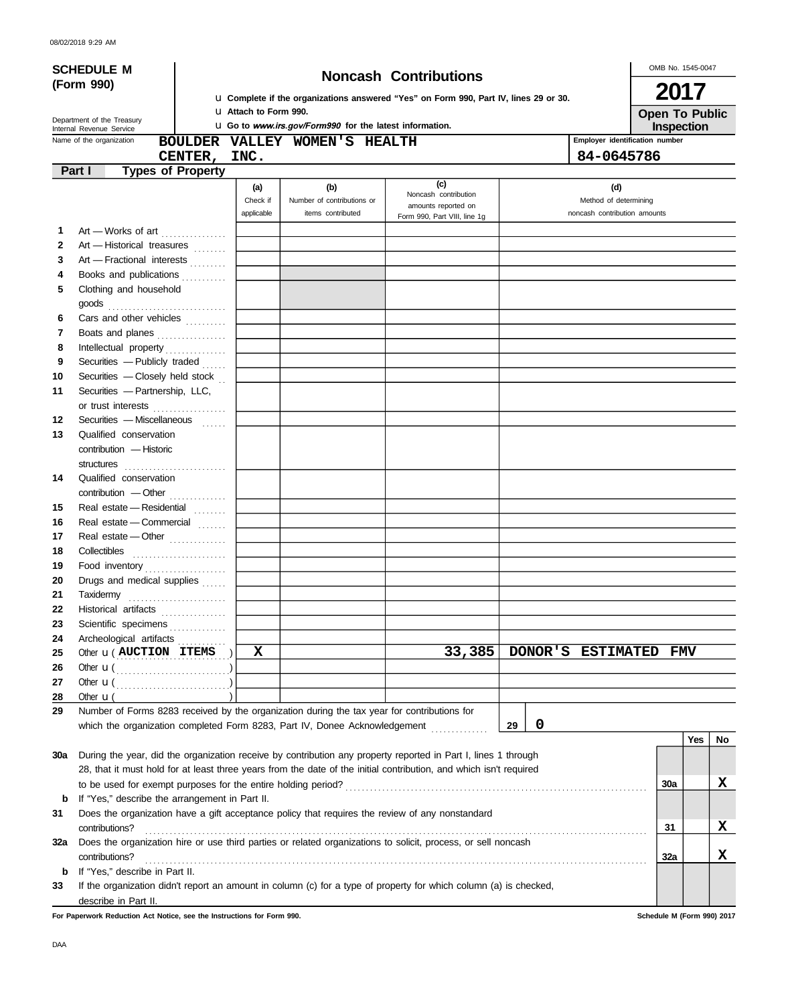|            | <b>SCHEDULE M</b>                                                                                                     |                              |                                                                |                                                                                       |                       | OMB No. 1545-0047                   |
|------------|-----------------------------------------------------------------------------------------------------------------------|------------------------------|----------------------------------------------------------------|---------------------------------------------------------------------------------------|-----------------------|-------------------------------------|
|            | (Form 990)                                                                                                            |                              |                                                                | <b>Noncash Contributions</b>                                                          |                       | 2017                                |
|            |                                                                                                                       |                              |                                                                | La Complete if the organizations answered "Yes" on Form 990, Part IV, lines 29 or 30. |                       |                                     |
|            | Department of the Treasury                                                                                            | <b>u</b> Attach to Form 990. | <b>u</b> Go to www.irs.gov/Form990 for the latest information. |                                                                                       |                       | <b>Open To Public</b><br>Inspection |
|            | Internal Revenue Service<br>Name of the organization                                                                  |                              | BOULDER VALLEY WOMEN'S HEALTH                                  |                                                                                       |                       | Employer identification number      |
|            | CENTER,                                                                                                               | INC.                         |                                                                |                                                                                       |                       | 84-0645786                          |
|            | Part I<br><b>Types of Property</b>                                                                                    |                              |                                                                |                                                                                       |                       |                                     |
|            |                                                                                                                       | (a)                          | (b)                                                            | (c)                                                                                   |                       | (d)                                 |
|            |                                                                                                                       | Check if                     | Number of contributions or                                     | Noncash contribution<br>amounts reported on                                           |                       | Method of determining               |
|            |                                                                                                                       | applicable                   | items contributed                                              | Form 990, Part VIII, line 1g                                                          |                       | noncash contribution amounts        |
| 1          | Art - Works of art                                                                                                    |                              |                                                                |                                                                                       |                       |                                     |
| 2          | Art - Historical treasures                                                                                            |                              |                                                                |                                                                                       |                       |                                     |
| 3          | Art - Fractional interests                                                                                            |                              |                                                                |                                                                                       |                       |                                     |
| 4          | Books and publications                                                                                                |                              |                                                                |                                                                                       |                       |                                     |
| 5          | Clothing and household                                                                                                |                              |                                                                |                                                                                       |                       |                                     |
|            |                                                                                                                       |                              |                                                                |                                                                                       |                       |                                     |
| 6          | Cars and other vehicles                                                                                               |                              |                                                                |                                                                                       |                       |                                     |
| 7          | Boats and planes                                                                                                      |                              |                                                                |                                                                                       |                       |                                     |
| 8          | Intellectual property                                                                                                 |                              |                                                                |                                                                                       |                       |                                     |
| 9          | Securities - Publicly traded                                                                                          |                              |                                                                |                                                                                       |                       |                                     |
| 10         | Securities - Closely held stock                                                                                       |                              |                                                                |                                                                                       |                       |                                     |
| 11         | Securities - Partnership, LLC,                                                                                        |                              |                                                                |                                                                                       |                       |                                     |
|            | or trust interests                                                                                                    |                              |                                                                |                                                                                       |                       |                                     |
| 12         | Securities - Miscellaneous                                                                                            |                              |                                                                |                                                                                       |                       |                                     |
| 13         | Qualified conservation                                                                                                |                              |                                                                |                                                                                       |                       |                                     |
|            | contribution - Historic                                                                                               |                              |                                                                |                                                                                       |                       |                                     |
|            |                                                                                                                       |                              |                                                                |                                                                                       |                       |                                     |
| 14         | Qualified conservation                                                                                                |                              |                                                                |                                                                                       |                       |                                     |
|            | contribution - Other                                                                                                  |                              |                                                                |                                                                                       |                       |                                     |
| 15         | Real estate - Residential                                                                                             |                              |                                                                |                                                                                       |                       |                                     |
| 16         | Real estate - Commercial                                                                                              |                              |                                                                |                                                                                       |                       |                                     |
| 17         | Real estate - Other                                                                                                   |                              |                                                                |                                                                                       |                       |                                     |
| 18         | Collectibles                                                                                                          |                              |                                                                |                                                                                       |                       |                                     |
| 19         | Food inventory                                                                                                        |                              |                                                                |                                                                                       |                       |                                     |
| 20         | Drugs and medical supplies                                                                                            |                              |                                                                |                                                                                       |                       |                                     |
| 21         | Taxidermy                                                                                                             |                              |                                                                |                                                                                       |                       |                                     |
| 22         | Historical artifacts                                                                                                  |                              |                                                                |                                                                                       |                       |                                     |
| 23         | Scientific specimens                                                                                                  |                              |                                                                |                                                                                       |                       |                                     |
| 24         | Archeological artifacts                                                                                               | $\mathbf x$                  |                                                                | 33,385                                                                                | DONOR'S ESTIMATED FMV |                                     |
| 25         | Other <b>u</b> ( <b>AUCTION ITEMS</b> )                                                                               |                              |                                                                |                                                                                       |                       |                                     |
| 26<br>27   | Other $\mathbf{u}(\dots, \dots, \dots, \dots, \dots)$<br>Other $\mathbf{u}(\dots, \dots, \dots, \dots, \dots, \dots)$ |                              |                                                                |                                                                                       |                       |                                     |
| 28         | Other $\mathbf{u}$ (                                                                                                  |                              |                                                                |                                                                                       |                       |                                     |
| 29         | Number of Forms 8283 received by the organization during the tax year for contributions for                           |                              |                                                                |                                                                                       |                       |                                     |
|            | which the organization completed Form 8283, Part IV, Donee Acknowledgement                                            |                              |                                                                |                                                                                       | $\mathbf 0$<br>29     |                                     |
|            |                                                                                                                       |                              |                                                                |                                                                                       |                       | Yes<br>No                           |
| <b>30a</b> | During the year, did the organization receive by contribution any property reported in Part I, lines 1 through        |                              |                                                                |                                                                                       |                       |                                     |
|            | 28, that it must hold for at least three years from the date of the initial contribution, and which isn't required    |                              |                                                                |                                                                                       |                       |                                     |
|            |                                                                                                                       |                              |                                                                |                                                                                       |                       | X<br>30a                            |
| b          | If "Yes," describe the arrangement in Part II.                                                                        |                              |                                                                |                                                                                       |                       |                                     |
| 31         | Does the organization have a gift acceptance policy that requires the review of any nonstandard                       |                              |                                                                |                                                                                       |                       |                                     |
|            | contributions?                                                                                                        |                              |                                                                |                                                                                       |                       | X<br>31                             |
| 32a        | Does the organization hire or use third parties or related organizations to solicit, process, or sell noncash         |                              |                                                                |                                                                                       |                       |                                     |
|            | contributions?                                                                                                        |                              |                                                                |                                                                                       |                       | x<br>32a                            |
| b          | If "Yes," describe in Part II.                                                                                        |                              |                                                                |                                                                                       |                       |                                     |
| 33         | If the organization didn't report an amount in column (c) for a type of property for which column (a) is checked,     |                              |                                                                |                                                                                       |                       |                                     |
|            | describe in Part II.                                                                                                  |                              |                                                                |                                                                                       |                       |                                     |

**For Paperwork Reduction Act Notice, see the Instructions for Form 990. Schedule M (Form 990) 2017**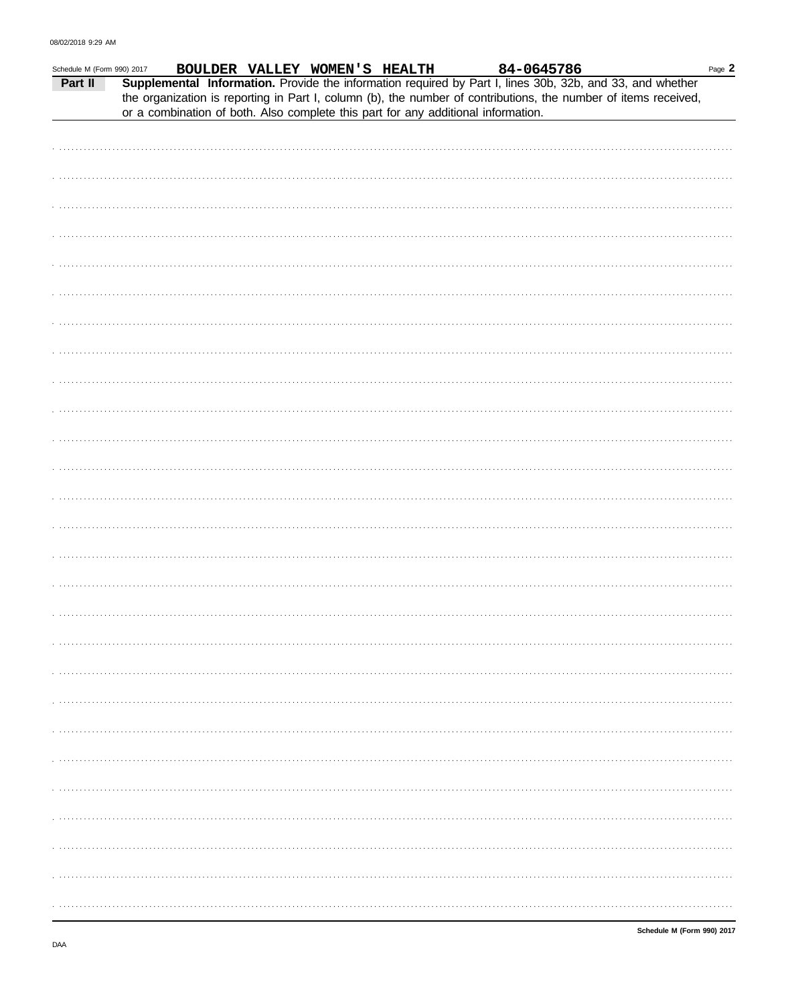| Schedule M (Form 990) 2017 |                                                                                   | BOULDER VALLEY WOMEN'S HEALTH |  |  | 84-0645786 |                                                                                                                                                                                                                              | Page 2 |
|----------------------------|-----------------------------------------------------------------------------------|-------------------------------|--|--|------------|------------------------------------------------------------------------------------------------------------------------------------------------------------------------------------------------------------------------------|--------|
| Part II                    |                                                                                   |                               |  |  |            | Supplemental Information. Provide the information required by Part I, lines 30b, 32b, and 33, and whether<br>the organization is reporting in Part I, column (b), the number of contributions, the number of items received, |        |
|                            | or a combination of both. Also complete this part for any additional information. |                               |  |  |            |                                                                                                                                                                                                                              |        |
|                            |                                                                                   |                               |  |  |            |                                                                                                                                                                                                                              |        |
|                            |                                                                                   |                               |  |  |            |                                                                                                                                                                                                                              |        |
|                            |                                                                                   |                               |  |  |            |                                                                                                                                                                                                                              |        |
|                            |                                                                                   |                               |  |  |            |                                                                                                                                                                                                                              |        |
|                            |                                                                                   |                               |  |  |            |                                                                                                                                                                                                                              |        |
|                            |                                                                                   |                               |  |  |            |                                                                                                                                                                                                                              |        |
|                            |                                                                                   |                               |  |  |            |                                                                                                                                                                                                                              |        |
|                            |                                                                                   |                               |  |  |            |                                                                                                                                                                                                                              |        |
|                            |                                                                                   |                               |  |  |            |                                                                                                                                                                                                                              |        |
|                            |                                                                                   |                               |  |  |            |                                                                                                                                                                                                                              |        |
|                            |                                                                                   |                               |  |  |            |                                                                                                                                                                                                                              |        |
|                            |                                                                                   |                               |  |  |            |                                                                                                                                                                                                                              |        |
|                            |                                                                                   |                               |  |  |            |                                                                                                                                                                                                                              |        |
|                            |                                                                                   |                               |  |  |            |                                                                                                                                                                                                                              |        |
|                            |                                                                                   |                               |  |  |            |                                                                                                                                                                                                                              |        |
|                            |                                                                                   |                               |  |  |            |                                                                                                                                                                                                                              |        |
|                            |                                                                                   |                               |  |  |            |                                                                                                                                                                                                                              |        |
|                            |                                                                                   |                               |  |  |            |                                                                                                                                                                                                                              |        |
|                            |                                                                                   |                               |  |  |            |                                                                                                                                                                                                                              |        |
|                            |                                                                                   |                               |  |  |            |                                                                                                                                                                                                                              |        |
|                            |                                                                                   |                               |  |  |            |                                                                                                                                                                                                                              |        |
|                            |                                                                                   |                               |  |  |            |                                                                                                                                                                                                                              |        |
|                            |                                                                                   |                               |  |  |            |                                                                                                                                                                                                                              |        |
|                            |                                                                                   |                               |  |  |            |                                                                                                                                                                                                                              |        |
|                            |                                                                                   |                               |  |  |            |                                                                                                                                                                                                                              |        |
|                            |                                                                                   |                               |  |  |            |                                                                                                                                                                                                                              |        |
|                            |                                                                                   |                               |  |  |            |                                                                                                                                                                                                                              |        |
|                            |                                                                                   |                               |  |  |            |                                                                                                                                                                                                                              |        |
|                            |                                                                                   |                               |  |  |            |                                                                                                                                                                                                                              |        |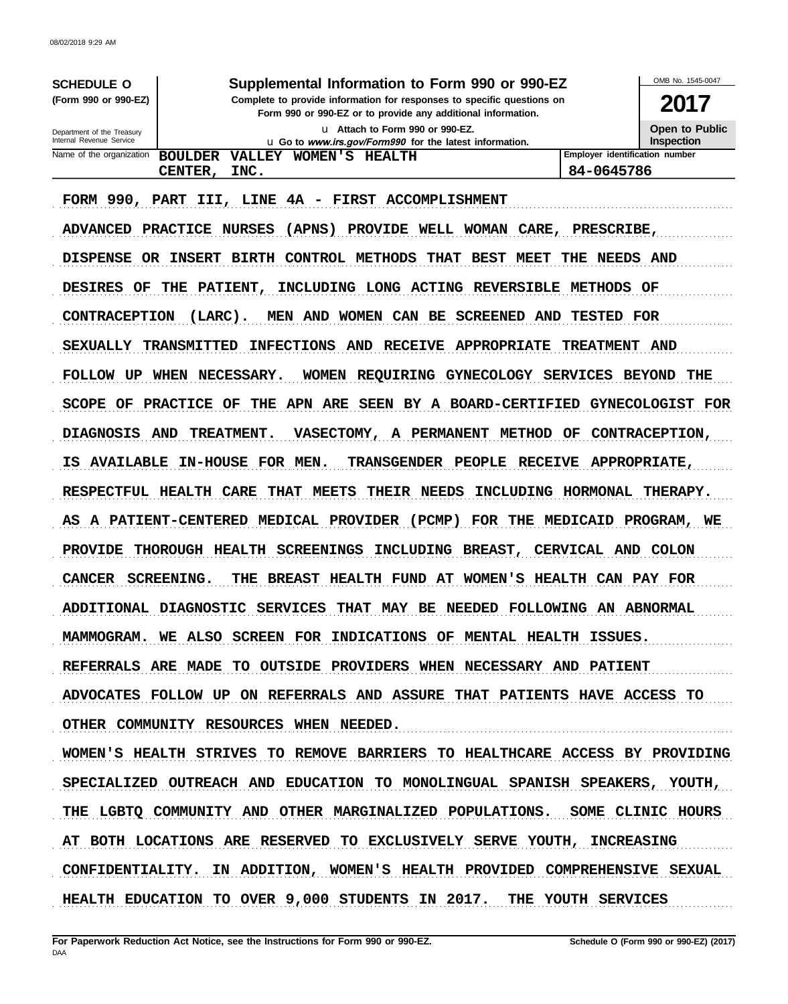| Supplemental Information to Form 990 or 990-EZ<br><b>SCHEDULE O</b><br>Complete to provide information for responses to specific questions on<br>(Form 990 or 990-EZ)<br>Form 990 or 990-EZ or to provide any additional information. |                                                                                            |                                              |  |  |
|---------------------------------------------------------------------------------------------------------------------------------------------------------------------------------------------------------------------------------------|--------------------------------------------------------------------------------------------|----------------------------------------------|--|--|
| Department of the Treasury<br>Internal Revenue Service                                                                                                                                                                                | u Attach to Form 990 or 990-EZ.<br>u Go to www.irs.gov/Form990 for the latest information. | <b>Open to Public</b><br><b>Inspection</b>   |  |  |
| Name of the organization                                                                                                                                                                                                              | WOMEN'S<br><b>BOULDER</b><br><b>VALLEY</b><br><b>HEALTH</b><br>CENTER,<br>INC.             | Employer identification number<br>84-0645786 |  |  |
|                                                                                                                                                                                                                                       | FORM 990, PART III, LINE 4A - FIRST ACCOMPLISHMENT                                         |                                              |  |  |
|                                                                                                                                                                                                                                       | ADVANCED PRACTICE NURSES<br>(APNS) PROVIDE WELL WOMAN CARE, PRESCRIBE,                     |                                              |  |  |
| <b>DISPENSE</b><br>OR.                                                                                                                                                                                                                | CONTROL METHODS<br>BEST<br><b>BIRTH</b><br>THAT<br><b>MEET</b><br><b>INSERT</b><br>THE     | AND<br>NEEDS                                 |  |  |
| <b>DESIRES</b><br>OF                                                                                                                                                                                                                  | INCLUDING LONG ACTING REVERSIBLE<br>THE PATIENT,                                           | <b>METHODS</b><br>OF                         |  |  |
|                                                                                                                                                                                                                                       |                                                                                            |                                              |  |  |

CONTRACEPTION (LARC). MEN AND WOMEN CAN BE SCREENED AND TESTED FOR

SEXUALLY TRANSMITTED INFECTIONS AND RECEIVE APPROPRIATE TREATMENT AND FOLLOW UP WHEN NECESSARY. WOMEN REQUIRING GYNECOLOGY SERVICES BEYOND THE SCOPE OF PRACTICE OF THE APN ARE SEEN BY A BOARD-CERTIFIED GYNECOLOGIST FOR DIAGNOSIS AND TREATMENT. VASECTOMY, A PERMANENT METHOD OF CONTRACEPTION, IS AVAILABLE IN-HOUSE FOR MEN. TRANSGENDER PEOPLE RECEIVE APPROPRIATE, RESPECTFUL HEALTH CARE THAT MEETS THEIR NEEDS INCLUDING HORMONAL THERAPY. AS A PATIENT-CENTERED MEDICAL PROVIDER (PCMP) FOR THE MEDICAID PROGRAM, WE

PROVIDE THOROUGH HEALTH SCREENINGS INCLUDING BREAST, CERVICAL AND COLON

CANCER SCREENING. THE BREAST HEALTH FUND AT WOMEN'S HEALTH CAN PAY FOR

ADDITIONAL DIAGNOSTIC SERVICES THAT MAY BE NEEDED FOLLOWING AN ABNORMAL

MAMMOGRAM. WE ALSO SCREEN FOR INDICATIONS OF MENTAL HEALTH ISSUES.

REFERRALS ARE MADE TO OUTSIDE PROVIDERS WHEN NECESSARY AND PATIENT ADVOCATES FOLLOW UP ON REFERRALS AND ASSURE THAT PATIENTS HAVE ACCESS TO

OTHER COMMUNITY RESOURCES WHEN NEEDED.

WOMEN'S HEALTH STRIVES TO REMOVE BARRIERS TO HEALTHCARE ACCESS BY PROVIDING SPECIALIZED OUTREACH AND EDUCATION TO MONOLINGUAL SPANISH SPEAKERS, YOUTH, THE LGBTO COMMUNITY AND OTHER MARGINALIZED POPULATIONS. SOME CLINIC HOURS AT BOTH LOCATIONS ARE RESERVED TO EXCLUSIVELY SERVE YOUTH, INCREASING CONFIDENTIALITY. IN ADDITION, WOMEN'S HEALTH PROVIDED COMPREHENSIVE SEXUAL HEALTH EDUCATION TO OVER 9,000 STUDENTS IN 2017. THE YOUTH SERVICES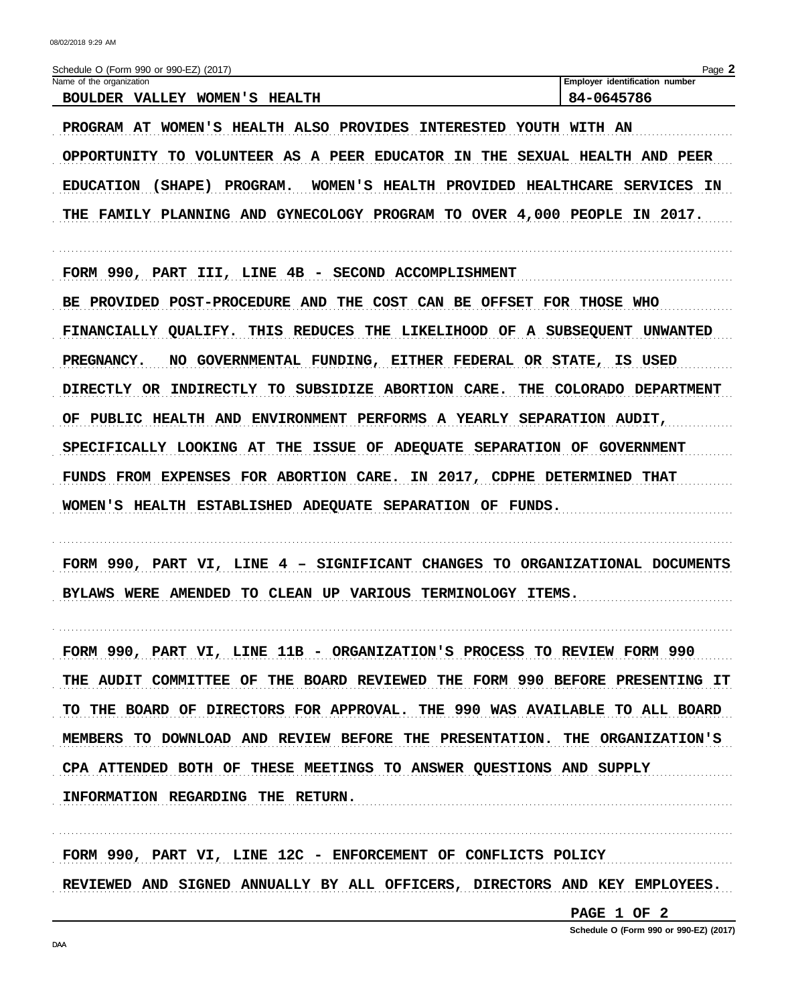| Name of the organization<br>BOULDER VALLEY WOMEN'S HEALTH                     | Employer identification number<br>84-0645786   |
|-------------------------------------------------------------------------------|------------------------------------------------|
| PROGRAM AT WOMEN'S HEALTH ALSO PROVIDES INTERESTED YOUTH WITH AN              |                                                |
| OPPORTUNITY TO VOLUNTEER AS A PEER EDUCATOR IN THE SEXUAL HEALTH AND PEER     |                                                |
| (SHAPE) PROGRAM.<br><b>EDUCATION</b>                                          | WOMEN'S HEALTH PROVIDED HEALTHCARE SERVICES IN |
| THE FAMILY PLANNING AND GYNECOLOGY PROGRAM TO OVER 4,000 PEOPLE IN 2017.      |                                                |
| FORM 990, PART III, LINE 4B - SECOND ACCOMPLISHMENT                           |                                                |
| BE PROVIDED POST-PROCEDURE AND THE COST CAN BE OFFSET FOR THOSE WHO           |                                                |
| FINANCIALLY QUALIFY. THIS REDUCES THE LIKELIHOOD OF A SUBSEQUENT UNWANTED     |                                                |
| NO GOVERNMENTAL FUNDING, EITHER FEDERAL OR STATE, IS USED<br>PREGNANCY.       |                                                |
| INDIRECTLY TO SUBSIDIZE ABORTION CARE. THE COLORADO DEPARTMENT<br>DIRECTLY OR |                                                |
| OF PUBLIC HEALTH AND ENVIRONMENT PERFORMS A YEARLY SEPARATION AUDIT,          |                                                |
| SPECIFICALLY LOOKING AT THE ISSUE OF ADEQUATE SEPARATION OF GOVERNMENT        |                                                |
| FUNDS FROM EXPENSES FOR ABORTION CARE. IN 2017, CDPHE DETERMINED THAT         |                                                |
| WOMEN'S HEALTH ESTABLISHED ADEQUATE SEPARATION OF FUNDS.                      |                                                |
| FORM 990, PART VI, LINE 4 - SIGNIFICANT CHANGES TO ORGANIZATIONAL DOCUMENTS   |                                                |
| BYLAWS WERE AMENDED TO CLEAN UP VARIOUS TERMINOLOGY ITEMS.                    |                                                |
| FORM 990, PART VI, LINE 11B - ORGANIZATION'S PROCESS TO REVIEW FORM 990       |                                                |
| THE AUDIT COMMITTEE OF THE BOARD REVIEWED THE FORM 990 BEFORE PRESENTING IT   |                                                |
| TO THE BOARD OF DIRECTORS FOR APPROVAL. THE 990 WAS AVAILABLE TO ALL BOARD    |                                                |
| MEMBERS TO DOWNLOAD AND REVIEW BEFORE THE PRESENTATION. THE ORGANIZATION'S    |                                                |
| CPA ATTENDED BOTH OF THESE MEETINGS TO ANSWER QUESTIONS AND SUPPLY            |                                                |
| INFORMATION REGARDING THE RETURN.                                             |                                                |

REVIEWED AND SIGNED ANNUALLY BY ALL OFFICERS, DIRECTORS AND KEY EMPLOYEES.

PAGE 1 OF 2

Schedule O (Form 990 or 990-EZ) (2017)